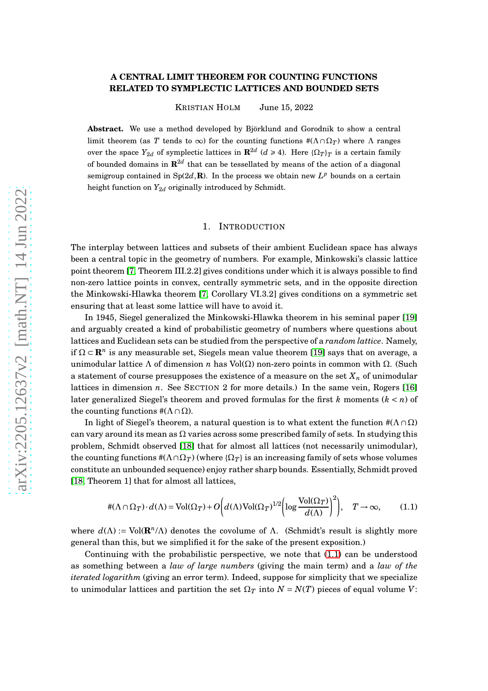### **A CENTRAL LIMIT THEOREM FOR COUNTING FUNCTIONS RELATED TO SYMPLECTIC LATTICES AND BOUNDED SETS**

KRISTIAN HOLM June 15, 2022

**Abstract.** We use a method developed by Björklund and Gorodnik to show a central limit theorem (as *T* tends to  $\infty$ ) for the counting functions  $\#(\Lambda \cap \Omega_T)$  where  $\Lambda$  ranges over the space  $Y_{2d}$  of symplectic lattices in  $\mathbb{R}^{2d}$  ( $d \ge 4$ ). Here  $\{\Omega_T\}_T$  is a certain family of bounded domains in  $\mathbf{R}^{2d}$  that can be tessellated by means of the action of a diagonal semigroup contained in  $Sp(2d, \mathbf{R})$ . In the process we obtain new  $L^p$  bounds on a certain height function on  $Y_{2d}$  originally introduced by Schmidt.

#### 1. INTRODUCTION

The interplay between lattices and subsets of their ambient Euclidean space has always been a central topic in the geometry of numbers. For example, Minkowski's classic lattice point theorem [\[7,](#page-41-0) Theorem III.2.2] gives conditions under which it is always possible to find non-zero lattice points in convex, centrally symmetric sets, and in the opposite direction the Minkowski-Hlawka theorem [\[7,](#page-41-0) Corollary VI.3.2] gives conditions on a symmetric set ensuring that at least some lattice will have to avoid it.

In 1945, Siegel generalized the Minkowski-Hlawka theorem in his seminal paper [\[19\]](#page-42-0) and arguably created a kind of probabilistic geometry of numbers where questions about lattices and Euclidean sets can be studied from the perspective of a *random lattice*. Namely, if  $\Omega \subset \mathbf{R}^n$  is any measurable set, Siegels mean value theorem [\[19\]](#page-42-0) says that on average, a unimodular lattice Λ of dimension *n* has Vol(Ω) non-zero points in common with Ω. (Such a statement of course presupposes the existence of a measure on the set  $X_n$  of unimodular lattices in dimension *n*. See SECTION 2 for more details.) In the same vein, Rogers [\[16\]](#page-42-1) later generalized Siegel's theorem and proved formulas for the first *k* moments (*k* < *n*) of the counting functions  $#(\Lambda \cap \Omega)$ .

In light of Siegel's theorem, a natural question is to what extent the function  $\#(\Lambda \cap \Omega)$ can vary around its mean as  $\Omega$  varies across some prescribed family of sets. In studying this problem, Schmidt observed [\[18\]](#page-42-2) that for almost all lattices (not necessarily unimodular), the counting functions  $\#(\Lambda \cap \Omega_T)$  (where  $\{\Omega_T\}$ ) is an increasing family of sets whose volumes constitute an unbounded sequence) enjoy rather sharp bounds. Essentially, Schmidt proved [\[18,](#page-42-2) Theorem 1] that for almost all lattices.

<span id="page-0-0"></span>
$$
\#(\Lambda \cap \Omega_T) \cdot d(\Lambda) = \text{Vol}(\Omega_T) + O\bigg(d(\Lambda)\text{Vol}(\Omega_T)^{1/2} \bigg(\log \frac{\text{Vol}(\Omega_T)}{d(\Lambda)}\bigg)^2\bigg), \quad T \to \infty,
$$
 (1.1)

where  $d(\Lambda) := \text{Vol}(\mathbf{R}^n/\Lambda)$  denotes the covolume of  $\Lambda$ . (Schmidt's result is slightly more general than this, but we simplified it for the sake of the present exposition.)

Continuing with the probabilistic perspective, we note that [\(1.1\)](#page-0-0) can be understood as something between a *law of large numbers* (giving the main term) and a *law of the iterated logarithm* (giving an error term). Indeed, suppose for simplicity that we specialize to unimodular lattices and partition the set  $\Omega_T$  into  $N = N(T)$  pieces of equal volume *V*: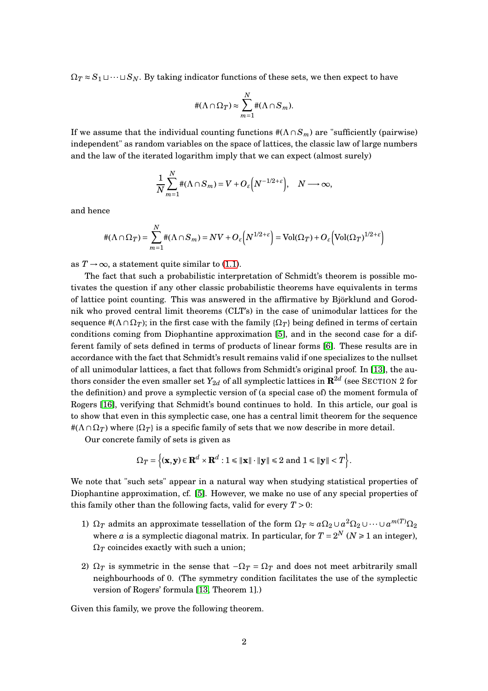$\Omega_T \approx S_1 \sqcup \cdots \sqcup S_N$ . By taking indicator functions of these sets, we then expect to have

$$
\#(\Lambda \cap \Omega_T) \approx \sum_{m=1}^N \#(\Lambda \cap S_m).
$$

If we assume that the individual counting functions  $\#(\Lambda \cap S_m)$  are "sufficiently (pairwise) independent" as random variables on the space of lattices, the classic law of large numbers and the law of the iterated logarithm imply that we can expect (almost surely)

$$
\frac{1}{N}\sum_{m=1}^N\#(\Lambda\cap S_m)=V+O_{\varepsilon}\Big(N^{-1/2+\varepsilon}\Big),\quad N\longrightarrow\infty,
$$

and hence

$$
\#(\Lambda \cap \Omega_T) = \sum_{m=1}^N \#(\Lambda \cap S_m) = NV + O_{\varepsilon}\left(N^{1/2+\varepsilon}\right) = Vol(\Omega_T) + O_{\varepsilon}\left(\text{Vol}(\Omega_T)^{1/2+\varepsilon}\right)
$$

as  $T \rightarrow \infty$ , a statement quite similar to [\(1.1\)](#page-0-0).

The fact that such a probabilistic interpretation of Schmidt's theorem is possible motivates the question if any other classic probabilistic theorems have equivalents in terms of lattice point counting. This was answered in the affirmative by Björklund and Gorodnik who proved central limit theorems (CLT's) in the case of unimodular lattices for the sequence  $\#(\Lambda \cap \Omega_T)$ ; in the first case with the family  $\{\Omega_T\}$  being defined in terms of certain conditions coming from Diophantine approximation [\[5\]](#page-41-1), and in the second case for a different family of sets defined in terms of products of linear forms [\[6\]](#page-41-2). These results are in accordance with the fact that Schmidt's result remains valid if one specializes to the nullset of all unimodular lattices, a fact that follows from Schmidt's original proof. In [\[13\]](#page-41-3), the authors consider the even smaller set  $Y_{2d}$  of all symplectic lattices in  ${\mathbf R}^{2d}$  (see SECTION  $2$  for the definition) and prove a symplectic version of (a special case of) the moment formula of Rogers [\[16\]](#page-42-1), verifying that Schmidt's bound continues to hold. In this article, our goal is to show that even in this symplectic case, one has a central limit theorem for the sequence  $\#(\Lambda \cap \Omega_T)$  where  $\{\Omega_T\}$  is a specific family of sets that we now describe in more detail.

Our concrete family of sets is given as

$$
\Omega_T = \left\{ (\mathbf{x}, \mathbf{y}) \in \mathbf{R}^d \times \mathbf{R}^d : 1 \leq \| \mathbf{x} \| \cdot \| \mathbf{y} \| \leq 2 \text{ and } 1 \leq \| \mathbf{y} \| < T \right\}.
$$

We note that "such sets" appear in a natural way when studying statistical properties of Diophantine approximation, cf. [\[5\]](#page-41-1). However, we make no use of any special properties of this family other than the following facts, valid for every  $T > 0$ :

- 1)  $\Omega_T$  admits an approximate tessellation of the form  $\Omega_T \approx a\Omega_2 \cup a^2\Omega_2 \cup \cdots \cup a^{m(T)}\Omega_2$ where *a* is a symplectic diagonal matrix. In particular, for  $T = 2^N$  ( $N \ge 1$  an integer),  $\Omega_T$  coincides exactly with such a union;
- 2)  $\Omega_T$  is symmetric in the sense that  $-\Omega_T = \Omega_T$  and does not meet arbitrarily small neighbourhoods of 0. (The symmetry condition facilitates the use of the symplectic version of Rogers' formula [\[13,](#page-41-3) Theorem 1].)

Given this family, we prove the following theorem.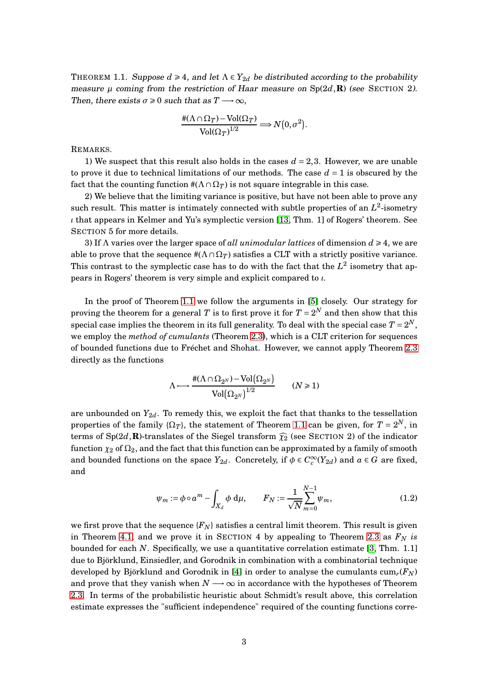<span id="page-2-0"></span>THEOREM 1.1. Suppose  $d \geq 4$ , and let  $\Lambda \in Y_{2d}$  be distributed according to the probability measure  $\mu$  coming from the restriction of Haar measure on  $Sp(2d,\mathbf{R})$  (see SECTION 2). Then, there exists  $\sigma \geq 0$  such that as  $T \longrightarrow \infty$ ,

$$
\frac{\#(\Lambda \cap \Omega_T) - \text{Vol}(\Omega_T)}{\text{Vol}(\Omega_T)^{1/2}} \Longrightarrow N(0, \sigma^2).
$$

REMARKS.

1) We suspect that this result also holds in the cases  $d = 2,3$ . However, we are unable to prove it due to technical limitations of our methods. The case  $d = 1$  is obscured by the fact that the counting function  $\#(\Lambda \cap \Omega_T)$  is not square integrable in this case.

2) We believe that the limiting variance is positive, but have not been able to prove any such result. This matter is intimately connected with subtle properties of an  $L^2$ -isometry *ι* that appears in Kelmer and Yu's symplectic version [\[13,](#page-41-3) Thm. 1] of Rogers' theorem. See SECTION 5 for more details.

3) If <sup>Λ</sup> varies over the larger space of *all unimodular lattices* of dimension *<sup>d</sup>* <sup>Ê</sup> 4, we are able to prove that the sequence  $\#(\Lambda \cap \Omega_T)$  satisfies a CLT with a strictly positive variance. This contrast to the symplectic case has to do with the fact that the  $L^2$  isometry that appears in Rogers' theorem is very simple and explicit compared to *ι*.

In the proof of Theorem [1.1](#page-2-0) we follow the arguments in [\[5\]](#page-41-1) closely. Our strategy for proving the theorem for a general  $T$  is to first prove it for  $T = 2^N$  and then show that this special case implies the theorem in its full generality. To deal with the special case  $T = 2^N$ , we employ the *method of cumulants* (Theorem [2.3\)](#page-5-0), which is a CLT criterion for sequences of bounded functions due to Fréchet and Shohat. However, we cannot apply Theorem [2.3](#page-5-0) directly as the functions

$$
\Lambda \longmapsto \frac{\# (\Lambda \cap \Omega_{2^N}) - \text{Vol}(\Omega_{2^N})}{\text{Vol}(\Omega_{2^N})^{1/2}} \qquad (N \ge 1)
$$

are unbounded on  $Y_{2d}$ . To remedy this, we exploit the fact that thanks to the tessellation properties of the family  $\{\Omega_T\}$ , the statement of Theorem [1.1](#page-2-0) can be given, for  $T = 2^N$ , in terms of  $Sp(2d,\mathbf{R})$ -translates of the Siegel transform  $\widehat{\chi}_2$  (see SECTION 2) of the indicator function  $\chi_2$  of  $\Omega_2$ , and the fact that this function can be approximated by a family of smooth and bounded functions on the space  $Y_{2d}$ . Concretely, if  $\phi \in C_c^{\infty}(Y_{2d})$  and  $a \in G$  are fixed, and

<span id="page-2-1"></span>
$$
\psi_m := \phi \circ a^m - \int_{X_d} \phi \, d\mu, \qquad F_N := \frac{1}{\sqrt{N}} \sum_{m=0}^{N-1} \psi_m,
$$
\n(1.2)

we first prove that the sequence  ${F_N}$  satisfies a central limit theorem. This result is given in Theorem [4.1,](#page-21-0) and we prove it in SECTION 4 by appealing to Theorem [2.3](#page-5-0) as  $F_N$  is bounded for each *N*. Specifically, we use a quantitative correlation estimate [\[3,](#page-41-4) Thm. 1.1] due to Björklund, Einsiedler, and Gorodnik in combination with a combinatorial technique developed by Björklund and Gorodnik in [\[4\]](#page-41-5) in order to analyse the cumulants  $cum_r(F_N)$ and prove that they vanish when  $N \rightarrow \infty$  in accordance with the hypotheses of Theorem [2.3.](#page-5-0) In terms of the probabilistic heuristic about Schmidt's result above, this correlation estimate expresses the "sufficient independence" required of the counting functions corre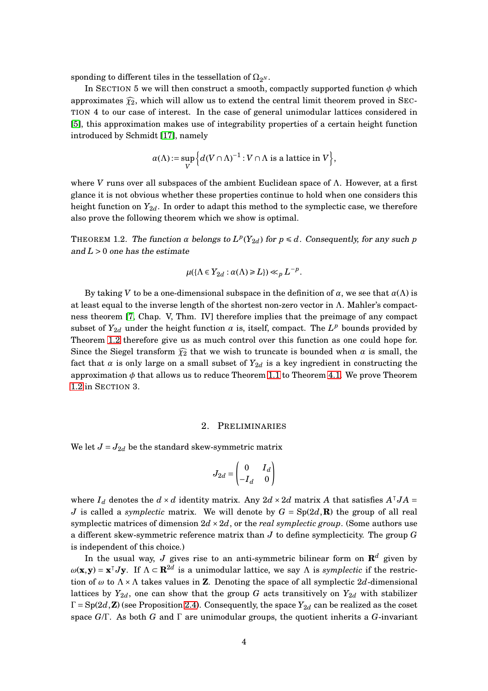sponding to different tiles in the tessellation of  $\Omega_{2^N}$ .

In SECTION 5 we will then construct a smooth, compactly supported function  $\phi$  which approximates  $\widehat{\chi}_2$ , which will allow us to extend the central limit theorem proved in SEC-TION 4 to our case of interest. In the case of general unimodular lattices considered in [\[5\]](#page-41-1), this approximation makes use of integrability properties of a certain height function introduced by Schmidt [\[17\]](#page-42-3), namely

$$
\alpha(\Lambda) := \sup_{V} \Big\{ d(V \cap \Lambda)^{-1} : V \cap \Lambda \text{ is a lattice in } V \Big\},\
$$

where *V* runs over all subspaces of the ambient Euclidean space of Λ. However, at a first glance it is not obvious whether these properties continue to hold when one considers this height function on  $Y_{2d}$ . In order to adapt this method to the symplectic case, we therefore also prove the following theorem which we show is optimal.

<span id="page-3-0"></span>THEOREM 1.2. The function  $\alpha$  belongs to  $L^p(Y_{2d})$  for  $p \le d$ . Consequently, for any such  $p$ and  $L > 0$  one has the estimate

$$
\mu(\{\Lambda \in Y_{2d} : \alpha(\Lambda) \ge L\}) \ll_p L^{-p}.
$$

By taking *V* to be a one-dimensional subspace in the definition of  $\alpha$ , we see that  $\alpha(\Lambda)$  is at least equal to the inverse length of the shortest non-zero vector in  $\Lambda$ . Mahler's compactness theorem [\[7,](#page-41-0) Chap. V, Thm. IV] therefore implies that the preimage of any compact subset of  $Y_{2d}$  under the height function  $\alpha$  is, itself, compact. The  $L^p$  bounds provided by Theorem [1.2](#page-3-0) therefore give us as much control over this function as one could hope for. Since the Siegel transform  $\widehat{\chi}_2$  that we wish to truncate is bounded when  $\alpha$  is small, the fact that *a* is only large on a small subset of  $Y_{2d}$  is a key ingredient in constructing the approximation  $\phi$  that allows us to reduce Theorem [1.1](#page-2-0) to Theorem [4.1.](#page-21-0) We prove Theorem [1.2](#page-3-0) in SECTION 3.

#### 2. PRELIMINARIES

We let  $J = J_{2d}$  be the standard skew-symmetric matrix

$$
J_{2d} = \begin{pmatrix} 0 & I_d \\ -I_d & 0 \end{pmatrix}
$$

where  $I_d$  denotes the  $d \times d$  identity matrix. Any 2 $d \times 2d$  matrix *A* that satisfies  $A^{\dagger}JA =$ *J* is called a *symplectic* matrix. We will denote by  $G = Sp(2d, \mathbf{R})$  the group of all real symplectic matrices of dimension  $2d \times 2d$ , or the *real symplectic group*. (Some authors use a different skew-symmetric reference matrix than *J* to define symplecticity. The group *G* is independent of this choice.)

In the usual way, *J* gives rise to an anti-symmetric bilinear form on  $\mathbb{R}^d$  given by  $ω$ (**x**,**y**) = **x**<sup>T</sup>*J***y**. If  $Λ ⊂ R^{2d}$  is a unimodular lattice, we say Λ is *symplectic* if the restriction of  $\omega$  to  $\Lambda \times \Lambda$  takes values in **Z**. Denoting the space of all symplectic 2*d*-dimensional lattices by  $Y_{2d}$ , one can show that the group *G* acts transitively on  $Y_{2d}$  with stabilizer  $\Gamma = \text{Sp}(2d, \mathbf{Z})$  (see Proposition [2.4\)](#page-6-0). Consequently, the space  $Y_{2d}$  can be realized as the coset space *G*/Γ. As both *G* and Γ are unimodular groups, the quotient inherits a *G*-invariant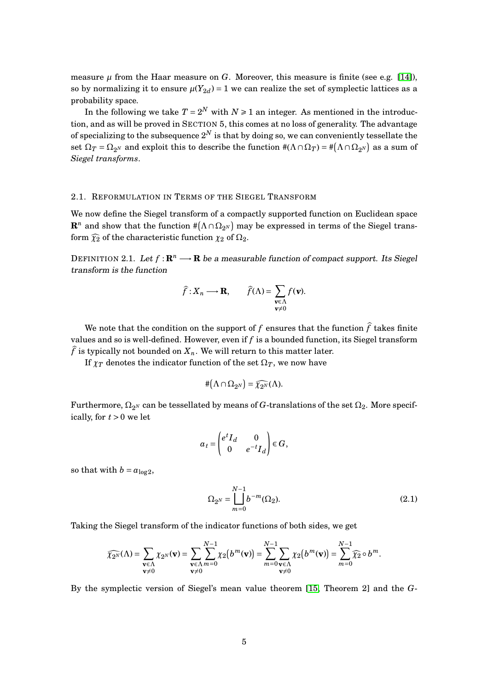measure  $\mu$  from the Haar measure on  $G$ . Moreover, this measure is finite (see e.g. [\[14\]](#page-42-4)), so by normalizing it to ensure  $\mu(Y_{2d}) = 1$  we can realize the set of symplectic lattices as a probability space.

In the following we take  $T = 2^N$  with  $N \ge 1$  an integer. As mentioned in the introduction, and as will be proved in SECTION 5, this comes at no loss of generality. The advantage of specializing to the subsequence  $2^N$  is that by doing so, we can conveniently tessellate the set  $\Omega_T = \Omega_{2^N}$  and exploit this to describe the function  $\#(\Lambda \cap \Omega_T) = \#(\Lambda \cap \Omega_{2^N})$  as a sum of *Siegel transforms*.

### 2.1. REFORMULATION IN TERMS OF THE SIEGEL TRANSFORM

We now define the Siegel transform of a compactly supported function on Euclidean space  ${\bf R}^n$  and show that the function  $\#(\Lambda\cap\Omega_{2^N})$  may be expressed in terms of the Siegel transform  $\widehat{\chi}_2$  of the characteristic function  $\chi_2$  of  $\Omega_2$ .

DEFINITION 2.1. Let  $f: \mathbb{R}^n \longrightarrow \mathbb{R}$  be a measurable function of compact support. Its Siegel transform is the function

$$
\hat{f}: X_n \longrightarrow \mathbf{R}, \qquad \hat{f}(\Lambda) = \sum_{\substack{\mathbf{v} \in \Lambda \\ \mathbf{v} \neq 0}} f(\mathbf{v}).
$$

We note that the condition on the support of f ensures that the function  $\hat{f}$  takes finite values and so is well-defined. However, even if *f* is a bounded function, its Siegel transform  $\hat{f}$  is typically not bounded on  $X_n$ . We will return to this matter later.

If  $\chi_T$  denotes the indicator function of the set  $\Omega_T$ , we now have

$$
\#(\Lambda \cap \Omega_{2^N}) = \widehat{\chi_{2^N}}(\Lambda).
$$

Furthermore,  $\Omega_{2^N}$  can be tessellated by means of  $G$ -translations of the set  $\Omega_2$ . More specifically, for  $t > 0$  we let

$$
a_t = \begin{pmatrix} e^t I_d & 0 \\ 0 & e^{-t} I_d \end{pmatrix} \in G,
$$

so that with  $b = a_{\log 2}$ ,

$$
\Omega_{2^N} = \bigcup_{m=0}^{N-1} b^{-m}(\Omega_2).
$$
\n(2.1)

Taking the Siegel transform of the indicator functions of both sides, we get

$$
\widehat{\chi_{2^N}}(\Lambda) = \sum_{\substack{\mathbf{v} \in \Lambda \\ \mathbf{v} \neq 0}} \chi_{2^N}(\mathbf{v}) = \sum_{\substack{\mathbf{v} \in \Lambda \\ \mathbf{v} \neq 0}} \sum_{m=0}^{N-1} \chi_2(b^m(\mathbf{v})) = \sum_{m=0}^{N-1} \sum_{\substack{\mathbf{v} \in \Lambda \\ \mathbf{v} \neq 0}} \chi_2(b^m(\mathbf{v})) = \sum_{m=0}^{N-1} \widehat{\chi_2} \circ b^m.
$$

By the symplectic version of Siegel's mean value theorem [\[15,](#page-42-5) Theorem 2] and the *G*-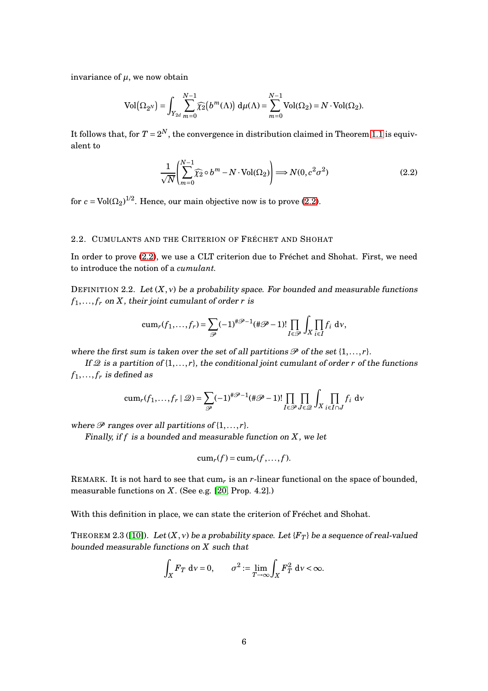invariance of  $\mu$ , we now obtain

$$
Vol(\Omega_{2^N}) = \int_{Y_{2d}} \sum_{m=0}^{N-1} \widehat{\chi_2}(b^m(\Lambda)) d\mu(\Lambda) = \sum_{m=0}^{N-1} Vol(\Omega_2) = N \cdot Vol(\Omega_2).
$$

It follows that, for  $T = 2^N$ , the convergence in distribution claimed in Theorem [1.1](#page-2-0) is equivalent to

<span id="page-5-1"></span>
$$
\frac{1}{\sqrt{N}} \left( \sum_{m=0}^{N-1} \widehat{\chi}_2 \circ b^m - N \cdot \text{Vol}(\Omega_2) \right) \Longrightarrow N(0, c^2 \sigma^2)
$$
\n(2.2)

for  $c = \text{Vol}(\Omega_2)^{1/2}$ . Hence, our main objective now is to prove [\(2.2\)](#page-5-1).

#### 2.2. CUMULANTS AND THE CRITERION OF FRÉCHET AND SHOHAT

In order to prove [\(2.2\)](#page-5-1), we use a CLT criterion due to Fréchet and Shohat. First, we need to introduce the notion of a *cumulant.*

DEFINITION 2.2. Let  $(X, y)$  be a probability space. For bounded and measurable functions  $f_1, \ldots, f_r$  on *X*, their joint cumulant of order *r* is

$$
\operatorname{cum}_r(f_1,\ldots,f_r)=\sum_{\mathscr{P}}(-1)^{\#\mathscr{P}-1}(\#\mathscr{P}-1)!\prod_{I\in\mathscr{P}}\int_X\prod_{i\in I}f_i\ d\nu,
$$

where the first sum is taken over the set of all partitions  $\mathcal P$  of the set  $\{1,\ldots,r\}$ .

If  $\mathcal{Q}$  is a partition of  $\{1,\ldots,r\}$ , the conditional joint cumulant of order *r* of the functions  $f_1, \ldots, f_r$  is defined as

$$
\operatorname{cum}_r(f_1,\ldots,f_r \mid \mathcal{Q}) = \sum_{\mathcal{P}} (-1)^{\#\mathcal{P}-1} (\#\mathcal{P}-1)! \prod_{I \in \mathcal{P}} \prod_{J \in \mathcal{Q}} \int_X \prod_{i \in I \cap J} f_i \, \mathrm{d}v
$$

where  $\mathscr P$  ranges over all partitions of  $\{1,\ldots,r\}$ .

Finally, if *f* is <sup>a</sup> bounded and measurable function on *X*, we let

$$
\operatorname{cum}_r(f) = \operatorname{cum}_r(f, \ldots, f).
$$

REMARK. It is not hard to see that cum*<sup>r</sup>* is an *r*-linear functional on the space of bounded, measurable functions on *X*. (See e.g. [\[20,](#page-42-6) Prop. 4.2].)

With this definition in place, we can state the criterion of Fréchet and Shohat.

<span id="page-5-0"></span>THEOREM 2.3 ([\[10\]](#page-41-6)). Let  $(X, v)$  be a probability space. Let  ${F_T}$  be a sequence of real-valued bounded measurable functions on *X* such that

$$
\int_X F_T \, \mathrm{d} \nu = 0, \qquad \sigma^2 := \lim_{T \to \infty} \int_X F_T^2 \, \mathrm{d} \nu < \infty.
$$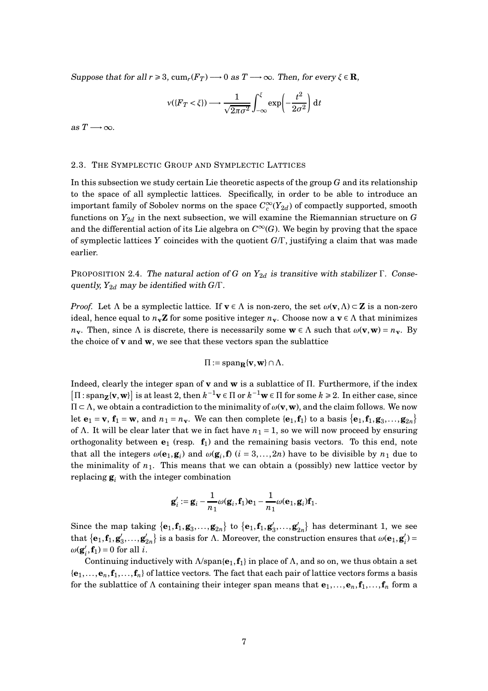Suppose that for all  $r \ge 3$ ,  $\text{cum}_r(F_T) \longrightarrow 0$  as  $T \longrightarrow \infty$ . Then, for every  $\xi \in \mathbb{R}$ ,

$$
v({F_T < \xi}) \longrightarrow \frac{1}{\sqrt{2\pi\sigma^2}} \int_{-\infty}^{\xi} \exp\left(-\frac{t^2}{2\sigma^2}\right) dt
$$

as  $T \rightarrow \infty$ .

#### 2.3. THE SYMPLECTIC GROUP AND SYMPLECTIC LATTICES

In this subsection we study certain Lie theoretic aspects of the group *G* and its relationship to the space of all symplectic lattices. Specifically, in order to be able to introduce an important family of Sobolev norms on the space  $C_c^\infty(Y_{2d})$  of compactly supported, smooth functions on  $Y_{2d}$  in the next subsection, we will examine the Riemannian structure on  $G$ and the differential action of its Lie algebra on  $C^{\infty}(G)$ . We begin by proving that the space of symplectic lattices *Y* coincides with the quotient *G*/Γ, justifying a claim that was made earlier.

<span id="page-6-0"></span>PROPOSITION 2.4. The natural action of *G* on  $Y_{2d}$  is transitive with stabilizer Γ. Consequently, *Y*2*<sup>d</sup>* may be identified with *G*/Γ.

*Proof.* Let  $\Lambda$  be a symplectic lattice. If  $\mathbf{v} \in \Lambda$  is non-zero, the set  $\omega(\mathbf{v}, \Lambda) \subset \mathbf{Z}$  is a non-zero ideal, hence equal to  $n_v \mathbf{Z}$  for some positive integer  $n_v$ . Choose now a  $v \in \Lambda$  that minimizes *n***v**. Then, since Λ is discrete, there is necessarily some  $\mathbf{w} \in \Lambda$  such that  $\omega(\mathbf{v}, \mathbf{w}) = n_{\mathbf{v}}$ . By the choice of **v** and **w**, we see that these vectors span the sublattice

$$
\Pi := \mathrm{span}_{\mathbf{R}} \{ \mathbf{v}, \mathbf{w} \} \cap \Lambda.
$$

Indeed, clearly the integer span of **v** and **w** is a sublattice of Π. Furthermore, if the index  $[\Pi : \text{span}_{\mathbf{Z}}{\{\mathbf{v}, \mathbf{w}\}}]$  is at least 2, then  $k^{-1}\mathbf{v} \in \Pi$  or  $k^{-1}\mathbf{w} \in \Pi$  for some  $k \geq 2$ . In either case, since <sup>Π</sup> <sup>⊂</sup> <sup>Λ</sup>, we obtain a contradiction to the minimality of *<sup>ω</sup>*(**v**,**w**), and the claim follows. We now let  $\mathbf{e}_1 = \mathbf{v}$ ,  $\mathbf{f}_1 = \mathbf{w}$ , and  $n_1 = n_\mathbf{v}$ . We can then complete  $\{\mathbf{e}_1, \mathbf{f}_1\}$  to a basis  $\{\mathbf{e}_1, \mathbf{f}_1, \mathbf{g}_3, \dots, \mathbf{g}_{2n}\}$ of  $\Lambda$ . It will be clear later that we in fact have  $n_1 = 1$ , so we will now proceed by ensuring orthogonality between **e**<sup>1</sup> (resp. **f**1) and the remaining basis vectors. To this end, note that all the integers  $\omega(\mathbf{e}_1, \mathbf{g}_i)$  and  $\omega(\mathbf{g}_i, \mathbf{f})$  ( $i = 3,...,2n$ ) have to be divisible by  $n_1$  due to the minimality of  $n_1$ . This means that we can obtain a (possibly) new lattice vector by replacing  $\mathbf{g}_i$  with the integer combination

$$
\mathbf{g}'_i := \mathbf{g}_i - \frac{1}{n_1} \omega(\mathbf{g}_i, \mathbf{f}_1) \mathbf{e}_1 - \frac{1}{n_1} \omega(\mathbf{e}_1, \mathbf{g}_i) \mathbf{f}_1.
$$

Since the map taking  $\{\mathbf{e}_1, \mathbf{f}_1, \mathbf{g}_3, \ldots, \mathbf{g}_{2n}\}$  to  $\{\mathbf{e}_1, \mathbf{f}_1, \mathbf{g}_3', \ldots, \mathbf{g}_{2n}'\}$  has determinant 1, we see that  $\{\mathbf{e}_1, \mathbf{f}_1, \mathbf{g}_3', \ldots, \mathbf{g}_{2n}'\}$  is a basis for  $\Lambda$ . Moreover, the construction ensures that  $\omega(\mathbf{e}_1, \mathbf{g}_i') =$  $\omega(\mathbf{g}'_i, \mathbf{f}_1) = 0$  for all *i*.

Continuing inductively with  $\Lambda$ /span ${\bf e}_1, {\bf f}_1$  in place of  $\Lambda$ , and so on, we thus obtain a set  ${\bf e}_1,\ldots,{\bf e}_n,{\bf f}_1,\ldots,{\bf f}_n$  of lattice vectors. The fact that each pair of lattice vectors forms a basis for the sublattice of  $\Lambda$  containing their integer span means that  $\mathbf{e}_1,\ldots,\mathbf{e}_n,\mathbf{f}_1,\ldots,\mathbf{f}_n$  form a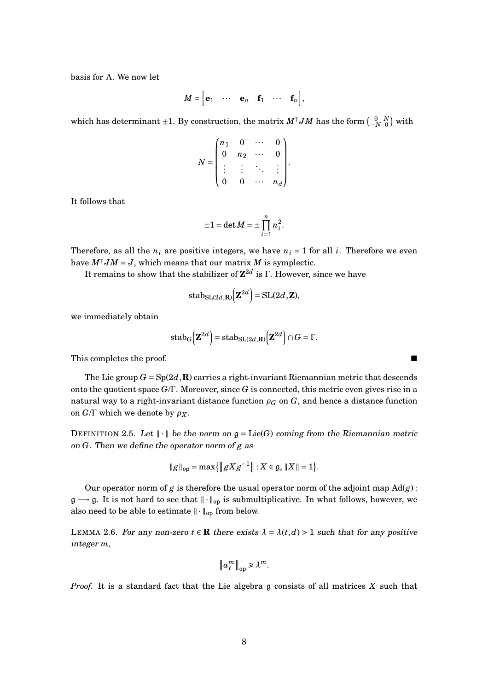basis for Λ. We now let

$$
M = \begin{bmatrix} \mathbf{e}_1 & \cdots & \mathbf{e}_n & \mathbf{f}_1 & \cdots & \mathbf{f}_n \end{bmatrix},
$$

which has determinant ±1. By construction, the matrix  $M^\intercal J M$  has the form  $\left(\begin{smallmatrix} 0 & N\ -N & 0 \end{smallmatrix}\right)$  with

$$
N = \begin{pmatrix} n_1 & 0 & \cdots & 0 \\ 0 & n_2 & \cdots & 0 \\ \vdots & \vdots & \ddots & \vdots \\ 0 & 0 & \cdots & n_d \end{pmatrix}.
$$

It follows that

$$
\pm 1 = \det M = \pm \prod_{i=1}^{n} n_i^2.
$$

Therefore, as all the  $n_i$  are positive integers, we have  $n_i = 1$  for all *i*. Therefore we even have  $M^{\dagger} J M = J$ , which means that our matrix *M* is symplectic.

It remains to show that the stabilizer of **Z** 2*d* is Γ. However, since we have

$$
stab_{\mathrm{SL}(2d,\mathbf{R})}(\mathbf{Z}^{2d}) = \mathrm{SL}(2d,\mathbf{Z}),
$$

we immediately obtain

$$
\mathrm{stab}_G\left(\mathbf{Z}^{2d}\right) = \mathrm{stab}_{\mathrm{SL}(2d,\mathbf{R})}\left(\mathbf{Z}^{2d}\right) \cap G = \Gamma.
$$

This completes the proof.

The Lie group  $G = Sp(2d, \mathbf{R})$  carries a right-invariant Riemannian metric that descends onto the quotient space *G*/Γ. Moreover, since *G* is connected, this metric even gives rise in a natural way to a right-invariant distance function  $\rho_G$  on  $G$ , and hence a distance function on  $G/\Gamma$  which we denote by  $\rho_X$ .

DEFINITION 2.5. Let  $\|\cdot\|$  be the norm on  $\mathfrak{g} = \text{Lie}(G)$  coming from the Riemannian metric on *G*. Then we define the operator norm of *g* as

$$
\|g\|_{\text{op}} = \max\{\|gXg^{-1}\| : X \in \mathfrak{g}, \|X\| = 1\}.
$$

Our operator norm of *g* is therefore the usual operator norm of the adjoint map  $\text{Ad}(g)$ :  $\mathfrak{g} \longrightarrow \mathfrak{g}$ . It is not hard to see that  $\|\cdot\|_{op}$  is submultiplicative. In what follows, however, we also need to be able to estimate  $\|\cdot\|_{\text{op}}$  from below.

<span id="page-7-0"></span>LEMMA 2.6. For any non-zero  $t \in \mathbb{R}$  there exists  $\lambda = \lambda(t,d) > 1$  such that for any positive integer *m*,

$$
||a_t^m||_{op} \ge \lambda^m.
$$

*Proof.* It is a standard fact that the Lie algebra g consists of all matrices *X* such that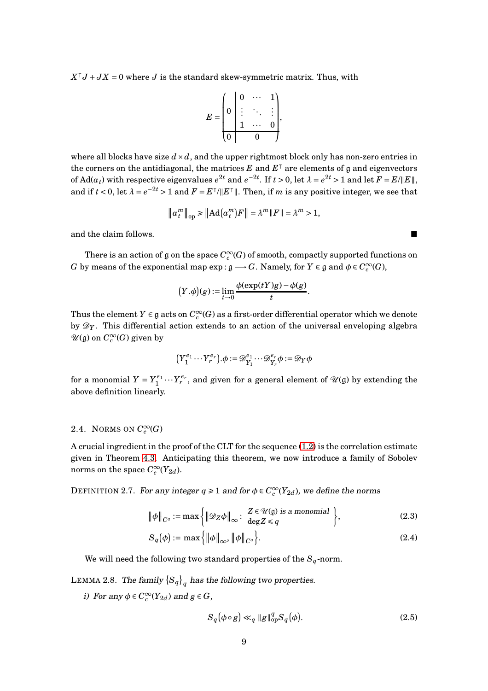$X^{\dagger}J + JX = 0$  where *J* is the standard skew-symmetric matrix. Thus, with

$$
E = \begin{pmatrix} 0 & 0 & \cdots & 1 \\ 0 & \vdots & \ddots & \vdots \\ 1 & \cdots & 0 \\ 0 & 0 & \cdots \end{pmatrix},
$$

where all blocks have size  $d \times d$ , and the upper rightmost block only has non-zero entries in the corners on the antidiagonal, the matrices  $E$  and  $E^\intercal$  are elements of  $\mathfrak g$  and eigenvectors of  $\text{Ad}(a_t)$  with respective eigenvalues  $e^{2t}$  and  $e^{-2t}$ . If  $t > 0$ , let  $\lambda = e^{2t} > 1$  and let  $F = E / ||E||$ , and if  $t < 0$ , let  $\lambda = e^{-2t} > 1$  and  $F = E^{\top}/||E^{\top}||$ . Then, if *m* is any positive integer, we see that

$$
\left\|a_{t}^{m}\right\|_{\text{op}} \geq \left\|\mathrm{Ad}\big(a_{t}^{m}\big)F\right\|=\lambda^{m}\left\|F\right\|=\lambda^{m}>1,
$$

and the claim follows.

There is an action of  $\mathfrak g$  on the space  $C^\infty_c(G)$  of smooth, compactly supported functions on *G* by means of the exponential map  $\exp : \mathfrak{g} \longrightarrow G$ . Namely, for  $Y \in \mathfrak{g}$  and  $\phi \in C_c^{\infty}(G)$ ,

$$
(Y.\phi)(g) := \lim_{t \to 0} \frac{\phi(\exp(tY)g) - \phi(g)}{t}.
$$

Thus the element  $Y \in \mathfrak{g}$  acts on  $C_c^{\infty}(G)$  as a first-order differential operator which we denote by D*<sup>Y</sup>* . This differential action extends to an action of the universal enveloping algebra  $\mathscr{U}(\mathfrak{g})$  on  $C_c^\infty(G)$  given by

$$
\big(Y_1^{e_1}\cdots Y_r^{e_r}\big).\phi:=\mathcal{D}_{Y_1}^{e_1}\cdots\mathcal{D}_{Y_r}^{e_r}\phi:=\mathcal{D}_Y\phi
$$

for a monomial  $Y = Y_1^{e_1}$  $\frac{1}{1} \cdots Y_r^{e_r}$ , and given for a general element of  $\mathcal{U}(\mathfrak{g})$  by extending the above definition linearly.

## 2.4. NORMS ON  $C_c^{\infty}(G)$

A crucial ingredient in the proof of the CLT for the sequence  $(1.2)$  is the correlation estimate given in Theorem [4.3.](#page-23-0) Anticipating this theorem, we now introduce a family of Sobolev norms on the space  $C_c^{\infty}(Y_{2d})$ .

DEFINITION 2.7. For any integer  $q \ge 1$  and for  $\phi \in C_c^{\infty}(Y_{2d})$ , we define the norms

$$
\|\phi\|_{C^q} := \max\left\{ \|\mathcal{D}_Z \phi\|_{\infty} : \begin{array}{l} Z \in \mathcal{U}(\mathfrak{g}) \text{ is a monomial} \\ \deg Z \leq q \end{array} \right\},\tag{2.3}
$$

$$
S_q(\phi) := \max\left\{ \|\phi\|_{\infty}, \|\phi\|_{C^q} \right\}.
$$
 (2.4)

We will need the following two standard properties of the *Sq*-norm.

LEMMA 2.8. The family  $\{S_q\}_q$  has the following two properties.

*i*) For any  $\phi \in C_c^{\infty}(Y_{2d})$  and  $g \in G$ ,

<span id="page-8-0"></span>
$$
S_q(\phi \circ g) \ll_q \|g\|_{op}^q S_q(\phi). \tag{2.5}
$$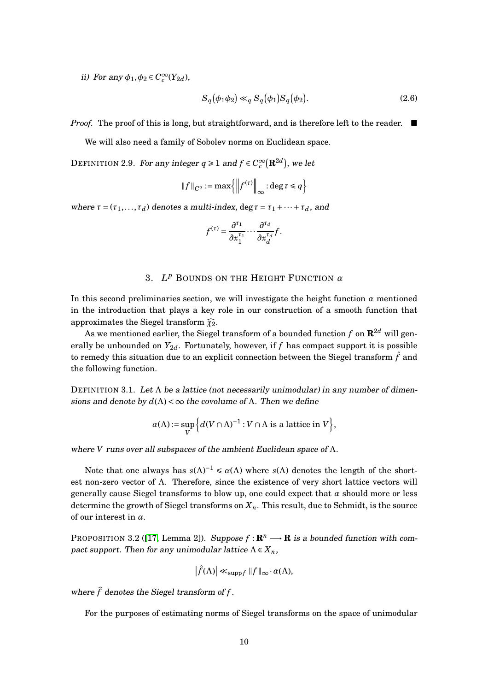ii) For any  $\phi_1, \phi_2 \in C_c^{\infty}(Y_{2d})$ ,

<span id="page-9-1"></span>
$$
S_q(\phi_1 \phi_2) \ll_q S_q(\phi_1) S_q(\phi_2). \tag{2.6}
$$

*Proof.* The proof of this is long, but straightforward, and is therefore left to the reader. ■

We will also need a family of Sobolev norms on Euclidean space.

DEFINITION 2.9. For any integer  $q \ge 1$  and  $f \in C_c^{\infty}(\mathbf{R}^{2d})$ , we let

$$
\|f\|_{C^q} := \max\left\{ \left\| f^{(\tau)} \right\|_{\infty} : \deg \tau \leq q \right\}
$$

where  $\tau = (\tau_1, \ldots, \tau_d)$  denotes a multi-index, deg  $\tau = \tau_1 + \cdots + \tau_d$ , and

$$
f^{(\tau)} = \frac{\partial^{\tau_1}}{\partial x_1^{\tau_1}} \cdots \frac{\partial^{\tau_d}}{\partial x_d^{\tau_d}} f.
$$

# 3. *L <sup>p</sup>* BOUNDS ON THE HEIGHT FUNCTION *α*

In this second preliminaries section, we will investigate the height function  $\alpha$  mentioned in the introduction that plays a key role in our construction of a smooth function that approximates the Siegel transform  $\widehat{\chi}_2$ .

As we mentioned earlier, the Siegel transform of a bounded function  $f$  on  $\mathbb{R}^{2d}$  will generally be unbounded on  $Y_{2d}$ . Fortunately, however, if f has compact support it is possible to remedy this situation due to an explicit connection between the Siegel transform  $\hat{f}$  and the following function.

DEFINITION 3.1. Let  $\Lambda$  be a lattice (not necessarily unimodular) in any number of dimensions and denote by  $d(\Lambda) < \infty$  the covolume of  $\Lambda$ . Then we define

$$
\alpha(\Lambda) := \sup_{V} \left\{ d(V \cap \Lambda)^{-1} : V \cap \Lambda \text{ is a lattice in } V \right\},\
$$

where *V* runs over all subspaces of the ambient Euclidean space of Λ.

Note that one always has  $s(\Lambda)^{-1} \leq \alpha(\Lambda)$  where  $s(\Lambda)$  denotes the length of the shortest non-zero vector of  $\Lambda$ . Therefore, since the existence of very short lattice vectors will generally cause Siegel transforms to blow up, one could expect that *α* should more or less determine the growth of Siegel transforms on  $X_n$ . This result, due to Schmidt, is the source of our interest in *α*.

<span id="page-9-0"></span>PROPOSITION 3.2 ([\[17,](#page-42-3) Lemma 2]). Suppose  $f: \mathbb{R}^n \longrightarrow \mathbb{R}$  is a bounded function with compact support. Then for any unimodular lattice  $\Lambda \in X_n$ ,

$$
\left|\widehat{f}(\Lambda)\right| \ll_{\operatorname{supp} f} \|f\|_{\infty} \cdot \alpha(\Lambda),
$$

where  $\hat{f}$  denotes the Siegel transform of  $f$ .

For the purposes of estimating norms of Siegel transforms on the space of unimodular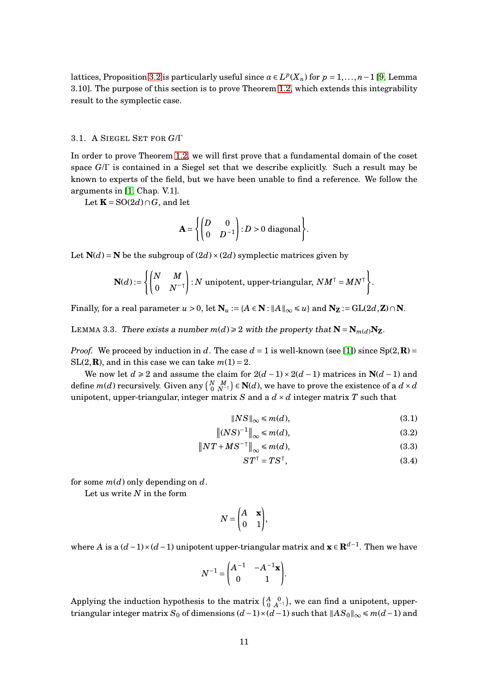lattices, Proposition [3.2](#page-9-0) is particularly useful since  $\alpha \in L^p(X_n)$  for  $p = 1, \ldots, n-1$  [\[9,](#page-41-7) Lemma 3.10]. The purpose of this section is to prove Theorem [1.2,](#page-3-0) which extends this integrability result to the symplectic case.

#### 3.1. A SIEGEL SET FOR *G*/Γ

In order to prove Theorem [1.2,](#page-3-0) we will first prove that a fundamental domain of the coset space *G*/Γ is contained in a Siegel set that we describe explicitly. Such a result may be known to experts of the field, but we have been unable to find a reference. We follow the arguments in [\[1,](#page-41-8) Chap. V.1].

Let  $\mathbf{K} = \text{SO}(2d) \cap G$ , and let

$$
\mathbf{A} = \left\{ \begin{pmatrix} D & 0 \\ 0 & D^{-1} \end{pmatrix} : D > 0 \text{ diagonal} \right\}.
$$

Let  $N(d) = N$  be the subgroup of  $(2d) \times (2d)$  symplectic matrices given by

$$
\mathbf{N}(d) := \left\{ \begin{pmatrix} N & M \\ 0 & N^{-\top} \end{pmatrix} : N \text{ unipotent, upper-triangular, } NM^\top = MN^\top \right\}.
$$

Finally, for a real parameter  $u > 0$ , let  $N_u := {A \in N : ||A||_{\infty} \le u}$  and  $N_Z := GL(2d, Z) \cap N$ .

<span id="page-10-3"></span>LEMMA 3.3. There exists a number  $m(d) \ge 2$  with the property that  $N = N_{m(d)}N_Z$ .

*Proof.* We proceed by induction in *d*. The case  $d = 1$  is well-known (see [\[1\]](#page-41-8)) since  $Sp(2, \mathbb{R}) =$  $SL(2,\mathbf{R})$ , and in this case we can take  $m(1) = 2$ .

We now let  $d \ge 2$  and assume the claim for  $2(d-1) \times 2(d-1)$  matrices in  $N(d-1)$  and define  $m(d)$  recursively. Given any  $\binom{N-M}{0\ N^{-1}}\in \mathbf N(d),$  we have to prove the existence of a  $d\times d$ unipotent, upper-triangular, integer matrix *S* and a  $d \times d$  integer matrix *T* such that

$$
\|NS\|_{\infty} \le m(d),\tag{3.1}
$$

$$
\left\| \left( NS \right)^{-1} \right\|_{\infty} \leqslant m(d),\tag{3.2}
$$

$$
\|NT + MS^{-\top}\|_{\infty} \le m(d),\tag{3.3}
$$

<span id="page-10-2"></span><span id="page-10-1"></span><span id="page-10-0"></span>
$$
ST^{\top} = TS^{\top},\tag{3.4}
$$

for some *m*(*d*) only depending on *d*.

Let us write *N* in the form

$$
N = \begin{pmatrix} A & \mathbf{x} \\ 0 & 1 \end{pmatrix},
$$

where *<sup>A</sup>* is a (*d*−1)×(*d*−1) unipotent upper-triangular matrix and **<sup>x</sup>** <sup>∈</sup> **<sup>R</sup>***d*−<sup>1</sup> . Then we have

$$
N^{-1} = \begin{pmatrix} A^{-1} & -A^{-1}x \\ 0 & 1 \end{pmatrix}.
$$

Applying the induction hypothesis to the matrix  $\left(\begin{smallmatrix}A&0\0&A^{-\intercal}\end{smallmatrix}\right)$ , we can find a unipotent, uppertriangular integer matrix *S*<sub>0</sub> of dimensions  $(d-1) \times (d-1)$  such that  $||AS_0||_{\infty} \le m(d-1)$  and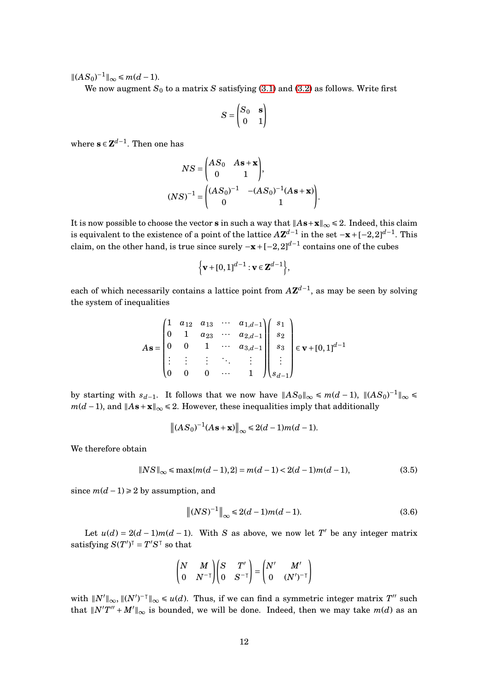$\|(AS_0)^{-1}\|_{\infty} \le m(d-1).$ 

We now augment  $S_0$  to a matrix *S* satisfying [\(3.1\)](#page-10-0) and [\(3.2\)](#page-10-1) as follows. Write first

$$
S=\begin{pmatrix} S_0 & \mathbf{s} \\ 0 & 1 \end{pmatrix}
$$

where  $\mathbf{s} \in \mathbf{Z}^{d-1}$ . Then one has

$$
NS = \begin{pmatrix} AS_0 & As + \mathbf{x} \\ 0 & 1 \end{pmatrix},
$$
  

$$
(NS)^{-1} = \begin{pmatrix} (AS_0)^{-1} & -(AS_0)^{-1}(As + \mathbf{x}) \\ 0 & 1 \end{pmatrix}.
$$

It is now possible to choose the vector **s** in such a way that  $||A\mathbf{s}+\mathbf{x}||_{\infty} \le 2$ . Indeed, this claim is equivalent to the existence of a point of the lattice  $A\mathbf{Z}^{d-1}$  in the set  $-\mathbf{x} + [-2,2]^{d-1}$ . This claim, on the other hand, is true since surely  $-\mathbf{x} + [-2,2]^{d-1}$  contains one of the cubes

$$
\Big\{\mathbf{v} + [0,1]^{d-1} : \mathbf{v} \in \mathbf{Z}^{d-1}\Big\},\
$$

each of which necessarily contains a lattice point from *A***Z** *d*−1 , as may be seen by solving the system of inequalities

$$
A\mathbf{s} = \begin{pmatrix} 1 & a_{12} & a_{13} & \cdots & a_{1,d-1} \\ 0 & 1 & a_{23} & \cdots & a_{2,d-1} \\ 0 & 0 & 1 & \cdots & a_{3,d-1} \\ \vdots & \vdots & \vdots & \ddots & \vdots \\ 0 & 0 & 0 & \cdots & 1 \end{pmatrix} \begin{pmatrix} s_1 \\ s_2 \\ s_3 \\ \vdots \\ s_{d-1} \end{pmatrix} \in \mathbf{v} + [0,1]^{d-1}
$$

by starting with  $s_{d-1}$ . It follows that we now have  $||AS_0||_{\infty} \le m(d-1)$ ,  $||(AS_0)^{-1}||_{\infty} \le$ *m*( $d$  −1), and  $||A$ **s** + **x** $||_{\infty}$  ≤ 2. However, these inequalities imply that additionally

$$
||(AS_0)^{-1}(As+\mathbf{x})||_{\infty} \le 2(d-1)m(d-1).
$$

We therefore obtain

$$
||NS||_{\infty} \le \max\{m(d-1), 2\} = m(d-1) < 2(d-1)m(d-1),\tag{3.5}
$$

since  $m(d-1) \ge 2$  by assumption, and

<span id="page-11-1"></span><span id="page-11-0"></span>
$$
\|(NS)^{-1}\|_{\infty} \le 2(d-1)m(d-1). \tag{3.6}
$$

Let  $u(d) = 2(d-1)m(d-1)$ . With *S* as above, we now let *T*<sup>'</sup> be any integer matrix  $\text{satisfying } S(T')^\dagger = T'S^\dagger \text{ so that}$ 

$$
\begin{pmatrix} N & M \\ 0 & N^{-\top} \end{pmatrix} \begin{pmatrix} S & T' \\ 0 & S^{-\top} \end{pmatrix} = \begin{pmatrix} N' & M' \\ 0 & (N')^{-\top} \end{pmatrix}
$$

with  $\|N'\|_{\infty}$ ,  $\|(N')^{-\top}\|_{\infty} \leq u(d)$ . Thus, if we can find a symmetric integer matrix  $T''$  such that  $\|N'T'' + M'\|_{\infty}$  is bounded, we will be done. Indeed, then we may take  $m(d)$  as an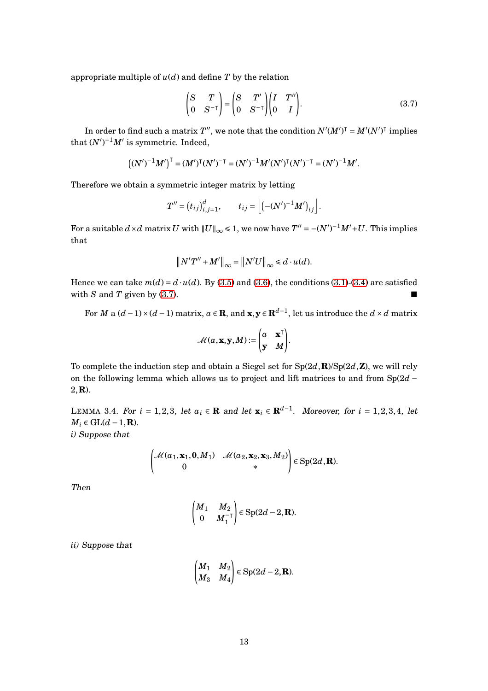appropriate multiple of  $u(d)$  and define  $T$  by the relation

<span id="page-12-0"></span>
$$
\begin{pmatrix} S & T \\ 0 & S^{-\top} \end{pmatrix} = \begin{pmatrix} S & T' \\ 0 & S^{-\top} \end{pmatrix} \begin{pmatrix} I & T'' \\ 0 & I \end{pmatrix} . \tag{3.7}
$$

In order to find such a matrix  $T''$ , we note that the condition  $N'(M')^\intercal = M'(N')^\intercal$  implies that  $(N')^{-1}M'$  is symmetric. Indeed,

$$
((N')^{-1}M')^{T} = (M')^{T}(N')^{-T} = (N')^{-1}M'(N')^{T}(N')^{-T} = (N')^{-1}M'.
$$

Therefore we obtain a symmetric integer matrix by letting

$$
T'' = (t_{ij})_{i,j=1}^d, \qquad t_{ij} = \left[ \left( -(N')^{-1} M' \right)_{ij} \right].
$$

For a suitable  $d \times d$  matrix  $U$  with  $||U||_{\infty} \leq 1$ , we now have  $T'' = -(N')^{-1}M' + U$ . This implies that

$$
||N'T'' + M'||_{\infty} = ||N'U||_{\infty} \le d \cdot u(d).
$$

Hence we can take  $m(d) = d \cdot u(d)$ . By [\(3.5\)](#page-11-0) and [\(3.6\)](#page-11-1), the conditions [\(3.1\)](#page-10-0)-[\(3.4\)](#page-10-2) are satisfied with  $S$  and  $T$  given by [\(3.7\)](#page-12-0).

For *M* a  $(d-1) \times (d-1)$  matrix,  $a \in \mathbb{R}$ , and  $\mathbf{x}, \mathbf{y} \in \mathbb{R}^{d-1}$ , let us introduce the  $d \times d$  matrix

$$
\mathcal{M}(a, \mathbf{x}, \mathbf{y}, M) := \begin{pmatrix} a & \mathbf{x}^{\mathsf{T}} \\ \mathbf{y} & M \end{pmatrix}.
$$

To complete the induction step and obtain a Siegel set for Sp(2*d*,**R**)/Sp(2*d*,**Z**), we will rely on the following lemma which allows us to project and lift matrices to and from Sp(2*d* − 2,**R**).

<span id="page-12-1"></span>LEMMA 3.4. For  $i = 1,2,3$ , let  $a_i \in \mathbf{R}$  and let  $\mathbf{x}_i \in \mathbf{R}^{d-1}$ . Moreover, for  $i = 1,2,3,4$ , let  $M_i \in GL(d-1,\mathbf{R})$ . *i)* Suppose that

$$
\begin{pmatrix} \mathcal{M}(a_1,\mathbf{x}_1,\mathbf{0},M_1) & \mathcal{M}(a_2,\mathbf{x}_2,\mathbf{x}_3,M_2) \\ 0 & * \end{pmatrix} \in \text{Sp}(2d,\mathbf{R}).
$$

Then

$$
\begin{pmatrix} M_1 & M_2 \\ 0 & M_1^{-\mathsf{T}} \end{pmatrix} \in \text{Sp}(2d-2,\mathbf{R}).
$$

*ii)* Suppose that

$$
\begin{pmatrix} M_1 & M_2 \ M_3 & M_4 \end{pmatrix} \in \text{Sp}(2d-2,\mathbf{R}).
$$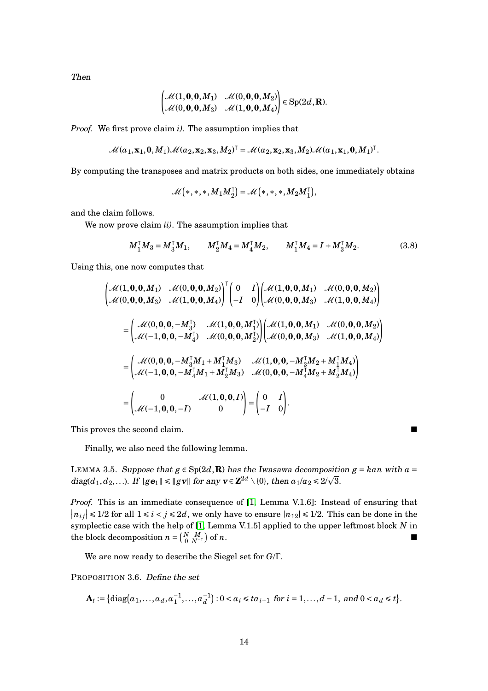Then

$$
\begin{pmatrix} \mathcal{M}(1,0,0,M_1) & \mathcal{M}(0,0,0,M_2) \\ \mathcal{M}(0,0,0,M_3) & \mathcal{M}(1,0,0,M_4) \end{pmatrix} \in Sp(2d,\mathbf{R}).
$$

*Proof.* We first prove claim *i)*. The assumption implies that

$$
\mathcal{M}(a_1,\mathbf{x}_1,\mathbf{0},M_1)\mathcal{M}(a_2,\mathbf{x}_2,\mathbf{x}_3,M_2)^\top=\mathcal{M}(a_2,\mathbf{x}_2,\mathbf{x}_3,M_2)\mathcal{M}(a_1,\mathbf{x}_1,\mathbf{0},M_1)^\top.
$$

By computing the transposes and matrix products on both sides, one immediately obtains

$$
\mathcal{M} \left(*, *, *, M_1M_2^{\intercal} \right) = \mathcal{M} \left(*, *, *, M_2M_1^{\intercal} \right),
$$

and the claim follows.

We now prove claim *ii)*. The assumption implies that

$$
M_1^{\mathsf{T}} M_3 = M_3^{\mathsf{T}} M_1, \qquad M_2^{\mathsf{T}} M_4 = M_4^{\mathsf{T}} M_2, \qquad M_1^{\mathsf{T}} M_4 = I + M_3^{\mathsf{T}} M_2. \tag{3.8}
$$

Using this, one now computes that

$$
\begin{bmatrix}\n\mathcal{M}(1,0,0,M_1) & \mathcal{M}(0,0,0,M_2) \\
\mathcal{M}(0,0,0,M_3) & \mathcal{M}(1,0,0,M_4)\n\end{bmatrix}^T\n\begin{bmatrix}\n0 & I \\
-I & 0\n\end{bmatrix}\n\begin{bmatrix}\n\mathcal{M}(1,0,0,M_1) & \mathcal{M}(0,0,0,M_2) \\
\mathcal{M}(0,0,0,M_3) & \mathcal{M}(1,0,0,M_4)\n\end{bmatrix}
$$
\n
$$
=\n\begin{bmatrix}\n\mathcal{M}(0,0,0,-M_3^T) & \mathcal{M}(1,0,0,M_1^T) \\
\mathcal{M}(-1,0,0,-M_4^T) & \mathcal{M}(0,0,0,M_2^T)\n\end{bmatrix}\n\begin{bmatrix}\n\mathcal{M}(1,0,0,M_1) & \mathcal{M}(0,0,0,M_2) \\
\mathcal{M}(0,0,0,M_3) & \mathcal{M}(1,0,0,M_4)\n\end{bmatrix}
$$
\n
$$
=\n\begin{bmatrix}\n\mathcal{M}(0,0,0,-M_3^T M_1 + M_1^T M_3) & \mathcal{M}(1,0,0,-M_3^T M_2 + M_1^T M_4) \\
\mathcal{M}(-1,0,0,-M_4^T M_1 + M_2^T M_3) & \mathcal{M}(0,0,0,-M_4^T M_2 + M_2^T M_4)\n\end{bmatrix}
$$
\n
$$
=\n\begin{bmatrix}\n0 & \mathcal{M}(1,0,0,I) \\
\mathcal{M}(-1,0,0,-I) & 0\n\end{bmatrix} =\n\begin{bmatrix}\n0 & I \\
-I & 0\n\end{bmatrix}.
$$

This proves the second claim. ■

Finally, we also need the following lemma.

<span id="page-13-0"></span>LEMMA 3.5. Suppose that  $g \in Sp(2d, \mathbf{R})$  has the Iwasawa decomposition  $g = kan$  with  $a =$ diag( $d_1, d_2,...$ ). If  $\|g\mathbf{e}_1\| \le \|g\mathbf{v}\|$  for any  $\mathbf{v} \in \mathbb{Z}^{2d} \setminus \{0\}$ , then  $a_1/a_2 \le 2/\sqrt{3}$ .

*Proof.* This is an immediate consequence of [\[1,](#page-41-8) Lemma V.1.6]: Instead of ensuring that  $|n_{ij}| \le 1/2$  for all  $1 \le i \le j \le 2d$ , we only have to ensure  $|n_{12}| \le 1/2$ . This can be done in the symplectic case with the help of [\[1,](#page-41-8) Lemma V.1.5] applied to the upper leftmost block *N* in  ${\rm the \,\, block \,\, decomposition} \,\, n = \left( \begin{smallmatrix} N & M \ 0 & N^{-\intercal} \end{smallmatrix} \right)$ of  $n$ .

We are now ready to describe the Siegel set for *G*/Γ.

PROPOSITION 3.6. Define the set

$$
\mathbf{A}_t := \{ \mathrm{diag}(a_1,\ldots,a_d,a_1^{-1},\ldots,a_d^{-1}) : 0 < a_i \leq t a_{i+1} \text{ for } i = 1,\ldots,d-1, \text{ and } 0 < a_d \leq t \}.
$$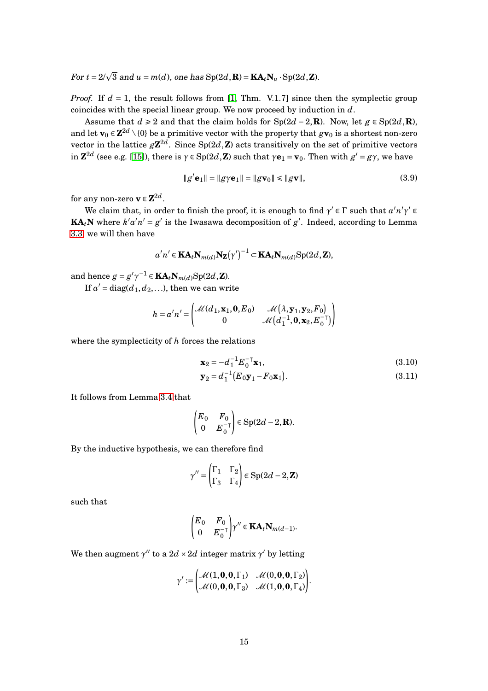For  $t = 2/\sqrt{3}$  and  $u = m(d)$ , one has  $Sp(2d,\mathbf{R}) = \mathbf{KA}_t \mathbf{N}_u \cdot Sp(2d,\mathbf{Z})$ .

*Proof.* If  $d = 1$ , the result follows from [\[1,](#page-41-8) Thm. V.1.7] since then the symplectic group coincides with the special linear group. We now proceed by induction in *d*.

Assume that  $d \ge 2$  and that the claim holds for Sp(2*d* − 2, **R**). Now, let  $g \in Sp(2d, \mathbf{R})$ , and let  $\mathbf{v}_0 \in \mathbf{Z}^{2d} \setminus \{0\}$  be a primitive vector with the property that  $g\mathbf{v}_0$  is a shortest non-zero vector in the lattice  $g{\bf Z}^{2d}$ . Since  ${\rm Sp}(2d,{\bf Z})$  acts transitively on the set of primitive vectors  $\text{Im } \mathbf{Z}^{2d}$  (see e.g. [\[15\]](#page-42-5)), there is  $\gamma \in \text{Sp}(2d,\mathbf{Z})$  such that  $\gamma \mathbf{e}_1 = \mathbf{v}_0$ . Then with  $g' = g\gamma$ , we have

<span id="page-14-2"></span>
$$
||g'e_1|| = ||g\gamma e_1|| = ||g\mathbf{v}_0|| \le ||g\mathbf{v}||,\tag{3.9}
$$

for any non-zero  $\mathbf{v} \in \mathbf{Z}^{2d}$ .

We claim that, in order to finish the proof, it is enough to find  $\gamma' \in \Gamma$  such that  $a'n'\gamma' \in \Gamma$ **KA**<sub>*t*</sub>**N** where  $k'a'n' = g'$  is the Iwasawa decomposition of  $g'$ . Indeed, according to Lemma [3.3,](#page-10-3) we will then have

$$
a'n' \in \mathbf{KA}_t \mathbf{N}_{m(d)} \mathbf{N}_{\mathbf{Z}}(\gamma')^{-1} \subset \mathbf{KA}_t \mathbf{N}_{m(d)} \mathrm{Sp}(2d, \mathbf{Z}),
$$

and hence  $g = g'\gamma^{-1} \in \mathbf{KA}_t\mathbf{N}_{m(d)}\text{Sp}(2d,\mathbf{Z})$ .

If  $a'$  = diag( $d_1, d_2, ...$ ), then we can write

$$
h = a'n' = \begin{pmatrix} \mathcal{M}(d_1, \mathbf{x}_1, \mathbf{0}, E_0) & \mathcal{M}(\lambda, \mathbf{y}_1, \mathbf{y}_2, F_0) \\ 0 & \mathcal{M}(d_1^{-1}, \mathbf{0}, \mathbf{x}_2, E_0^{-1}) \end{pmatrix}
$$

where the symplecticity of *h* forces the relations

<span id="page-14-1"></span><span id="page-14-0"></span>
$$
\mathbf{x}_2 = -d_1^{-1} E_0^{-T} \mathbf{x}_1,
$$
\n(3.10)  
\n
$$
\mathbf{y}_2 = d_1^{-1} (E_0 \mathbf{y}_1 - F_0 \mathbf{x}_1).
$$
\n(3.11)

It follows from Lemma [3.4](#page-12-1) that

$$
\begin{pmatrix} E_0 & F_0 \\ 0 & E_0^{-\mathsf{T}} \end{pmatrix} \in \text{Sp}(2d-2,\mathbf{R}).
$$

By the inductive hypothesis, we can therefore find

$$
\gamma'' = \begin{pmatrix} \Gamma_1 & \Gamma_2 \\ \Gamma_3 & \Gamma_4 \end{pmatrix} \in \text{Sp}(2d-2, \mathbf{Z})
$$

such that

$$
\begin{pmatrix} E_0 & F_0 \\ 0 & E_0^{-\top} \end{pmatrix} \gamma'' \in \mathbf{KA}_t \mathbf{N}_{m(d-1)}.
$$

We then augment  $\gamma''$  to a  $2d \times 2d$  integer matrix  $\gamma'$  by letting

$$
\gamma':=\begin{pmatrix} \mathcal{M}(1,\mathbf{0},\mathbf{0},\Gamma_1) & \mathcal{M}(0,\mathbf{0},\mathbf{0},\Gamma_2) \\ \mathcal{M}(0,\mathbf{0},\mathbf{0},\Gamma_3) & \mathcal{M}(1,\mathbf{0},\mathbf{0},\Gamma_4) \end{pmatrix}.
$$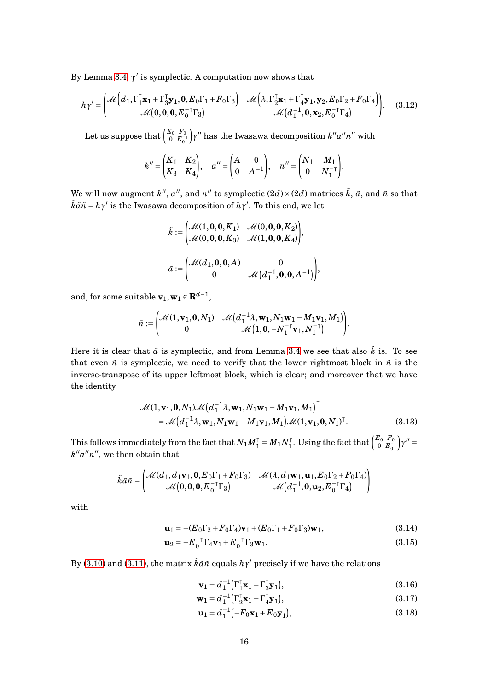By Lemma [3.4,](#page-12-1)  $\gamma'$  is symplectic. A computation now shows that

$$
h\gamma' = \begin{pmatrix} \mathcal{M} \left( d_1, \Gamma_1^{\mathsf{T}} \mathbf{x}_1 + \Gamma_3^{\mathsf{T}} \mathbf{y}_1, \mathbf{0}, E_0 \Gamma_1 + F_0 \Gamma_3 \right) & \mathcal{M} \left( \lambda, \Gamma_2^{\mathsf{T}} \mathbf{x}_1 + \Gamma_4^{\mathsf{T}} \mathbf{y}_1, \mathbf{y}_2, E_0 \Gamma_2 + F_0 \Gamma_4 \right) \\ \mathcal{M} \left( 0, \mathbf{0}, \mathbf{0}, E_0^{-\mathsf{T}} \Gamma_3 \right) & \mathcal{M} \left( d_1^{-1}, \mathbf{0}, \mathbf{x}_2, E_0^{-\mathsf{T}} \Gamma_4 \right) \end{pmatrix} . \tag{3.12}
$$

Let us suppose that  $\begin{pmatrix} E_0 & F_0 \\ 0 & F \end{pmatrix}$  $0$   $E_0^{-\intercal}$  $\gamma''$  has the Iwasawa decomposition  $k''a''n''$  with

$$
k'' = \begin{pmatrix} K_1 & K_2 \\ K_3 & K_4 \end{pmatrix}, \quad a'' = \begin{pmatrix} A & 0 \\ 0 & A^{-1} \end{pmatrix}, \quad n'' = \begin{pmatrix} N_1 & M_1 \\ 0 & N_1^{-1} \end{pmatrix}.
$$

We will now augment  $k''$ ,  $a''$ , and  $n''$  to symplectic  $(2d) \times (2d)$  matrices  $\tilde{k}$ ,  $\tilde{a}$ , and  $\tilde{n}$  so that  $\tilde{k}\tilde{a}\tilde{n} = h\gamma'$  is the Iwasawa decomposition of  $h\gamma'$ . To this end, we let

$$
\tilde{k} := \begin{pmatrix} \mathcal{M}(1,0,0,K_1) & \mathcal{M}(0,0,0,K_2) \\ \mathcal{M}(0,0,0,K_3) & \mathcal{M}(1,0,0,K_4) \end{pmatrix},
$$

$$
\tilde{a} := \begin{pmatrix} \mathcal{M}(d_1,0,0,A) & 0 \\ 0 & \mathcal{M}(d_1^{-1},0,0,A^{-1}) \end{pmatrix},
$$

and, for some suitable  $\mathbf{v}_1, \mathbf{w}_1 \in \mathbf{R}^{d-1}$ ,

$$
\tilde{n} := \begin{pmatrix} \mathcal{M}(1,\mathbf{v}_1,\mathbf{0},N_1) & \mathcal{M}\left(d_1^{-1}\lambda,\mathbf{w}_1,N_1\mathbf{w}_1-M_1\mathbf{v}_1,M_1\right) \\ 0 & \mathcal{M}\left(1,\mathbf{0},-N_1^{-\top}\mathbf{v}_1,N_1^{-\top}\right) \end{pmatrix}.
$$

Here it is clear that  $\tilde{a}$  is symplectic, and from Lemma [3.4](#page-12-1) we see that also  $\tilde{k}$  is. To see that even  $\tilde{n}$  is symplectic, we need to verify that the lower rightmost block in  $\tilde{n}$  is the inverse-transpose of its upper leftmost block, which is clear; and moreover that we have the identity

$$
\mathcal{M}(1, \mathbf{v}_1, \mathbf{0}, N_1) \mathcal{M}\left(d_1^{-1}\lambda, \mathbf{w}_1, N_1\mathbf{w}_1 - M_1\mathbf{v}_1, M_1\right)^{\top} \n= \mathcal{M}\left(d_1^{-1}\lambda, \mathbf{w}_1, N_1\mathbf{w}_1 - M_1\mathbf{v}_1, M_1\right) \mathcal{M}(1, \mathbf{v}_1, \mathbf{0}, N_1)^{\top}.
$$
\n(3.13)

This follows immediately from the fact that  $N_1M_1^\intercal$  =  $M_1N_1^\intercal$  . Using the fact that  $\left(\begin{smallmatrix} E_0 & F_0 \ 0 & E_0^- \end{smallmatrix}\right)$  $0 E_0^{-\intercal}$  $\bigg) \gamma'' =$  $k''a''n''$ , we then obtain that

$$
\tilde{k}\tilde{a}\tilde{n} = \begin{pmatrix} \mathcal{M}(d_1, d_1\mathbf{v}_1, \mathbf{0}, E_0\Gamma_1 + F_0\Gamma_3) & \mathcal{M}(\lambda, d_1\mathbf{w}_1, \mathbf{u}_1, E_0\Gamma_2 + F_0\Gamma_4) \\ \mathcal{M}(0, \mathbf{0}, \mathbf{0}, E_0^{-\top}\Gamma_3) & \mathcal{M}(d_1^{-1}, \mathbf{0}, \mathbf{u}_2, E_0^{-\top}\Gamma_4) \end{pmatrix}
$$

with

$$
\mathbf{u}_1 = -(E_0 \Gamma_2 + F_0 \Gamma_4) \mathbf{v}_1 + (E_0 \Gamma_1 + F_0 \Gamma_3) \mathbf{w}_1, \tag{3.14}
$$

$$
\mathbf{u}_2 = -E_0^{-T} \Gamma_4 \mathbf{v}_1 + E_0^{-T} \Gamma_3 \mathbf{w}_1.
$$
 (3.15)

By [\(3.10\)](#page-14-0) and [\(3.11\)](#page-14-1), the matrix  $\tilde{k}\tilde{a}\tilde{n}$  equals  $h\gamma'$  precisely if we have the relations

<span id="page-15-3"></span><span id="page-15-2"></span><span id="page-15-0"></span>
$$
\mathbf{v}_1 = d_1^{-1} \left( \Gamma_1^{\mathsf{T}} \mathbf{x}_1 + \Gamma_3^{\mathsf{T}} \mathbf{y}_1 \right),\tag{3.16}
$$

$$
\mathbf{w}_1 = d_1^{-1} \left( \Gamma_2^{\mathsf{T}} \mathbf{x}_1 + \Gamma_4^{\mathsf{T}} \mathbf{y}_1 \right),\tag{3.17}
$$

<span id="page-15-4"></span><span id="page-15-1"></span>
$$
\mathbf{u}_1 = d_1^{-1} \left( -F_0 \mathbf{x}_1 + E_0 \mathbf{y}_1 \right),\tag{3.18}
$$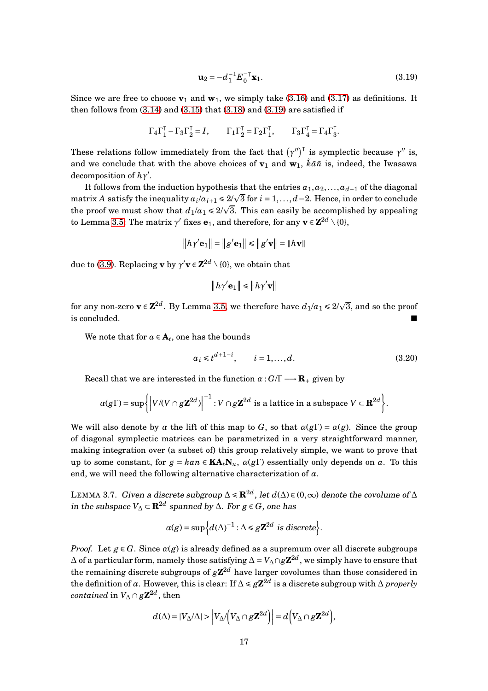<span id="page-16-0"></span>
$$
\mathbf{u}_2 = -d_1^{-1} E_0^{-\mathsf{T}} \mathbf{x}_1. \tag{3.19}
$$

Since we are free to choose  $\mathbf{v}_1$  and  $\mathbf{w}_1$ , we simply take [\(3.16\)](#page-15-0) and [\(3.17\)](#page-15-1) as definitions. It then follows from  $(3.14)$  and  $(3.15)$  that  $(3.18)$  and  $(3.19)$  are satisfied if

$$
\Gamma_4 \Gamma_1^{\mathsf{T}} - \Gamma_3 \Gamma_2^{\mathsf{T}} = I, \qquad \Gamma_1 \Gamma_2^{\mathsf{T}} = \Gamma_2 \Gamma_1^{\mathsf{T}}, \qquad \Gamma_3 \Gamma_4^{\mathsf{T}} = \Gamma_4 \Gamma_3^{\mathsf{T}}.
$$

These relations follow immediately from the fact that  $(\gamma'')^{\dagger}$  is symplectic because  $\gamma''$  is, and we conclude that with the above choices of  $v_1$  and  $w_1$ ,  $\tilde{k}\tilde{a}\tilde{n}$  is, indeed, the Iwasawa decomposition of *hγ* ′ .

It follows from the induction hypothesis that the entries  $a_1, a_2, \ldots, a_{d-1}$  of the diagonal matrix *A* satisfy the inequality  $a_i/a_{i+1} \le 2/\sqrt{3}$  for  $i = 1, ..., d-2$ . Hence, in order to conclude the proof we must show that  $d_1/a_1 \leq 2/\sqrt{3}$ . This can easily be accomplished by appealing to Lemma [3.5:](#page-13-0) The matrix  $\gamma'$  fixes  $\mathbf{e}_1$ , and therefore, for any  $\mathbf{v} \in \mathbf{Z}^{2d} \setminus \{0\}$ ,

$$
\left\|h\gamma' \mathbf{e}_1\right\|=\left\|g' \mathbf{e}_1\right\|\leqslant\left\|g' \mathbf{v}\right\|=\left\|h\mathbf{v}\right\|
$$

due to [\(3.9\)](#page-14-2). Replacing **v** by  $\gamma'$ **v**  $\in \mathbb{Z}^{2d} \setminus \{0\}$ , we obtain that

<span id="page-16-1"></span>
$$
\left\|h\gamma'{\bf e}_1\right\|\leqslant \left\|h\gamma'{\bf v}\right\|
$$

for any non-zero  $\mathbf{v} \in \mathbf{Z}^{2d}$ . By Lemma [3.5,](#page-13-0) we therefore have  $d_1/a_1 \leq 2/\sqrt{3}$ , and so the proof is concluded. ■

We note that for  $a \in A_t$ , one has the bounds

$$
a_i \leq t^{d+1-i}, \qquad i = 1, \dots, d. \tag{3.20}
$$

Recall that we are interested in the function  $\alpha: G/\Gamma \longrightarrow \mathbf{R}_+$  given by

$$
\alpha(g\Gamma)=\sup\bigg\{\bigg|V/(V\cap g\mathbf{Z}^{2d})\bigg|^{-1}:V\cap g\mathbf{Z}^{2d}\text{ is a lattice in a subspace }V\subset\mathbf{R}^{2d}\bigg\}.
$$

We will also denote by  $\alpha$  the lift of this map to *G*, so that  $\alpha(g\Gamma) = \alpha(g)$ . Since the group of diagonal symplectic matrices can be parametrized in a very straightforward manner, making integration over (a subset of) this group relatively simple, we want to prove that up to some constant, for  $g = kan \in \mathbf{KA}_t \mathbf{N}_u$ ,  $\alpha(g\Gamma)$  essentially only depends on a. To this end, we will need the following alternative characterization of *α*.

<span id="page-16-2"></span>LEMMA 3.7. Given a discrete subgroup  $\Delta \le \mathbf{R}^{2d}$ , let  $d(\Delta) \in (0,\infty)$  denote the covolume of  $\Delta$ in the subspace  $V_{\Delta}$  ⊂  $\mathbf{R}^{2d}$  spanned by  $\Delta$ . For  $g \in G$ , one has

$$
\alpha(g) = \sup \Big\{ d(\Delta)^{-1} : \Delta \le g \mathbf{Z}^{2d} \text{ is discrete} \Big\}.
$$

*Proof.* Let  $g \in G$ . Since  $\alpha(g)$  is already defined as a supremum over all discrete subgroups ∆ of a particular form, namely those satisfying  $\Delta = V_\Delta \cap g\mathbf{Z}^{2d}$ , we simply have to ensure that the remaining discrete subgroups of  $g{\bf Z}^{2d}$  have larger covolumes than those considered in the definition of *α*. However, this is clear: If  $\Delta \leq g\mathbb{Z}^{2d}$  is a discrete subgroup with  $\Delta$  *properly*  $contained$  in  $V_{\Delta} \cap g\mathbf{Z}^{2d}$ , then

$$
d(\Delta) = |V_{\Delta}/\Delta| > |V_{\Delta}/(V_{\Delta} \cap g\mathbf{Z}^{2d})| = d(V_{\Delta} \cap g\mathbf{Z}^{2d}),
$$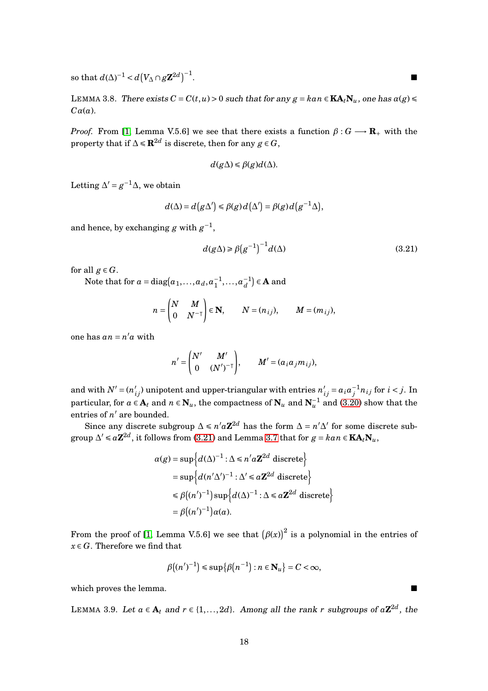so that  $d(\Delta)^{-1} < d(V_\Delta \cap g\mathbf{Z}^{2d})^{-1}$ 

<span id="page-17-1"></span>LEMMA 3.8. There exists  $C = C(t, u) > 0$  such that for any  $g = kan \in \mathbf{KA}_t \mathbf{N}_u$ , one has  $\alpha(g) \leq$ *Cα*(*a*).

*Proof.* From [\[1,](#page-41-8) Lemma V.5.6] we see that there exists a function  $\beta: G \longrightarrow \mathbf{R}_+$  with the property that if  $\Delta \le \mathbf{R}^{2d}$  is discrete, then for any  $g \in G$ ,

$$
d(g\Delta)\leq \beta(g)d(\Delta).
$$

Letting  $\Delta' = g^{-1}\Delta$ , we obtain

$$
d(\Delta) = d(g\Delta') \leq \beta(g)d(\Delta') = \beta(g)d(g^{-1}\Delta),
$$

and hence, by exchanging  $g$  with  $g^{-1}$ ,

<span id="page-17-0"></span>
$$
d(g\Delta) \ge \beta \left(g^{-1}\right)^{-1} d(\Delta) \tag{3.21}
$$

for all  $g \in G$ .

Note that for  $a = diag(a_1, ..., a_d, a_1^{-1}, ..., a_d^{-1}) \in \mathbf{A}$  and

$$
n = \begin{pmatrix} N & M \\ 0 & N^{-\top} \end{pmatrix} \in \mathbf{N}, \qquad N = (n_{ij}), \qquad M = (m_{ij}),
$$

 $one has an = n'a with$ 

$$
n' = \begin{pmatrix} N' & M' \\ 0 & (N')^{-\top} \end{pmatrix}, \qquad M' = (a_i a_j m_{ij}),
$$

and with  $N' = (n'_{ij})$  unipotent and upper-triangular with entries  $n'_{ij} = a_i a_j^{-1} n_{ij}$  for  $i < j$ . In particular, for  $a \in \mathbf{A}_t$  and  $n \in \mathbf{N}_u$ , the compactness of  $\mathbf{N}_u$  and  $\mathbf{N}_u^{-1}$  and [\(3.20\)](#page-16-1) show that the entries of *n* ′ are bounded.

Since any discrete subgroup  $\Delta \leq n' a \mathbb{Z}^{2d}$  has the form  $\Delta = n' \Delta'$  for some discrete subgroup  $\Delta' \le a\mathbf{Z}^{2d}$ , it follows from [\(3.21\)](#page-17-0) and Lemma [3.7](#page-16-2) that for  $g = kan \in \mathbf{KA}_t\mathbf{N}_u$ ,

$$
\alpha(g) = \sup \Big\{ d(\Delta)^{-1} : \Delta \le n' a \mathbb{Z}^{2d} \text{ discrete} \Big\}
$$
  
= 
$$
\sup \Big\{ d(n' \Delta')^{-1} : \Delta' \le a \mathbb{Z}^{2d} \text{ discrete} \Big\}
$$
  

$$
\le \beta((n')^{-1}) \sup \Big\{ d(\Delta)^{-1} : \Delta \le a \mathbb{Z}^{2d} \text{ discrete} \Big\}
$$
  
= 
$$
\beta((n')^{-1}) \alpha(a).
$$

From the proof of [\[1,](#page-41-8) Lemma V.5.6] we see that  $(\beta(x))^2$  is a polynomial in the entries of  $x \in G$ . Therefore we find that

$$
\beta((n')^{-1}) \leqslant \sup\{\beta(n^{-1}) : n \in \mathbf{N}_u\} = C < \infty,
$$

which proves the lemma.  $\blacksquare$ 

<span id="page-17-2"></span>LEMMA 3.9. Let  $a \in A_t$  and  $r \in \{1, ..., 2d\}$ . Among all the rank  $r$  subgroups of  $a\mathbf{Z}^{2d}$ , the

. ■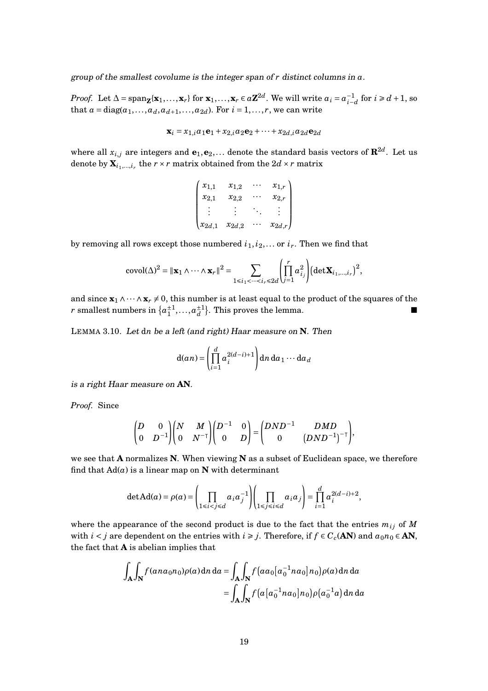group of the smallest covolume is the integer span of *r* distinct columns in *a*.

*Proof.* Let  $\Delta = \text{span}_{\mathbf{Z}}\{\mathbf{x}_1,\dots,\mathbf{x}_r\}$  for  $\mathbf{x}_1,\dots,\mathbf{x}_r \in a\mathbf{Z}^{2d}$ . We will write  $a_i = a_{i-d}^{-1}$  for  $i \ge d+1$ , so that  $a = diag(a_1, ..., a_d, a_{d+1}, ..., a_{2d})$ . For  $i = 1, ..., r$ , we can write

$$
\mathbf{x}_i = x_{1,i}a_1\mathbf{e}_1 + x_{2,i}a_2\mathbf{e}_2 + \dots + x_{2d,i}a_{2d}\mathbf{e}_{2d}
$$

where all  $x_{i,j}$  are integers and  $\mathbf{e}_1, \mathbf{e}_2, \ldots$  denote the standard basis vectors of  $\mathbf{R}^{2d}$ . Let us denote by  $\mathbf{X}_{i_1,...,i_r}$  the  $r \times r$  matrix obtained from the  $2d \times r$  matrix

$$
\begin{pmatrix} x_{1,1} & x_{1,2} & \cdots & x_{1,r} \\ x_{2,1} & x_{2,2} & \cdots & x_{2,r} \\ \vdots & \vdots & \ddots & \vdots \\ x_{2d,1} & x_{2d,2} & \cdots & x_{2d,r} \end{pmatrix}
$$

by removing all rows except those numbered  $i_1, i_2, \ldots$  or  $i_r$ . Then we find that

$$
\mathrm{covol}(\Delta)^2 = \|\mathbf{x}_1 \wedge \cdots \wedge \mathbf{x}_r\|^2 = \sum_{1 \le i_1 < \cdots < i_r \le 2d} \left( \prod_{j=1}^r a_{i_j}^2 \right) \left( \det \mathbf{X}_{i_1, \ldots, i_r} \right)^2,
$$

and since  $\mathbf{x}_1 \wedge \cdots \wedge \mathbf{x}_r \neq 0$ , this number is at least equal to the product of the squares of the *r* smallest numbers in  $\{a_1^{\pm 1},...,a_d^{\pm 1}\}$ . This proves the lemma.

<span id="page-18-0"></span>LEMMA 3.10. Let d*n* be <sup>a</sup> left (and right) Haar measure on **N**. Then

$$
d(an) = \left(\prod_{i=1}^{d} a_i^{2(d-i)+1}\right) dn \, da_1 \cdots da_d
$$

is <sup>a</sup> right Haar measure on **AN**.

*Proof.* Since

$$
\begin{pmatrix} D & 0 \\ 0 & D^{-1} \end{pmatrix} \begin{pmatrix} N & M \\ 0 & N^{-\mathsf{T}} \end{pmatrix} \begin{pmatrix} D^{-1} & 0 \\ 0 & D \end{pmatrix} = \begin{pmatrix} DND^{-1} & DMD \\ 0 & (DND^{-1})^{-\mathsf{T}} \end{pmatrix},
$$

we see that **A** normalizes **N**. When viewing **N** as a subset of Euclidean space, we therefore find that  $Ad(a)$  is a linear map on **N** with determinant

$$
\det \mathbf{A} d(a) = \rho(a) = \left(\prod_{1 \le i < j \le d} a_i a_j^{-1}\right) \left(\prod_{1 \le j \le i \le d} a_i a_j\right) = \prod_{i=1}^d a_i^{2(d-i)+2},
$$

where the appearance of the second product is due to the fact that the entries  $m_{ij}$  of  $M$ with *i* < *j* are dependent on the entries with *i*  $\geq$  *j*. Therefore, if  $f \in C_c(\mathbf{AN})$  and  $a_0n_0 \in \mathbf{AN}$ , the fact that **A** is abelian implies that

$$
\int_{\mathbf{A}} \int_{\mathbf{N}} f(ana_0n_0)\rho(a) dn da = \int_{\mathbf{A}} \int_{\mathbf{N}} f\left(aa_0[a_0^{-1}na_0]n_0\right) \rho(a) dn da
$$

$$
= \int_{\mathbf{A}} \int_{\mathbf{N}} f\left(a[a_0^{-1}na_0]n_0\right) \rho(a_0^{-1}a) dn da
$$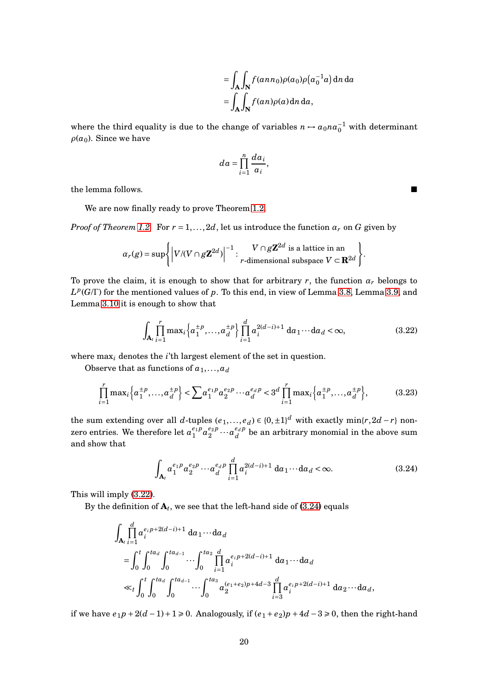$$
= \int_{\mathbf{A}} \int_{\mathbf{N}} f(ann_0)\rho(a_0)\rho(a_0^{-1}a) \,dn \,da
$$

$$
= \int_{\mathbf{A}} \int_{\mathbf{N}} f(an)\rho(a) \,dn \,da,
$$

where the third equality is due to the change of variables  $n \mapsto a_0 n a_0^{-1}$  with determinant  $\rho(a_0)$ . Since we have

$$
da = \prod_{i=1}^{n} \frac{da_i}{a_i},
$$

the lemma follows.

We are now finally ready to prove Theorem [1.2.](#page-3-0)

*Proof of Theorem [1.2.](#page-3-0)* For  $r = 1, ..., 2d$ , let us introduce the function  $\alpha_r$  on G given by

$$
\alpha_r(g) = \sup \left\{ \left| V/(V \cap g\mathbf{Z}^{2d}) \right|^{-1} : \begin{array}{c} V \cap g\mathbf{Z}^{2d} \text{ is a lattice in an} \\ r\text{-dimensional subspace } V \subset \mathbf{R}^{2d} \end{array} \right\}.
$$

To prove the claim, it is enough to show that for arbitrary  $r$ , the function  $\alpha_r$  belongs to  $L^p(G/\Gamma)$  for the mentioned values of *p*. To this end, in view of Lemma [3.8,](#page-17-1) Lemma [3.9,](#page-17-2) and Lemma [3.10](#page-18-0) it is enough to show that

$$
\int_{\mathbf{A}_t} \prod_{i=1}^r \max_i \left\{ a_1^{\pm p}, \dots, a_d^{\pm p} \right\} \prod_{i=1}^d a_i^{2(d-i)+1} \, da_1 \cdots da_d < \infty,\tag{3.22}
$$

where max*<sup>i</sup>* denotes the *i*'th largest element of the set in question.

Observe that as functions of  $a_1, \ldots, a_d$ 

$$
\prod_{i=1}^{r} \max_{i} \left\{ a_1^{\pm p}, \dots, a_d^{\pm p} \right\} < \sum a_1^{e_1 p} a_2^{e_2 p} \cdots a_d^{e_d p} < 3^d \prod_{i=1}^{r} \max_{i} \left\{ a_1^{\pm p}, \dots, a_d^{\pm p} \right\},\tag{3.23}
$$

the sum extending over all *d*-tuples  $(e_1, ..., e_d) \in \{0, \pm 1\}^d$  with exactly  $\min\{r, 2d - r\}$  nonzero entries. We therefore let  $a_1^{e_1 p}$  $a_1^{e_1 p} a_2^{e_2 p}$  $a_2^{e_2 p} \cdots a_d^{e_d p}$  $d_d^{e_d p}$  be an arbitrary monomial in the above sum and show that

<span id="page-19-1"></span>
$$
\int_{\mathbf{A}_t} a_1^{e_1 p} a_2^{e_2 p} \cdots a_d^{e_d p} \prod_{i=1}^d a_i^{2(d-i)+1} da_1 \cdots da_d < \infty.
$$
 (3.24)

This will imply [\(3.22\)](#page-19-0).

By the definition of  $\mathbf{A}_t$ , we see that the left-hand side of [\(3.24\)](#page-19-1) equals

$$
\int_{\mathbf{A}_{i}} \prod_{i=1}^{d} a_{i}^{e_{i}p+2(d-i)+1} da_{1} \cdots da_{d}
$$
\n
$$
= \int_{0}^{t} \int_{0}^{ta_{d}} \int_{0}^{ta_{d-1}} \cdots \int_{0}^{ta_{2}} \prod_{i=1}^{d} a_{i}^{e_{i}p+2(d-i)+1} da_{1} \cdots da_{d}
$$
\n
$$
\ll_{t} \int_{0}^{t} \int_{0}^{ta_{d}} \int_{0}^{ta_{d-1}} \cdots \int_{0}^{ta_{3}} a_{2}^{(e_{1}+e_{2})p+4d-3} \prod_{i=3}^{d} a_{i}^{e_{i}p+2(d-i)+1} da_{2} \cdots da_{d},
$$

if we have  $e_1p + 2(d-1) + 1 \ge 0$ . Analogously, if  $(e_1 + e_2)p + 4d - 3 \ge 0$ , then the right-hand

<span id="page-19-2"></span><span id="page-19-0"></span>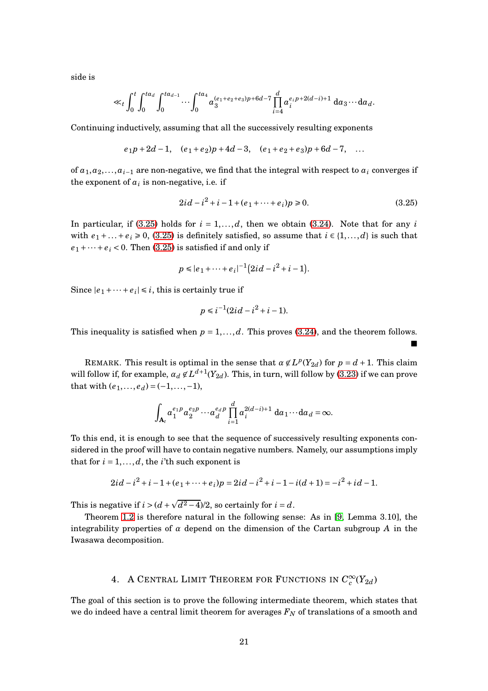side is

$$
\ll_t \int_0^t \int_0^{ta_d} \int_0^{ta_{d-1}} \cdots \int_0^{ta_4} \alpha_3^{(e_1+e_2+e_3)p+6d-7} \prod_{i=4}^d \alpha_i^{e_i p+2(d-i)+1} da_3 \cdots da_d.
$$

Continuing inductively, assuming that all the successively resulting exponents

$$
e_1p+2d-1
$$
,  $(e_1+e_2)p+4d-3$ ,  $(e_1+e_2+e_3)p+6d-7$ , ...

of  $a_1, a_2, \ldots, a_{i-1}$  are non-negative, we find that the integral with respect to  $a_i$  converges if the exponent of  $a_i$  is non-negative, i.e. if

$$
2id - i^2 + i - 1 + (e_1 + \dots + e_i)p \ge 0.
$$
 (3.25)

<span id="page-20-0"></span>■

In particular, if [\(3.25\)](#page-20-0) holds for  $i = 1, \ldots, d$ , then we obtain [\(3.24\)](#page-19-1). Note that for any  $i$ with  $e_1 + ... + e_i \ge 0$ , [\(3.25\)](#page-20-0) is definitely satisfied, so assume that  $i \in \{1, ..., d\}$  is such that  $e_1 + \cdots + e_i < 0$ . Then [\(3.25\)](#page-20-0) is satisfied if and only if

$$
p \le |e_1 + \dots + e_i|^{-1} (2id - i^2 + i - 1).
$$

Since  $|e_1 + \cdots + e_i| \le i$ , this is certainly true if

$$
p \le i^{-1}(2id - i^2 + i - 1).
$$

This inequality is satisfied when  $p = 1, \ldots, d$ . This proves [\(3.24\)](#page-19-1), and the theorem follows.

REMARK. This result is optimal in the sense that  $\alpha \notin L^p(Y_{2d})$  for  $p = d + 1$ . This claim will follow if, for example,  $\alpha_d \not\in L^{d+1}(Y_{2d})$ . This, in turn, will follow by [\(3.23\)](#page-19-2) if we can prove that with  $(e_1, ..., e_d) = (-1, ..., -1)$ ,

$$
\int_{\mathbf{A}_t} a_1^{e_1 p} a_2^{e_2 p} \cdots a_d^{e_d p} \prod_{i=1}^d a_i^{2(d-i)+1} da_1 \cdots da_d = \infty.
$$

To this end, it is enough to see that the sequence of successively resulting exponents considered in the proof will have to contain negative numbers. Namely, our assumptions imply that for  $i = 1, \ldots, d$ , the *i*'th such exponent is

$$
2id - i^2 + i - 1 + (e_1 + \dots + e_i)p = 2id - i^2 + i - 1 - i(d + 1) = -i^2 + id - 1.
$$

This is negative if  $i > (d + \sqrt{d^2 - 4})/2$ , so certainly for  $i = d$ .

Theorem [1.2](#page-3-0) is therefore natural in the following sense: As in [\[9,](#page-41-7) Lemma 3.10], the integrability properties of *α* depend on the dimension of the Cartan subgroup *A* in the Iwasawa decomposition.

# 4. A CENTRAL LIMIT THEOREM FOR FUNCTIONS IN  $C^\infty_c(Y_{2d})$

The goal of this section is to prove the following intermediate theorem, which states that we do indeed have a central limit theorem for averages *F<sup>N</sup>* of translations of a smooth and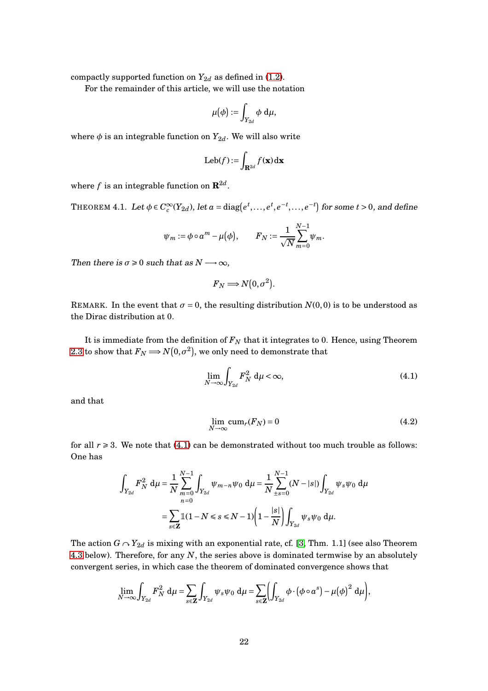compactly supported function on  $Y_{2d}$  as defined in [\(1.2\)](#page-2-1).

For the remainder of this article, we will use the notation

$$
\mu(\phi):=\int_{Y_{2d}}\phi\;\mathrm{d}\mu,
$$

where  $\phi$  is an integrable function on  $Y_{2d}$ . We will also write

$$
\text{Leb}(f) := \int_{\mathbf{R}^{2d}} f(\mathbf{x}) \, \mathrm{d}\mathbf{x}
$$

where  $f$  is an integrable function on  $\mathbf{R}^{2d}$ .

<span id="page-21-0"></span>THEOREM 4.1. Let  $\phi \in C_c^{\infty}(Y_{2d})$ , let  $a = \text{diag}(e^t, \ldots, e^t, e^{-t}, \ldots, e^{-t})$  for some  $t > 0$ , and define

$$
\psi_m := \phi \circ a^m - \mu(\phi), \qquad F_N := \frac{1}{\sqrt{N}} \sum_{m=0}^{N-1} \psi_m.
$$

Then there is  $\sigma \geq 0$  such that as  $N \longrightarrow \infty$ ,

$$
F_N \Longrightarrow N(0, \sigma^2).
$$

REMARK. In the event that  $\sigma = 0$ , the resulting distribution  $N(0,0)$  is to be understood as the Dirac distribution at 0.

It is immediate from the definition of  $F_N$  that it integrates to 0. Hence, using Theorem [2.3](#page-5-0) to show that  $F_N \Longrightarrow N(0,\sigma^2)$ , we only need to demonstrate that

<span id="page-21-1"></span>
$$
\lim_{N \to \infty} \int_{Y_{2d}} F_N^2 \, \mathrm{d}\mu < \infty,\tag{4.1}
$$

and that

<span id="page-21-2"></span>
$$
\lim_{N \to \infty} \text{cum}_r(F_N) = 0 \tag{4.2}
$$

for all  $r \geq 3$ . We note that [\(4.1\)](#page-21-1) can be demonstrated without too much trouble as follows: One has

$$
\int_{Y_{2d}} F_N^2 \, \mathrm{d}\mu = \frac{1}{N} \sum_{m=0}^{N-1} \int_{Y_{2d}} \psi_{m-n} \psi_0 \, \mathrm{d}\mu = \frac{1}{N} \sum_{\pm s=0}^{N-1} (N - |s|) \int_{Y_{2d}} \psi_s \psi_0 \, \mathrm{d}\mu
$$
\n
$$
= \sum_{s \in \mathbb{Z}} \mathbb{1}(1 - N \le s \le N - 1) \left(1 - \frac{|s|}{N}\right) \int_{Y_{2d}} \psi_s \psi_0 \, \mathrm{d}\mu.
$$

The action  $G \cap Y_{2d}$  is mixing with an exponential rate, cf. [\[3,](#page-41-4) Thm. 1.1] (see also Theorem [4.3](#page-23-0) below). Therefore, for any *N*, the series above is dominated termwise by an absolutely convergent series, in which case the theorem of dominated convergence shows that

$$
\lim_{N \to \infty} \int_{Y_{2d}} F_N^2 \, \mathrm{d}\mu = \sum_{s \in \mathbf{Z}} \int_{Y_{2d}} \psi_s \psi_0 \, \mathrm{d}\mu = \sum_{s \in \mathbf{Z}} \Biggl( \int_{Y_{2d}} \phi \cdot (\phi \circ a^s) - \mu(\phi)^2 \, \mathrm{d}\mu \Biggr),
$$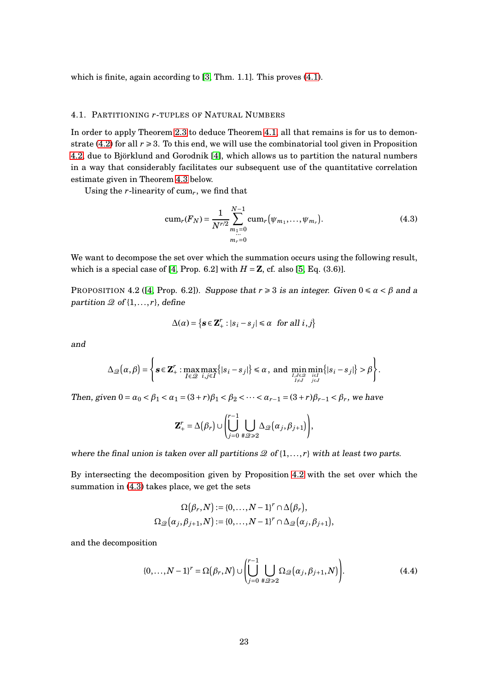which is finite, again according to [\[3,](#page-41-4) Thm. 1.1]. This proves [\(4.1\)](#page-21-1).

#### 4.1. PARTITIONING *r*-TUPLES OF NATURAL NUMBERS

In order to apply Theorem [2.3](#page-5-0) to deduce Theorem [4.1,](#page-21-0) all that remains is for us to demon-strate [\(4.2\)](#page-21-2) for all  $r \ge 3$ . To this end, we will use the combinatorial tool given in Proposition [4.2,](#page-22-0) due to Björklund and Gorodnik [\[4\]](#page-41-5), which allows us to partition the natural numbers in a way that considerably facilitates our subsequent use of the quantitative correlation estimate given in Theorem [4.3](#page-23-0) below.

Using the *r*-linearity of cum*r*, we find that

<span id="page-22-1"></span>
$$
cum_r(F_N) = \frac{1}{N^{r/2}} \sum_{\substack{m_1 = 0 \\ \dots \\ m_r = 0}}^{N-1} cum_r(\psi_{m_1}, \dots, \psi_{m_r}).
$$
\n(4.3)

We want to decompose the set over which the summation occurs using the following result, which is a special case of [\[4,](#page-41-5) Prop. 6.2] with  $H = \mathbb{Z}$ , cf. also [\[5,](#page-41-1) Eq. (3.6)].

<span id="page-22-0"></span>PROPOSITION 4.2 ([\[4,](#page-41-5) Prop. 6.2]). Suppose that  $r \ge 3$  is an integer. Given  $0 \le \alpha < \beta$  and a partition  $\mathcal{Q}$  of  $\{1, \ldots, r\}$ , define

$$
\Delta(\alpha) = \left\{ \mathbf{s} \in \mathbf{Z}_{+}^{r} : |s_{i} - s_{j}| \le \alpha \text{ for all } i, j \right\}
$$

and

$$
\Delta_{\mathscr{Q}}(\alpha,\beta)=\left\{\mathbf{s}\in\mathbf{Z}_{+}^{r}: \max_{I\in\mathscr{Q}}\max_{i,j\in I}\{|s_{i}-s_{j}|\}\leq \alpha\,,\text{ and } \min_{I,J\in\mathscr{Q}}\min_{i\in I}\{|s_{i}-s_{j}|\}>\beta\right\}.
$$

Then, given  $0 = \alpha_0 < \beta_1 < \alpha_1 = (3+r)\beta_1 < \beta_2 < \cdots < \alpha_{r-1} = (3+r)\beta_{r-1} < \beta_r$ , we have

$$
\mathbf{Z}_{+}^{r} = \Delta(\beta_{r}) \cup \left( \bigcup_{j=0}^{r-1} \bigcup_{\#\mathscr{Q} \geq 2} \Delta_{\mathscr{Q}}(\alpha_{j}, \beta_{j+1}) \right),
$$

where the final union is taken over all partitions  $\mathcal{Q}$  of  $\{1,\ldots,r\}$  with at least two parts.

By intersecting the decomposition given by Proposition [4.2](#page-22-0) with the set over which the summation in [\(4.3\)](#page-22-1) takes place, we get the sets

<span id="page-22-2"></span>
$$
\Omega(\beta_r, N) := \{0, \ldots, N-1\}^r \cap \Delta(\beta_r),
$$
  

$$
\Omega_{\mathcal{Q}}(\alpha_j, \beta_{j+1}, N) := \{0, \ldots, N-1\}^r \cap \Delta_{\mathcal{Q}}(\alpha_j, \beta_{j+1}),
$$

and the decomposition

$$
\{0,\ldots,N-1\}^r = \Omega(\beta_r,N) \cup \left(\bigcup_{j=0}^{r-1} \bigcup_{\#\mathcal{Q}\geq 2} \Omega_{\mathcal{Q}}(\alpha_j,\beta_{j+1},N)\right).
$$
(4.4)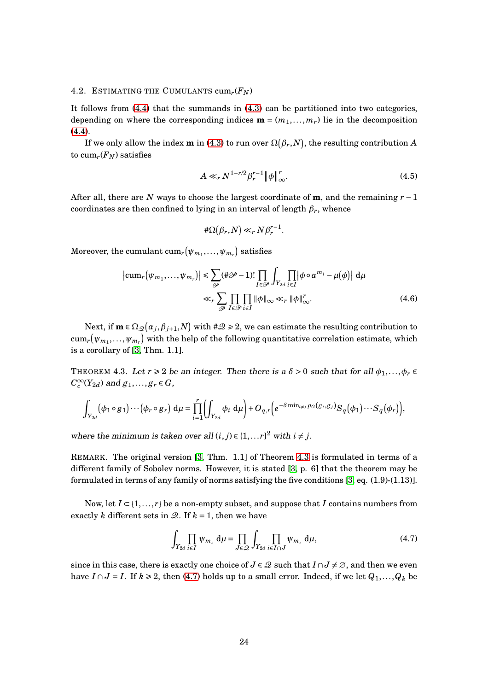#### 4.2. ESTIMATING THE CUMULANTS  $cum_r(F_N)$

It follows from [\(4.4\)](#page-22-2) that the summands in [\(4.3\)](#page-22-1) can be partitioned into two categories, depending on where the corresponding indices  $\mathbf{m} = (m_1, \ldots, m_r)$  lie in the decomposition [\(4.4\)](#page-22-2).

If we only allow the index  $\bf{m}$  in [\(4.3\)](#page-22-1) to run over  $\Omega(\beta_r,N)$ , the resulting contribution  $A$ to  $cum_r(F_N)$  satisfies

<span id="page-23-2"></span>
$$
A \ll_r N^{1-r/2} \beta_r^{r-1} \|\phi\|_{\infty}^r. \tag{4.5}
$$

After all, there are *N* ways to choose the largest coordinate of **m**, and the remaining *r* −1 coordinates are then confined to lying in an interval of length  $\beta_r$ , whence

<span id="page-23-3"></span>
$$
\#\Omega(\beta_r,N)\ll_r N\beta_r^{r-1}.
$$

 $\text{Moreover, the cumulant } \text{cum}_r(\psi_{m_1}, \ldots, \psi_{m_r}) \text{ satisfies }$ 

$$
\left|\text{cum}_r(\psi_{m_1},...,\psi_{m_r})\right| \leq \sum_{\mathcal{P}} (\#\mathcal{P}-1)! \prod_{I \in \mathcal{P}} \int_{Y_{2d}} \prod_{i \in I} |\phi \circ a^{m_i} - \mu(\phi)| d\mu
$$
  

$$
\ll_r \sum_{\mathcal{P}} \prod_{I \in \mathcal{P}} \prod_{i \in I} \|\phi\|_{\infty} \ll_r \|\phi\|_{\infty}^r. \tag{4.6}
$$

Next, if  $\mathbf{m} \in \Omega_{\mathscr{Q}}(a_j, \beta_{j+1}, N)$  with  $\#\mathscr{Q} \geqslant 2$ , we can estimate the resulting contribution to  $\text{cum}_r\big(\psi_{m_1},\ldots,\psi_{m_r}\big)$  with the help of the following quantitative correlation estimate, which is a corollary of [\[3,](#page-41-4) Thm. 1.1].

<span id="page-23-0"></span>THEOREM 4.3. Let  $r \ge 2$  be an integer. Then there is a  $\delta > 0$  such that for all  $\phi_1, \ldots, \phi_r \in$  $C_c^{\infty}(Y_{2d})$  and  $g_1, \ldots, g_r \in G$ ,

$$
\int_{Y_{2d}} (\phi_1 \circ g_1) \cdots (\phi_r \circ g_r) d\mu = \prod_{i=1}^r \left( \int_{Y_{2d}} \phi_i d\mu \right) + O_{q,r} \left( e^{-\delta \min_{i \neq j} \rho_G(g_i, g_j)} S_q(\phi_1) \cdots S_q(\phi_r) \right),
$$

where the minimum is taken over all  $(i, j) \in \{1, \ldots r\}^2$  with  $i \neq j$ .

REMARK. The original version [\[3,](#page-41-4) Thm. 1.1] of Theorem [4.3](#page-23-0) is formulated in terms of a different family of Sobolev norms. However, it is stated [\[3,](#page-41-4) p. 6] that the theorem may be formulated in terms of any family of norms satisfying the five conditions  $[3, \text{eq}, (1.9)-(1.13)]$ .

Now, let  $I \subseteq \{1, \ldots, r\}$  be a non-empty subset, and suppose that *I* contains numbers from exactly *k* different sets in  $\mathcal{Q}$ . If  $k = 1$ , then we have

<span id="page-23-1"></span>
$$
\int_{Y_{2d}} \prod_{i \in I} \psi_{m_i} d\mu = \prod_{J \in \mathcal{Q}} \int_{Y_{2d}} \prod_{i \in I \cap J} \psi_{m_i} d\mu,
$$
\n(4.7)

since in this case, there is exactly one choice of  $J \in \mathcal{Q}$  such that  $I \cap J \neq \emptyset$ , and then we even have  $I \cap J = I$ . If  $k \ge 2$ , then [\(4.7\)](#page-23-1) holds up to a small error. Indeed, if we let  $Q_1, \ldots, Q_k$  be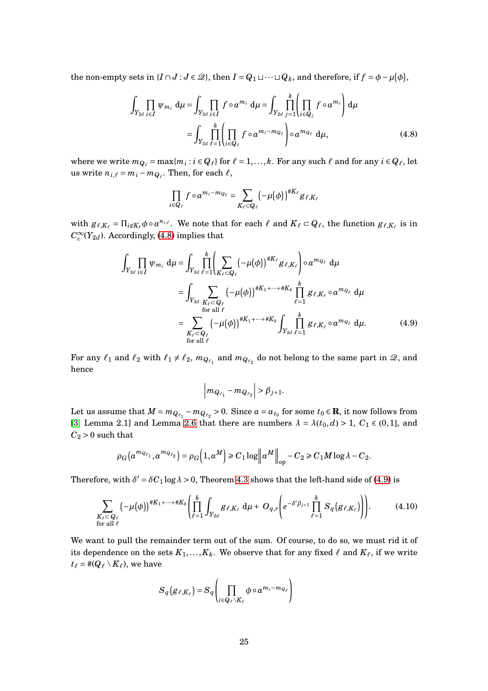the non-empty sets in  $\{I \cap J : J \in \mathcal{Q}\}$ , then  $I = Q_1 \sqcup \cdots \sqcup Q_k$ , and therefore, if  $f = \phi - \mu(\phi)$ ,

$$
\int_{Y_{2d}} \prod_{i \in I} \psi_{m_i} d\mu = \int_{Y_{2d}} \prod_{i \in I} f \circ a^{m_i} d\mu = \int_{Y_{2d}} \prod_{j=1}^{k} \left( \prod_{i \in Q_j} f \circ a^{m_i} \right) d\mu
$$
\n
$$
= \int_{Y_{2d}} \prod_{\ell=1}^{k} \left( \prod_{i \in Q_\ell} f \circ a^{m_i - m_{Q_\ell}} \right) \circ a^{m_{Q_\ell}} d\mu, \tag{4.8}
$$

where we write  $m_{Q_\ell} = \max\{m_i : i \in Q_\ell\}$  for  $\ell = 1, ..., k$ . For any such  $\ell$  and for any  $i \in Q_\ell$ , let us write  $n_{i,\ell} = m_i - m_{Q_\ell}$ . Then, for each  $\ell$ ,

<span id="page-24-0"></span>
$$
\prod_{i\in Q_{\ell}}f\circ a^{m_i-m_{Q_{\ell}}}=\sum_{K_{\ell}\subset Q_{\ell}}\left(-\mu(\phi)\right)^{\#K_{\ell}}g_{\ell,K_{\ell}}
$$

with  $g_{\ell,K_{\ell}} = \prod_{i \notin K_{\ell}} \phi \circ a^{n_{i,\ell}}$ . We note that for each  $\ell$  and  $K_{\ell} \subset Q_{\ell}$ , the function  $g_{\ell,K_{\ell}}$  is in  $C_c^\infty(Y_{2d})$ . Accordingly, [\(4.8\)](#page-24-0) implies that

$$
\int_{Y_{2d}} \prod_{i \in I} \psi_{m_i} d\mu = \int_{Y_{2d}} \prod_{\ell=1}^k \left( \sum_{K_{\ell} \subset Q_{\ell}} \left( -\mu(\phi) \right)^{\#K_{\ell}} g_{\ell, K_{\ell}} \right) \circ a^{m_{Q_{\ell}}} d\mu
$$
\n
$$
= \int_{Y_{2d}} \sum_{\substack{K_{\ell} \subset Q_{\ell} \\ \text{for all } \ell}} \left( -\mu(\phi) \right)^{\#K_{1} + \dots + \#K_{k}} \prod_{\ell=1}^k g_{\ell, K_{\ell}} \circ a^{m_{Q_{\ell}}} d\mu
$$
\n
$$
= \sum_{\substack{K_{\ell} \subset Q_{\ell} \\ \text{for all } \ell}} \left( -\mu(\phi) \right)^{\#K_{1} + \dots + \#K_{k}} \int_{Y_{2d}} \prod_{\ell=1}^k g_{\ell, K_{\ell}} \circ a^{m_{Q_{\ell}}} d\mu. \tag{4.9}
$$

For any  $\ell_1$  and  $\ell_2$  with  $\ell_1 \neq \ell_2$ ,  $m_{Q_{\ell_1}}$  and  $m_{Q_{\ell_2}}$  do not belong to the same part in  $\mathcal{Q}$ , and hence

<span id="page-24-1"></span>
$$
\left| m_{Q_{\ell_1}} - m_{Q_{\ell_2}} \right| > \beta_{j+1}.
$$

Let us assume that  $M = m_{Q_{\ell_1}} - m_{Q_{\ell_2}} > 0$ . Since  $a = a_{t_0}$  for some  $t_0 \in \mathbf{R}$ , it now follows from [\[3,](#page-41-4) Lemma 2.1] and Lemma [2.6](#page-7-0) that there are numbers  $\lambda = \lambda(t_0, d) > 1$ ,  $C_1 \in (0, 1]$ , and  $C_2 > 0$  such that

$$
\rho_G\big(a^{m_{Q_{\ell_1}}}, a^{m_{Q_{\ell_2}}}\big) = \rho_G\big(1, a^M\big) \ge C_1 \log \big\|a^M\big\|_{\text{op}} - C_2 \ge C_1 M \log \lambda - C_2.
$$

Therefore, with  $\delta' = \delta C_1 \log \lambda > 0$ , Theorem [4.3](#page-23-0) shows that the left-hand side of [\(4.9\)](#page-24-1) is

$$
\sum_{\substack{K_{\ell} \subset Q_{\ell} \\ \text{for all } \ell}} \left(-\mu(\phi)\right)^{\#K_1 + \dots + \#K_k} \left(\prod_{\ell=1}^k \int_{Y_{2d}} g_{\ell,K_{\ell}} d\mu + O_{q,r} \left(e^{-\delta' \beta_{j+1}} \prod_{\ell=1}^k S_q(g_{\ell,K_{\ell}})\right)\right).
$$
(4.10)

We want to pull the remainder term out of the sum. Of course, to do so, we must rid it of its dependence on the sets  $K_1, \ldots, K_k$ . We observe that for any fixed  $\ell$  and  $K_\ell$ , if we write  $t_{\ell} = \#(Q_{\ell} \setminus K_{\ell})$ , we have

$$
S_q(g_{\ell,K_{\ell}}) = S_q \left( \prod_{i \in Q_{\ell} \setminus K_{\ell}} \phi \circ a^{m_i - m_{Q_{\ell}}} \right)
$$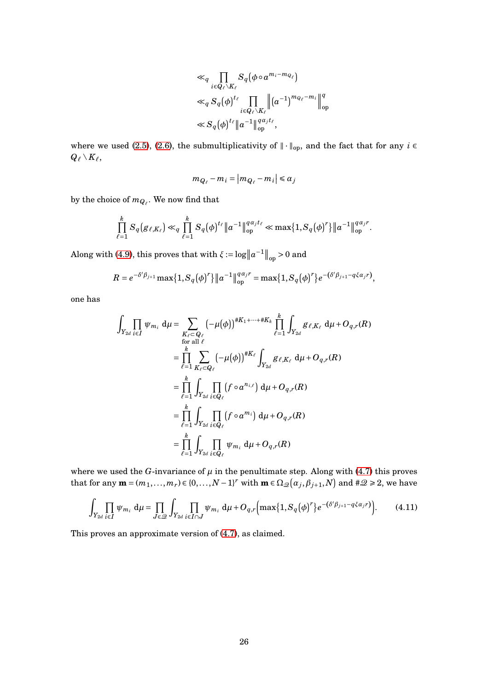$$
\ll_q \prod_{i \in Q_\ell \setminus K_\ell} S_q(\phi \circ a^{m_i - m_{Q_\ell}})
$$
  
\n
$$
\ll_q S_q(\phi)^{t_\ell} \prod_{i \in Q_\ell \setminus K_\ell} \left\| (a^{-1})^{m_{Q_\ell} - m_i} \right\|_{op}^q
$$
  
\n
$$
\ll S_q(\phi)^{t_\ell} \left\| a^{-1} \right\|_{op}^{q_{\alpha_j t_\ell}},
$$

where we used [\(2.5\)](#page-8-0), [\(2.6\)](#page-9-1), the submultiplicativity of  $\|\cdot\|_{op}$ , and the fact that for any *i* ∈  $Q_{\ell} \setminus K_{\ell}$ 

$$
m_{Q_{\ell}} - m_i = |m_{Q_{\ell}} - m_i| \le \alpha_j
$$

by the choice of  $m_{Q_{\ell}}.$  We now find that

$$
\prod_{\ell=1}^k S_q(g_{\ell,K_{\ell}}) \ll_q \prod_{\ell=1}^k S_q(\phi)^{t_{\ell}} \|a^{-1}\|_{\text{op}}^{q\alpha_j t_{\ell}} \ll \max\{1, S_q(\phi)^r\} \|a^{-1}\|_{\text{op}}^{q\alpha_j r}.
$$

Along with [\(4.9\)](#page-24-1), this proves that with  $\xi := \log ||a^{-1}||_{op} > 0$  and

$$
R = e^{-\delta' \beta_{j+1}} \max\{1, S_q(\phi)^r\} \|a^{-1}\|_{\text{op}}^{q \alpha_j r} = \max\{1, S_q(\phi)^r\} e^{-(\delta' \beta_{j+1} - q \xi \alpha_j r)},
$$

one has

$$
\int_{Y_{2d}} \prod_{i \in I} \psi_{m_i} d\mu = \sum_{\substack{K_{\ell} \subset Q_{\ell} \\ \text{for all } \ell}} (-\mu(\phi))^{\#K_1 + \dots + \#K_k} \prod_{\ell=1}^k \int_{Y_{2d}} g_{\ell, K_{\ell}} d\mu + O_{q,r}(R)
$$
\n
$$
= \prod_{\ell=1}^k \sum_{K_{\ell} \subset Q_{\ell}} (-\mu(\phi))^{\#K_{\ell}} \int_{Y_{2d}} g_{\ell, K_{\ell}} d\mu + O_{q,r}(R)
$$
\n
$$
= \prod_{\ell=1}^k \int_{Y_{2d}} \prod_{i \in Q_{\ell}} (f \circ a^{n_{i,\ell}}) d\mu + O_{q,r}(R)
$$
\n
$$
= \prod_{\ell=1}^k \int_{Y_{2d}} \prod_{i \in Q_{\ell}} (f \circ a^{m_i}) d\mu + O_{q,r}(R)
$$
\n
$$
= \prod_{\ell=1}^k \int_{Y_{2d}} \prod_{i \in Q_{\ell}} \psi_{m_i} d\mu + O_{q,r}(R)
$$

where we used the *G*-invariance of  $\mu$  in the penultimate step. Along with [\(4.7\)](#page-23-1) this proves that for any  $\mathbf{m} = (m_1, \ldots, m_r) \in \{0, \ldots, N-1\}^r$  with  $\mathbf{m} \in \Omega_{\mathscr{Q}}(\alpha_j, \beta_{j+1}, N)$  and  $\#\mathscr{Q} \geq 2$ , we have

<span id="page-25-0"></span>
$$
\int_{Y_{2d}} \prod_{i\in I} \psi_{m_i} d\mu = \prod_{J\in \mathcal{Q}} \int_{Y_{2d}} \prod_{i\in I\cap J} \psi_{m_i} d\mu + O_{q,r} \Big( \max\{1, S_q(\phi)^r\} e^{-\left(\delta'\beta_{j+1} - q\xi\alpha_j r\right)} \Big). \tag{4.11}
$$

This proves an approximate version of [\(4.7\)](#page-23-1), as claimed.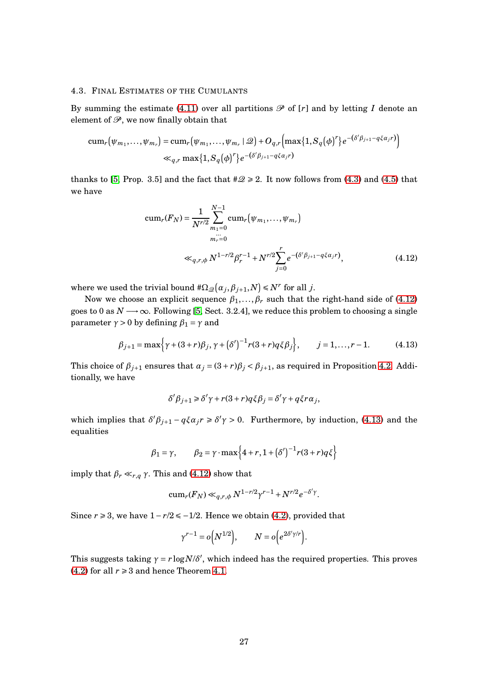#### 4.3. FINAL ESTIMATES OF THE CUMULANTS

By summing the estimate [\(4.11\)](#page-25-0) over all partitions  $\mathscr P$  of  $[r]$  and by letting  $I$  denote an element of  $\mathcal{P}$ , we now finally obtain that

$$
\begin{aligned}\n &\text{cum}_r\big(\psi_{m_1},\ldots,\psi_{m_r}\big) = \text{cum}_r\big(\psi_{m_1},\ldots,\psi_{m_r} \mid \mathcal{Q}\big) + O_{q,r}\bigg(\max\{1, S_q(\phi)^r\} e^{-(\delta' \beta_{j+1} - q \xi \alpha_j r)}\bigg) \\
 &\ll_{q,r} \max\{1, S_q(\phi)^r\} e^{-(\delta' \beta_{j+1} - q \xi \alpha_j r)}\n \end{aligned}
$$

thanks to [\[5,](#page-41-1) Prop. 3.5] and the fact that  $\#\mathcal{Q} \ge 2$ . It now follows from [\(4.3\)](#page-22-1) and [\(4.5\)](#page-23-2) that we have

<span id="page-26-0"></span>
$$
\text{cum}_r(F_N) = \frac{1}{N^{r/2}} \sum_{m_1=0}^{N-1} \text{cum}_r(\psi_{m_1}, \dots, \psi_{m_r})
$$
\n
$$
= \frac{m_r}{m_r} \text{ sum} \left( \frac{1}{N} \sum_{j=0}^{N-1} e^{-\left(\delta'(\beta_{j+1} - q\xi\alpha_j r)\right)}, \right) \tag{4.12}
$$

where we used the trivial bound  $\#\Omega_{\mathscr{Q}}(\alpha_j, \beta_{j+1}, N) \leq N^r$  for all *j*.

Now we choose an explicit sequence  $\beta_1, \ldots, \beta_r$  such that the right-hand side of [\(4.12\)](#page-26-0) goes to 0 as  $N \rightarrow \infty$ . Following [\[5,](#page-41-1) Sect. 3.2.4], we reduce this problem to choosing a single parameter  $γ > 0$  by defining  $β_1 = γ$  and

$$
\beta_{j+1} = \max\left\{\gamma + (3+r)\beta_j, \gamma + (\delta')^{-1}r(3+r)q\xi\beta_j\right\}, \qquad j = 1, ..., r-1.
$$
 (4.13)

This choice of  $\beta_{j+1}$  ensures that  $\alpha_j = (3+r)\beta_j < \beta_{j+1}$ , as required in Proposition [4.2.](#page-22-0) Additionally, we have

<span id="page-26-1"></span>
$$
\delta' \beta_{j+1} \geq \delta' \gamma + r(3+r)q \xi \beta_j = \delta' \gamma + q \xi r \alpha_j,
$$

which implies that  $\delta' \beta_{j+1} - q \xi \alpha_j r \ge \delta' \gamma > 0$ . Furthermore, by induction, [\(4.13\)](#page-26-1) and the equalities

$$
\beta_1 = \gamma, \qquad \beta_2 = \gamma \cdot \max\left\{4 + r, 1 + (\delta')^{-1} r (3 + r) q \xi\right\}
$$

imply that  $\beta_r \ll_{r,q} \gamma$ . This and [\(4.12\)](#page-26-0) show that

$$
\operatorname{cum}_r(F_N) \ll_{q,r,\phi} N^{1-r/2} \gamma^{r-1} + N^{r/2} e^{-\delta' \gamma}.
$$

Since  $r \ge 3$ , we have  $1 - r/2 \le -1/2$ . Hence we obtain [\(4.2\)](#page-21-2), provided that

$$
\gamma^{r-1} = o(N^{1/2}), \qquad N = o(e^{2\delta'\gamma/r}).
$$

This suggests taking  $\gamma = r \log N/\delta'$ , which indeed has the required properties. This proves [\(4.2\)](#page-21-2) for all  $r \ge 3$  and hence Theorem [4.1.](#page-21-0)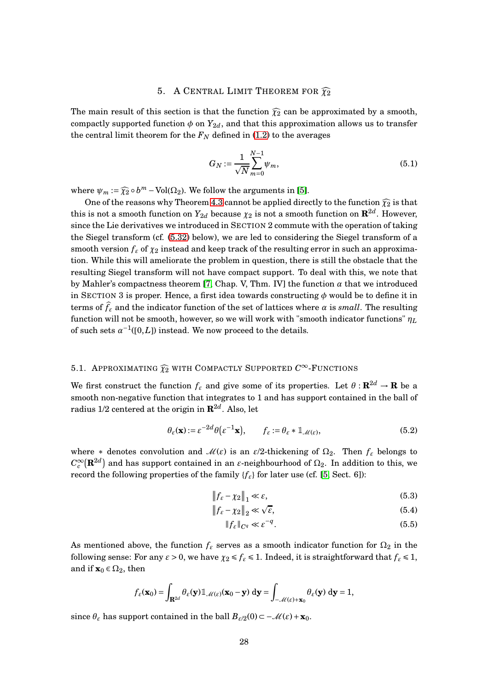### 5. A CENTRAL LIMIT THEOREM FOR  $\widehat{\chi_2}$

The main result of this section is that the function  $\widehat{\chi}_2$  can be approximated by a smooth, compactly supported function  $\phi$  on  $Y_{2d}$ , and that this approximation allows us to transfer the central limit theorem for the  $F_N$  defined in [\(1.2\)](#page-2-1) to the averages

<span id="page-27-1"></span>
$$
G_N := \frac{1}{\sqrt{N}} \sum_{m=0}^{N-1} \psi_m,
$$
\n(5.1)

where  $\psi_m := \widehat{\chi_2} \circ b^m - \text{Vol}(\Omega_2)$ . We follow the arguments in [\[5\]](#page-41-1).

One of the reasons why Theorem [4.3](#page-23-0) cannot be applied directly to the function  $\widehat{\chi}_2$  is that this is not a smooth function on  $Y_{2d}$  because  $\chi_2$  is not a smooth function on  ${\mathbf R}^{2d}.$  However, since the Lie derivatives we introduced in SECTION 2 commute with the operation of taking the Siegel transform (cf. [\(5.32\)](#page-37-0) below), we are led to considering the Siegel transform of a smooth version  $f_{\varepsilon}$  of  $\chi_2$  instead and keep track of the resulting error in such an approximation. While this will ameliorate the problem in question, there is still the obstacle that the resulting Siegel transform will not have compact support. To deal with this, we note that by Mahler's compactness theorem [\[7,](#page-41-0) Chap. V, Thm. IV] the function *α* that we introduced in SECTION 3 is proper. Hence, a first idea towards constructing *φ* would be to define it in terms of  $f_{\varepsilon}$  and the indicator function of the set of lattices where  $\alpha$  is *small*. The resulting function will not be smooth, however, so we will work with "smooth indicator functions" *η<sup>L</sup>* of such sets  $\alpha^{-1}([0,L])$  instead. We now proceed to the details.

# 5.1. APPROXIMATING  $\widehat{\chi_2}$  with Compactly Supported  $C^\infty$ -Functions

We first construct the function  $f_{\varepsilon}$  and give some of its properties. Let  $\theta$ :  $\mathbb{R}^{2d} \to \mathbb{R}$  be a smooth non-negative function that integrates to 1 and has support contained in the ball of radius 1/2 centered at the origin in  $\mathbf{R}^{2d}$ . Also, let

$$
\theta_{\varepsilon}(\mathbf{x}) := \varepsilon^{-2d} \theta(\varepsilon^{-1} \mathbf{x}), \qquad f_{\varepsilon} := \theta_{\varepsilon} * \mathbb{1}_{\mathscr{M}(\varepsilon)},
$$
(5.2)

where  $*$  denotes convolution and  $\mathcal{M}(\varepsilon)$  is an  $\varepsilon/2$ -thickening of  $\Omega_2$ . Then  $f_{\varepsilon}$  belongs to  $C_c^\infty({\bf R}^{2d})$  and has support contained in an  $\varepsilon$ -neighbourhood of  $\Omega_2$ . In addition to this, we record the following properties of the family  ${f_{\varepsilon}}$  for later use (cf. [\[5,](#page-41-1) Sect. 6]):

$$
\|f_{\varepsilon} - \chi_2\|_1 \ll \varepsilon,\tag{5.3}
$$

$$
\|f_{\varepsilon} - \chi_2\|_2 \ll \sqrt{\varepsilon},\tag{5.4}
$$

<span id="page-27-2"></span><span id="page-27-0"></span>
$$
||f_{\varepsilon}||_{C^q} \ll \varepsilon^{-q}.
$$
\n(5.5)

As mentioned above, the function  $f_{\varepsilon}$  serves as a smooth indicator function for  $\Omega_2$  in the following sense: For any  $\epsilon > 0$ , we have  $\chi_2 \le f_\epsilon \le 1$ . Indeed, it is straightforward that  $f_\epsilon \le 1$ , and if  $\mathbf{x}_0 \in \Omega_2$ , then

$$
f_{\varepsilon}(\mathbf{x}_0) = \int_{\mathbf{R}^{2d}} \theta_{\varepsilon}(\mathbf{y}) \mathbb{1}_{\mathscr{M}(\varepsilon)}(\mathbf{x}_0 - \mathbf{y}) \, \mathrm{d}\mathbf{y} = \int_{-\mathscr{M}(\varepsilon) + \mathbf{x}_0} \theta_{\varepsilon}(\mathbf{y}) \, \mathrm{d}\mathbf{y} = 1,
$$

since  $\theta_{\varepsilon}$  has support contained in the ball  $B_{\varepsilon/2}(0) \subset -\mathcal{M}(\varepsilon) + \mathbf{x}_0$ .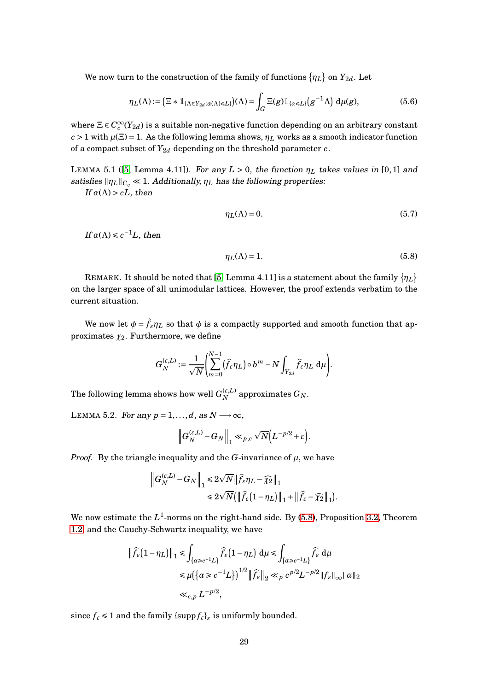We now turn to the construction of the family of functions  $\{\eta_L\}$  on  $Y_{2d}$ . Let

$$
\eta_L(\Lambda) := \left(\Xi \ast \mathbb{1}_{\{\Lambda \in Y_{2d} : \alpha(\Lambda) \le L\}}\right)(\Lambda) = \int_G \Xi(g) \mathbb{1}_{\{\alpha \le L\}}\left(g^{-1}\Lambda\right) d\mu(g),\tag{5.6}
$$

where  $\Xi \in C_c^{\infty}(Y_{2d})$  is a suitable non-negative function depending on an arbitrary constant  $c > 1$  with  $\mu(\Xi) = 1$ . As the following lemma shows,  $\eta_L$  works as a smooth indicator function of a compact subset of  $Y_{2d}$  depending on the threshold parameter *c*.

LEMMA 5.1 ([\[5,](#page-41-1) Lemma 4.11]). For any  $L > 0$ , the function  $\eta_L$  takes values in [0,1] and satisfies  $\|\eta_L\|_{C_q} \ll 1$ . Additionally,  $\eta_L$  has the following properties:

If  $\alpha(\Lambda) > cL$ , then

<span id="page-28-2"></span>
$$
\eta_L(\Lambda) = 0. \tag{5.7}
$$

If  $\alpha(\Lambda) \leq c^{-1}L$ , then

<span id="page-28-0"></span>
$$
\eta_L(\Lambda) = 1. \tag{5.8}
$$

.

REMARK. It should be noted that [\[5,](#page-41-1) Lemma 4.11] is a statement about the family  $\{\eta_L\}$ on the larger space of all unimodular lattices. However, the proof extends verbatim to the current situation.

We now let  $\phi = \hat{f}_{\varepsilon} \eta_L$  so that  $\phi$  is a compactly supported and smooth function that approximates  $\chi_2$ . Furthermore, we define

$$
G_N^{(\varepsilon,L)}:=\frac{1}{\sqrt{N}}\left(\sum_{m=0}^{N-1}(\widehat f_\varepsilon\eta_L)\circ b^m-N\int_{Y_{2d}}\widehat f_\varepsilon\eta_L\;\text{d}\mu\right).
$$

The following lemma shows how well  $G_N^{(\varepsilon,L)}$  $\alpha_N^{(\varepsilon,L)}$  approximates  $G_N$ .

<span id="page-28-1"></span>LEMMA 5.2. For any  $p = 1, \ldots, d$ , as  $N \rightarrow \infty$ ,

$$
\left\|G_N^{(\varepsilon,L)}-G_N\right\|_1\ll_{p,c}\sqrt{N}\Big(L^{-p/2}+\varepsilon\Big).
$$

*Proof.* By the triangle inequality and the *G*-invariance of  $\mu$ , we have

$$
\begin{aligned} \left\|G_N^{(\varepsilon,L)}-G_N\right\|_1 &\leq 2\sqrt{N}\left\|\widehat f_\varepsilon\eta_L-\widehat\chi_2\right\|_1\\ &\leq 2\sqrt{N}\big(\left\|\widehat f_\varepsilon\big(1-\eta_L\big)\right\|_1+\left\|\widehat f_\varepsilon-\widehat\chi_2\right\|_1\big) \end{aligned}
$$

We now estimate the  $L^1$ -norms on the right-hand side. By [\(5.8\)](#page-28-0), Proposition [3.2,](#page-9-0) Theorem [1.2,](#page-3-0) and the Cauchy-Schwartz inequality, we have

$$
\begin{aligned} \left\|\widehat{f}_{\varepsilon}\big(1-\eta_L\big)\right\|_1 &\leq \int_{\{\alpha\geq c^{-1}L\}} \widehat{f}_{\varepsilon}\big(1-\eta_L\big)\, \mathrm{d} \mu \leq \int_{\{\alpha\geq c^{-1}L\}} \widehat{f}_{\varepsilon}\, \mathrm{d} \mu \\ &\leq \mu\big(\big\{\alpha\geq c^{-1}L\big\}\big)^{1/2} \left\|\widehat{f}_{\varepsilon}\right\|_2 \ll_p c^{p/2}L^{-p/2} \|f_{\varepsilon}\|_{\infty} \|\alpha\|_2 \\ &\ll_{c,p} L^{-p/2}, \end{aligned}
$$

since  $f_{\varepsilon} \leq 1$  and the family  $\{\sup p f_{\varepsilon}\}_\varepsilon$  is uniformly bounded.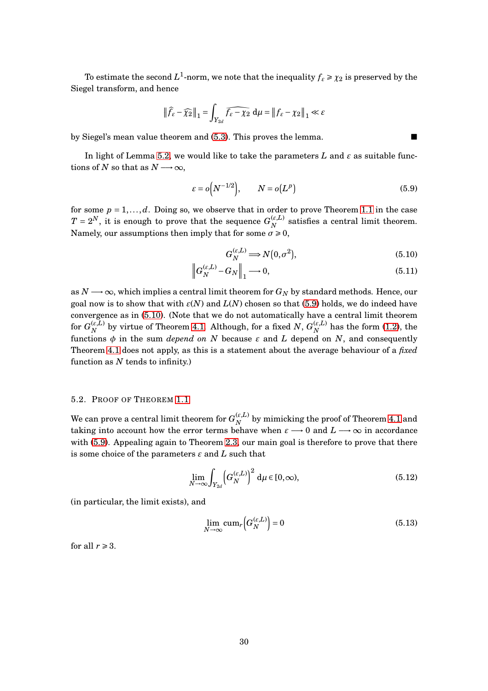To estimate the second  $L^1$ -norm, we note that the inequality  $f_{\varepsilon} \ge \chi_2$  is preserved by the Siegel transform, and hence

$$
\|\widehat{f}_{\varepsilon} - \widehat{\chi_2}\|_1 = \int_{Y_{2d}} \widehat{f_{\varepsilon} - \chi_2} \, \mathrm{d}\mu = \|f_{\varepsilon} - \chi_2\|_1 \ll \varepsilon
$$

by Siegel's mean value theorem and [\(5.3\)](#page-27-0). This proves the lemma.

In light of Lemma [5.2,](#page-28-1) we would like to take the parameters  $L$  and  $\varepsilon$  as suitable functions of *N* so that as  $N \rightarrow \infty$ ,

$$
\varepsilon = o\Big(N^{-1/2}\Big), \qquad N = o\big(L^p\big) \tag{5.9}
$$

for some  $p = 1, \ldots, d$ . Doing so, we observe that in order to prove Theorem [1.1](#page-2-0) in the case  $T = 2^N$ , it is enough to prove that the sequence  $G_N^{(\varepsilon,L)}$  $N$ <sup> $(k,L)$ </sup> satisfies a central limit theorem. Namely, our assumptions then imply that for some  $\sigma \ge 0$ ,

<span id="page-29-4"></span><span id="page-29-1"></span><span id="page-29-0"></span>
$$
G_N^{(\varepsilon,L)} \Longrightarrow N(0,\sigma^2),\tag{5.10}
$$

$$
\left\|G_N^{(\varepsilon,L)} - G_N\right\|_1 \longrightarrow 0,\tag{5.11}
$$

as  $N \rightarrow \infty$ , which implies a central limit theorem for  $G_N$  by standard methods. Hence, our goal now is to show that with *ε*(*N*) and *L*(*N*) chosen so that [\(5.9\)](#page-29-0) holds, we do indeed have convergence as in [\(5.10\)](#page-29-1). (Note that we do not automatically have a central limit theorem for  $G_{N}^{(\varepsilon,L)}$  $\mathcal{L}_{N}^{(\varepsilon,L)}$  by virtue of Theorem [4.1.](#page-21-0) Although, for a fixed  $N,$   $G_N^{(\varepsilon,L)}$  $\chi_N^{(E,L)}$  has the form [\(1.2\)](#page-2-1), the functions  $\phi$  in the sum *depend on N* because  $\varepsilon$  and *L* depend on *N*, and consequently Theorem [4.1](#page-21-0) does not apply, as this is a statement about the average behaviour of a *fixed* function as *N* tends to infinity.)

#### 5.2. PROOF OF THEOREM [1.1](#page-2-0)

We can prove a central limit theorem for  $G_N^{(\varepsilon,L)}$  $\binom{E,L}{N}$  by mimicking the proof of Theorem [4.1](#page-21-0) and taking into account how the error terms behave when  $\varepsilon \longrightarrow 0$  and  $L \longrightarrow \infty$  in accordance with [\(5.9\)](#page-29-0). Appealing again to Theorem [2.3,](#page-5-0) our main goal is therefore to prove that there is some choice of the parameters *ε* and *L* such that

$$
\lim_{N \to \infty} \int_{Y_{2d}} \left( G_N^{(\varepsilon, L)} \right)^2 d\mu \in [0, \infty), \tag{5.12}
$$

(in particular, the limit exists), and

<span id="page-29-3"></span><span id="page-29-2"></span>
$$
\lim_{N \to \infty} \text{cum}_r \Big( G_N^{(\varepsilon, L)} \Big) = 0 \tag{5.13}
$$

for all  $r \geq 3$ .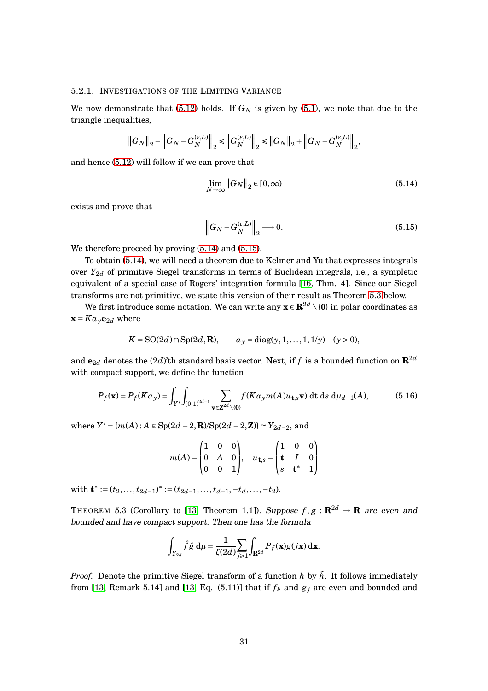#### 5.2.1. INVESTIGATIONS OF THE LIMITING VARIANCE

We now demonstrate that  $(5.12)$  holds. If  $G_N$  is given by  $(5.1)$ , we note that due to the triangle inequalities,

$$
\left\|G_N\right\|_2-\left\|G_N-G_N^{(\varepsilon,L)}\right\|_2\leq\left\|G_N^{(\varepsilon,L)}\right\|_2\leq\left\|G_N\right\|_2+\left\|G_N-G_N^{(\varepsilon,L)}\right\|_2,
$$

and hence [\(5.12\)](#page-29-2) will follow if we can prove that

<span id="page-30-0"></span>
$$
\lim_{N \to \infty} \|G_N\|_2 \in [0, \infty)
$$
\n(5.14)

exists and prove that

<span id="page-30-1"></span>
$$
\left\|G_N - G_N^{(\varepsilon, L)}\right\|_2 \longrightarrow 0. \tag{5.15}
$$

We therefore proceed by proving [\(5.14\)](#page-30-0) and [\(5.15\)](#page-30-1).

To obtain [\(5.14\)](#page-30-0), we will need a theorem due to Kelmer and Yu that expresses integrals over *Y*<sub>2*d*</sub> of primitive Siegel transforms in terms of Euclidean integrals, i.e., a sympletic equivalent of a special case of Rogers' integration formula [\[16,](#page-42-1) Thm. 4]. Since our Siegel transforms are not primitive, we state this version of their result as Theorem [5.3](#page-30-2) below.

We first introduce some notation. We can write any  $\mathbf{x} \in \mathbb{R}^{2d} \setminus \{0\}$  in polar coordinates as  $\mathbf{x} = K a_{\nu} \mathbf{e}_{2d}$  where

$$
K = SO(2d) \cap Sp(2d, \mathbf{R}),
$$
  $a_y = diag(y, 1, ..., 1, 1/y)$   $(y > 0),$ 

and  $\mathbf{e}_{2d}$  denotes the (2*d*)'th standard basis vector. Next, if *f* is a bounded function on  $\mathbf{R}^{2d}$ with compact support, we define the function

$$
P_f(\mathbf{x}) = P_f(Ka_y) = \int_{Y'} \int_{[0,1)^{2d-1}} \sum_{\mathbf{v} \in \mathbf{Z}^{2d} \setminus \{0\}} f(Ka_y m(A) u_{\mathbf{t},s} \mathbf{v}) \, \mathrm{d} \mathbf{t} \, \mathrm{d} s \, \mathrm{d} \mu_{d-1}(A), \tag{5.16}
$$

where  $Y' = {m(A) : A ∈ Sp(2d – 2, \mathbf{R})}/{Sp(2d – 2, \mathbf{Z})} ≥ Y_{2d-2}$ , and

$$
m(A) = \begin{pmatrix} 1 & 0 & 0 \\ 0 & A & 0 \\ 0 & 0 & 1 \end{pmatrix}, \quad u_{\mathbf{t},s} = \begin{pmatrix} 1 & 0 & 0 \\ \mathbf{t} & I & 0 \\ s & \mathbf{t}^* & 1 \end{pmatrix}
$$

with  $\mathbf{t}^* := (t_2, \ldots, t_{2d-1})^* := (t_{2d-1}, \ldots, t_{d+1}, -t_d, \ldots, -t_2).$ 

<span id="page-30-2"></span>THEOREM 5.3 (Corollary to [\[13,](#page-41-3) Theorem 1.1]). Suppose  $f, g : \mathbf{R}^{2d} \to \mathbf{R}$  are even and bounded and have compact support. Then one has the formula

$$
\int_{Y_{2d}} \hat{f} \hat{g} \, d\mu = \frac{1}{\zeta(2d)} \sum_{j \ge 1} \int_{\mathbf{R}^{2d}} P_f(\mathbf{x}) g(j\mathbf{x}) \, d\mathbf{x}.
$$

*Proof.* Denote the primitive Siegel transform of a function *h* by  $\tilde{h}$ . It follows immediately from [\[13,](#page-41-3) Remark 5.14] and [13, Eq. (5.11)] that if  $f_k$  and  $g_j$  are even and bounded and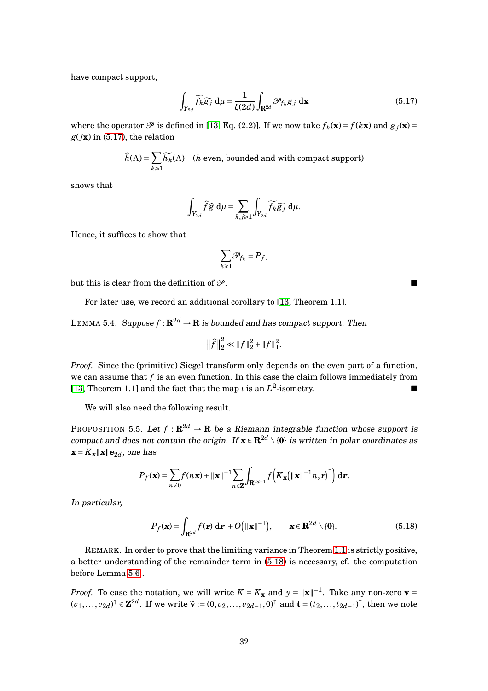have compact support,

$$
\int_{Y_{2d}} \widetilde{f_k} \widetilde{g_j} \, \mathrm{d}\mu = \frac{1}{\zeta(2d)} \int_{\mathbf{R}^{2d}} \mathcal{P}_{f_k} g_j \, \mathrm{d}\mathbf{x} \tag{5.17}
$$

where the operator  $\mathcal{P}$  is defined in [\[13,](#page-41-3) Eq. (2.2)]. If we now take  $f_k(\mathbf{x}) = f(k\mathbf{x})$  and  $g_j(\mathbf{x}) =$  $g(j\mathbf{x})$  in [\(5.17\)](#page-31-0), the relation

$$
\widehat{h}(\Lambda) = \sum_{k \ge 1} \widetilde{h_k}(\Lambda) \quad (h \text{ even, bounded and with compact support})
$$

shows that

$$
\int_{Y_{2d}} \widehat{f} \widehat{g} \, d\mu = \sum_{k,j \geq 1} \int_{Y_{2d}} \widetilde{f_k} \widetilde{g_j} \, d\mu.
$$

Hence, it suffices to show that

$$
\sum_{k\geq 1}\mathscr{P}_{f_k}=P_f,
$$

but this is clear from the definition of  $\mathcal{P}$ .

For later use, we record an additional corollary to [\[13,](#page-41-3) Theorem 1.1].

<span id="page-31-3"></span>LEMMA 5.4. Suppose  $f: \mathbb{R}^{2d} \to \mathbb{R}$  is bounded and has compact support. Then

$$
\|\widehat{f}\|_2^2 \ll \|f\|_2^2 + \|f\|_1^2.
$$

*Proof.* Since the (primitive) Siegel transform only depends on the even part of a function, we can assume that *f* is an even function. In this case the claim follows immediately from [\[13,](#page-41-3) Theorem 1.1] and the fact that the map *ι* is an  $L^2$ -isometry.

We will also need the following result.

<span id="page-31-2"></span>PROPOSITION 5.5. Let  $f : \mathbf{R}^{2d} \to \mathbf{R}$  be a Riemann integrable function whose support is compact and does not contain the origin. If  $\mathbf{x} \in \mathbb{R}^{2d} \setminus \{0\}$  is written in polar coordinates as  $\mathbf{x} = K_{\mathbf{x}} \|\mathbf{x}\| \mathbf{e}_{2d}$ , one has

$$
P_f(\mathbf{x}) = \sum_{n \neq 0} f(n\mathbf{x}) + ||\mathbf{x}||^{-1} \sum_{n \in \mathbf{Z}} \int_{\mathbf{R}^{2d-1}} f\left(K_{\mathbf{x}} (||\mathbf{x}||^{-1} n, \mathbf{r})^\top\right) d\mathbf{r}.
$$

In particular,

$$
P_f(\mathbf{x}) = \int_{\mathbf{R}^{2d}} f(\mathbf{r}) \, \mathrm{d}\mathbf{r} + O\big(\|\mathbf{x}\|^{-1}\big), \qquad \mathbf{x} \in \mathbf{R}^{2d} \setminus \{0\}. \tag{5.18}
$$

REMARK. In order to prove that the limiting variance in Theorem [1.1](#page-2-0) is strictly positive, a better understanding of the remainder term in [\(5.18\)](#page-31-1) is necessary, cf. the computation before Lemma [5.6](#page-35-0) .

*Proof.* To ease the notation, we will write  $K = K_{\mathbf{x}}$  and  $y = ||\mathbf{x}||^{-1}$ . Take any non-zero  $\mathbf{v} =$  $(v_1,..., v_{2d})^{\text{T}}$  ∈  $\mathbf{Z}^{2d}$ . If we write  $\tilde{\mathbf{v}} := (0, v_2,..., v_{2d-1}, 0)^{\text{T}}$  and  $\mathbf{t} = (t_2,..., t_{2d-1})^{\text{T}}$ , then we note

<span id="page-31-1"></span><span id="page-31-0"></span>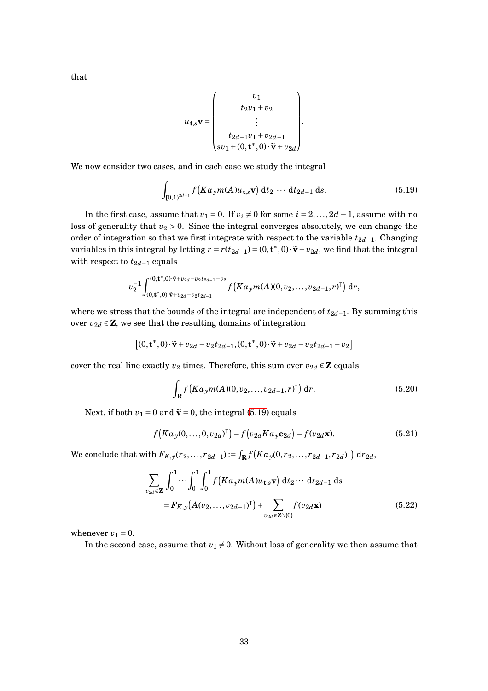$$
u_{\mathbf{t},s}\mathbf{v} = \begin{pmatrix} v_1 \\ t_2v_1 + v_2 \\ \vdots \\ t_{2d-1}v_1 + v_{2d-1} \\ sv_1 + (0,\mathbf{t}^*,0) \cdot \widetilde{\mathbf{v}} + v_{2d} \end{pmatrix}
$$

We now consider two cases, and in each case we study the integral

$$
\int_{[0,1)^{2d-1}} f\big(K a_y m(A) u_{\mathbf{t},s} \mathbf{v}\big) \, \mathrm{d}t_2 \, \cdots \, \mathrm{d}t_{2d-1} \, \mathrm{d}s. \tag{5.19}
$$

<span id="page-32-0"></span>.

In the first case, assume that *v*<sub>1</sub> = 0. If *v<sub>i</sub>* ≠ 0 for some *i* = 2,...,2*d* − 1, assume with no loss of generality that  $v_2 > 0$ . Since the integral converges absolutely, we can change the order of integration so that we first integrate with respect to the variable *<sup>t</sup>*2*d*−1. Changing variables in this integral by letting  $r = r(t_{2d-1}) = (0, \mathbf{t}^*, 0) \cdot \tilde{\mathbf{v}} + v_{2d}$ , we find that the integral with respect to  $t_{2d-1}$  equals

$$
v_2^{-1}\int_{(0,\mathbf{t}^*,0)\cdot\widetilde{\mathbf{v}}+v_{2d}-v_2t_{2d-1}}^{(0,\mathbf{t}^*,0)\cdot\widetilde{\mathbf{v}}+v_{2d}-v_2t_{2d-1}+v_2} f\big(Ka_y m(A)(0,v_2,\ldots,v_{2d-1},r)^\intercal\big)\,\mathrm{d}r,
$$

where we stress that the bounds of the integral are independent of  $t_{2d-1}$ . By summing this over  $v_{2d} \in \mathbf{Z}$ , we see that the resulting domains of integration

$$
[(0, \mathbf{t}^*, 0) \cdot \widetilde{\mathbf{v}} + v_{2d} - v_2 t_{2d-1}, (0, \mathbf{t}^*, 0) \cdot \widetilde{\mathbf{v}} + v_{2d} - v_2 t_{2d-1} + v_2]
$$

cover the real line exactly  $v_2$  times. Therefore, this sum over  $v_{2d} \in \mathbb{Z}$  equals

$$
\int_{\mathbf{R}} f\left(K a_y m(A)(0, v_2, \dots, v_{2d-1}, r)^\top\right) dr.
$$
 (5.20)

Next, if both  $v_1 = 0$  and  $\tilde{\mathbf{v}} = 0$ , the integral [\(5.19\)](#page-32-0) equals

$$
f(Ka_y(0,\ldots,0,v_{2d})^{\mathsf{T}}) = f(v_{2d}Ka_y \mathbf{e}_{2d}) = f(v_{2d}\mathbf{x}).
$$
\n(5.21)

 $\mathbf{W}$ e conclude that with  $F_{K,y}(r_2,...,r_{2d-1}) := \int_{\mathbf{R}} f\big(K a_y(0,r_2,...,r_{2d-1},r_{2d})^\top\big) d r_{2d}$ 

<span id="page-32-1"></span>
$$
\sum_{v_{2d} \in \mathbf{Z}} \int_0^1 \cdots \int_0^1 \int_0^1 f(K a_y m(A) u_{\mathbf{t},s} \mathbf{v}) dt_2 \cdots dt_{2d-1} ds
$$
  
=  $F_{K,y} (A(v_2, \dots, v_{2d-1})^T) + \sum_{v_{2d} \in \mathbf{Z} \setminus \{0\}} f(v_{2d} \mathbf{x})$  (5.22)

whenever  $v_1 = 0$ .

In the second case, assume that  $v_1 \neq 0$ . Without loss of generality we then assume that

that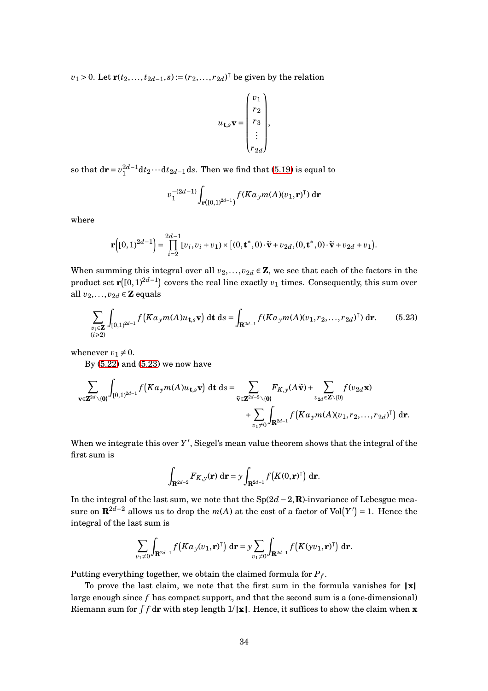*v*<sub>1</sub> > 0. Let **r**(*t*<sub>2</sub>,...,*t*<sub>2*d*−1</sub>,*s*):=(*r*<sub>2</sub>,...,*r*<sub>2*d*</sub>)<sup>⊺</sup> be given by the relation

$$
u_{\mathbf{t},s} \mathbf{v} = \begin{pmatrix} v_1 \\ r_2 \\ r_3 \\ \vdots \\ r_{2d} \end{pmatrix},
$$

so that  $d\mathbf{r} = v_1^{2d-1} dt_2 \cdots dt_{2d-1} ds$ . Then we find that [\(5.19\)](#page-32-0) is equal to

<span id="page-33-0"></span>
$$
v_1^{-(2d-1)}\int_{\mathbf{r}([0,1)^{2d-1})}f(Ka_y m(A)(v_1,\mathbf{r})^{\dagger})\,\mathrm{d}\mathbf{r}
$$

where

$$
\mathbf{r}\Big( [0,1)^{2d-1} \Big) = \prod_{i=2}^{2d-1} [v_i, v_i + v_1) \times [(0, \mathbf{t}^*, 0) \cdot \widetilde{\mathbf{v}} + v_{2d}, (0, \mathbf{t}^*, 0) \cdot \widetilde{\mathbf{v}} + v_{2d} + v_1].
$$

When summing this integral over all  $v_2, \ldots, v_{2d} \in \mathbb{Z}$ , we see that each of the factors in the product set  $\mathbf{r}([0,1)^{2d-1})$  covers the real line exactly  $v_1$  times. Consequently, this sum over all  $v_2, \ldots, v_{2d} \in \mathbf{Z}$  equals

$$
\sum_{\substack{v_i \in \mathbf{Z} \\ (i \ge 2)}} \int_{[0,1)^{2d-1}} f\left(K a_y m(A) u_{\mathbf{t},s} \mathbf{v}\right) dt ds = \int_{\mathbf{R}^{2d-1}} f(K a_y m(A) (v_1, r_2, \dots, r_{2d})^\top) dr. \tag{5.23}
$$

whenever  $v_1 \neq 0$ .

By [\(5.22\)](#page-32-1) and [\(5.23\)](#page-33-0) we now have

$$
\sum_{\mathbf{v}\in\mathbf{Z}^{2d}\backslash\{\mathbf{0}\}}\int_{[0,1)^{2d-1}}f\big(Ka_{y}m(A)u_{\mathbf{t},s}\mathbf{v}\big)\,\mathrm{d}\mathbf{t}\,\mathrm{d}s=\sum_{\widetilde{\mathbf{v}}\in\mathbf{Z}^{2d-2}\backslash\{\mathbf{0}\}}F_{K,y}(A\widetilde{\mathbf{v}})+\sum_{v_{2d}\in\mathbf{Z}\backslash\{\mathbf{0}\}}f(v_{2d}\mathbf{x})+\sum_{v_{1}\neq 0}\int_{\mathbf{R}^{2d-1}}f\big(Ka_{y}m(A)(v_{1},r_{2},\ldots,r_{2d})^{\mathsf{T}}\big)\,\mathrm{d}\mathbf{r}.
$$

When we integrate this over  $Y'$ , Siegel's mean value theorem shows that the integral of the first sum is

$$
\int_{\mathbf{R}^{2d-2}} F_{K,\mathbf{y}}(\mathbf{r}) \, \mathrm{d}\mathbf{r} = \mathbf{y} \int_{\mathbf{R}^{2d-1}} f\big(K(0,\mathbf{r})^{\mathsf{T}}\big) \, \mathrm{d}\mathbf{r}.
$$

In the integral of the last sum, we note that the Sp(2*d* −2,**R**)-invariance of Lebesgue measure on  $\mathbf{R}^{2d-2}$  allows us to drop the  $m(A)$  at the cost of a factor of  $\text{Vol}(Y') = 1$ . Hence the integral of the last sum is

$$
\sum_{v_1\neq 0} \int_{\mathbf{R}^{2d-1}} f\big(K a_y(v_1, \mathbf{r})^{\mathsf{T}}\big) d\mathbf{r} = y \sum_{v_1\neq 0} \int_{\mathbf{R}^{2d-1}} f\big(K(yv_1, \mathbf{r})^{\mathsf{T}}\big) d\mathbf{r}.
$$

Putting everything together, we obtain the claimed formula for *P<sup>f</sup>* .

To prove the last claim, we note that the first sum in the formula vanishes for  $\|\mathbf{x}\|$ large enough since *f* has compact support, and that the second sum is a (one-dimensional) Riemann sum for  $\int f \, \mathbf{dr}$  with step length  $1/\|\mathbf{x}\|$ . Hence, it suffices to show the claim when  $\mathbf{x}$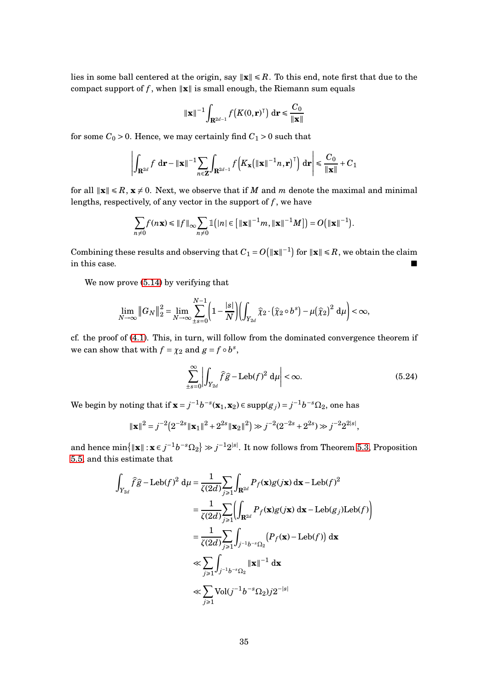lies in some ball centered at the origin, say  $\|\mathbf{x}\| \le R$ . To this end, note first that due to the compact support of  $f$ , when  $\|\mathbf{x}\|$  is small enough, the Riemann sum equals

$$
\left\| \mathbf{x} \right\|^{-1} \int_{\mathbf{R}^{2d-1}} f\left(K(0, \mathbf{r})^{\top}\right) \, \mathrm{d} \mathbf{r} \leq \frac{C_0}{\left\| \mathbf{x} \right\|}
$$

for some  $C_0 > 0$ . Hence, we may certainly find  $C_1 > 0$  such that

$$
\left| \int_{\mathbf{R}^{2d}} f \, d\mathbf{r} - ||\mathbf{x}||^{-1} \sum_{n \in \mathbf{Z}} \int_{\mathbf{R}^{2d-1}} f\left( K_{\mathbf{x}} \left( ||\mathbf{x}||^{-1} n, \mathbf{r} \right)^{\top} \right) d\mathbf{r} \right| \leq \frac{C_0}{\|\mathbf{x}\|} + C_1
$$

for all  $\|\mathbf{x}\| \leq R$ ,  $\mathbf{x} \neq 0$ . Next, we observe that if *M* and *m* denote the maximal and minimal lengths, respectively, of any vector in the support of  $f$ , we have

$$
\sum_{n\neq 0} f(n\mathbf{x}) \le ||f||_{\infty} \sum_{n\neq 0} \mathbb{1}(|n| \in [||\mathbf{x}||^{-1}m, ||\mathbf{x}||^{-1}M]) = O(||\mathbf{x}||^{-1}).
$$

Combining these results and observing that  $C_1 = O(|\mathbf{x}||^{-1})$  for  $\|\mathbf{x}\| \le R$ , we obtain the claim in this case.  $\blacksquare$ 

We now prove  $(5.14)$  by verifying that

$$
\lim_{N\to\infty} \|G_N\|_2^2 = \lim_{N\to\infty} \sum_{\pm s=0}^{N-1} \left(1 - \frac{|s|}{N}\right) \left(\int_{Y_{2d}} \widehat{\chi}_2 \cdot \left(\widehat{\chi}_2 \circ b^s\right) - \mu \left(\widehat{\chi}_2\right)^2 d\mu\right) < \infty,
$$

cf. the proof of [\(4.1\)](#page-21-1). This, in turn, will follow from the dominated convergence theorem if we can show that with  $f = \chi_2$  and  $g = f \circ b^s$ ,

<span id="page-34-0"></span>
$$
\sum_{\pm s=0}^{\infty} \left| \int_{Y_{2d}} \widehat{f}\widehat{g} - \text{Leb}(f)^2 \, \mathrm{d}\mu \right| < \infty. \tag{5.24}
$$

We begin by noting that if  $\mathbf{x} = j^{-1}b^{-s}(\mathbf{x}_1, \mathbf{x}_2) \in \text{supp}(g_j) = j^{-1}b^{-s}\Omega_2$ , one has

$$
\|\mathbf{x}\|^2 = j^{-2} \left( 2^{-2s} \|\mathbf{x}_1\|^2 + 2^{2s} \|\mathbf{x}_2\|^2 \right) \gg j^{-2} (2^{-2s} + 2^{2s}) \gg j^{-2} 2^{2|s|},
$$

and hence  $\min\{\|\mathbf{x}\|: \mathbf{x}\in j^{-1}b^{-s}\Omega_2\} \gg j^{-1}2^{|s|}.$  It now follows from Theorem [5.3,](#page-30-2) Proposition [5.5,](#page-31-2) and this estimate that

$$
\int_{Y_{2d}} \hat{f}\hat{g} - \text{Leb}(f)^2 \, \mathrm{d}\mu = \frac{1}{\zeta(2d)} \sum_{j \ge 1} \int_{\mathbf{R}^{2d}} P_f(\mathbf{x}) g(j\mathbf{x}) \, \mathrm{d}\mathbf{x} - \text{Leb}(f)^2
$$
\n
$$
= \frac{1}{\zeta(2d)} \sum_{j \ge 1} \left( \int_{\mathbf{R}^{2d}} P_f(\mathbf{x}) g(j\mathbf{x}) \, \mathrm{d}\mathbf{x} - \text{Leb}(g_j) \text{Leb}(f) \right)
$$
\n
$$
= \frac{1}{\zeta(2d)} \sum_{j \ge 1} \int_{j^{-1}b^{-s}\Omega_2} \left( P_f(\mathbf{x}) - \text{Leb}(f) \right) \, \mathrm{d}\mathbf{x}
$$
\n
$$
\ll \sum_{j \ge 1} \int_{j^{-1}b^{-s}\Omega_2} \|\mathbf{x}\|^{-1} \, \mathrm{d}\mathbf{x}
$$
\n
$$
\ll \sum_{j \ge 1} \text{Vol}(j^{-1}b^{-s}\Omega_2) j2^{-|s|}
$$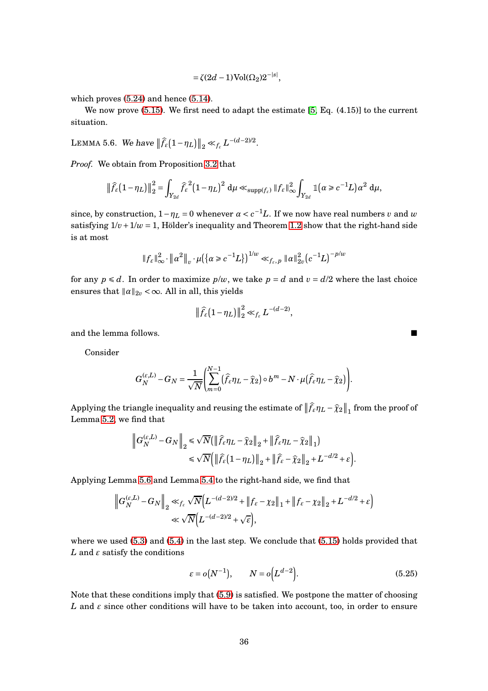$$
= \zeta(2d-1)\operatorname{Vol}(\Omega_2)2^{-|s|},
$$

which proves [\(5.24\)](#page-34-0) and hence [\(5.14\)](#page-30-0).

We now prove [\(5.15\)](#page-30-1). We first need to adapt the estimate [\[5,](#page-41-1) Eq. (4.15)] to the current situation.

<span id="page-35-0"></span>LEMMA 5.6. We have  $\|\widehat{f}_{\varepsilon}(1-\eta_L)\|_2 \ll_{f_{\varepsilon}} L^{-(d-2)/2}$ .

*Proof.* We obtain from Proposition [3.2](#page-9-0) that

$$
\left\|\widehat{f}_{\varepsilon}\left(1-\eta_L\right)\right\|_2^2 = \int_{Y_{2d}} \widehat{f}_{\varepsilon}^2 \left(1-\eta_L\right)^2 d\mu \ll_{\mathrm{supp}(f_{\varepsilon})} \|f_{\varepsilon}\|_{\infty}^2 \int_{Y_{2d}} \mathbb{1}\left(\alpha \geq c^{-1}L\right) \alpha^2 d\mu,
$$

since, by construction,  $1 - \eta_L = 0$  whenever  $\alpha < c^{-1}L$ . If we now have real numbers *v* and *w* satisfying  $1/v + 1/w = 1$ , Hölder's inequality and Theorem [1.2](#page-3-0) show that the right-hand side is at most

$$
||f_{\varepsilon}||_{\infty}^2 \cdot ||\alpha^2||_v \cdot \mu({\{\alpha \ge c^{-1}L\}})^{1/w} \ll_{f_{\varepsilon},p} ||\alpha||_{2v}^2 (c^{-1}L)^{-p/w}
$$

for any  $p \le d$ . In order to maximize  $p/w$ , we take  $p = d$  and  $v = d/2$  where the last choice ensures that  $\|\alpha\|_{2v} < \infty$ . All in all, this yields

$$
\|\widehat{f}_{\varepsilon}\big(1-\eta_L\big)\|_2^2 \ll_{f_{\varepsilon}} L^{-(d-2)},
$$

and the lemma follows.

Consider

$$
G_N^{(\varepsilon,L)} - G_N = \frac{1}{\sqrt{N}} \left( \sum_{m=0}^{N-1} (\widehat{f}_{\varepsilon} \eta_L - \widehat{\chi}_2) \circ b^m - N \cdot \mu (\widehat{f}_{\varepsilon} \eta_L - \widehat{\chi}_2) \right).
$$

Applying the triangle inequality and reusing the estimate of  $\|\hat{f}_{\varepsilon}\eta_L - \hat{\chi}_2\|_1$  from the proof of Lemma [5.2,](#page-28-1) we find that

$$
\left\|G_N^{(\varepsilon,L)} - G_N\right\|_2 \le \sqrt{N} \Big( \|\widehat{f}_{\varepsilon}\eta_L - \widehat{\chi}_2\|_2 + \|\widehat{f}_{\varepsilon}\eta_L - \widehat{\chi}_2\|_1 \Big) \le \sqrt{N} \Big( \|\widehat{f}_{\varepsilon}(1-\eta_L)\|_2 + \|\widehat{f}_{\varepsilon} - \widehat{\chi}_2\|_2 + L^{-d/2} + \varepsilon \Big).
$$

Applying Lemma [5.6](#page-35-0) and Lemma [5.4](#page-31-3) to the right-hand side, we find that

$$
\left\|G_N^{(\varepsilon,L)} - G_N\right\|_2 \ll_{f_{\varepsilon}} \sqrt{N} \Big(L^{-(d-2)/2} + \left\|f_{\varepsilon} - \chi_2\right\|_1 + \left\|f_{\varepsilon} - \chi_2\right\|_2 + L^{-d/2} + \varepsilon\Big)
$$
  

$$
\ll \sqrt{N} \Big(L^{-(d-2)/2} + \sqrt{\varepsilon}\Big),
$$

where we used [\(5.3\)](#page-27-0) and [\(5.4\)](#page-27-2) in the last step. We conclude that [\(5.15\)](#page-30-1) holds provided that  $L$  and  $\varepsilon$  satisfy the conditions

<span id="page-35-1"></span>
$$
\varepsilon = o(N^{-1}), \qquad N = o\Big(L^{d-2}\Big). \tag{5.25}
$$

Note that these conditions imply that [\(5.9\)](#page-29-0) is satisfied. We postpone the matter of choosing *L* and  $\varepsilon$  since other conditions will have to be taken into account, too, in order to ensure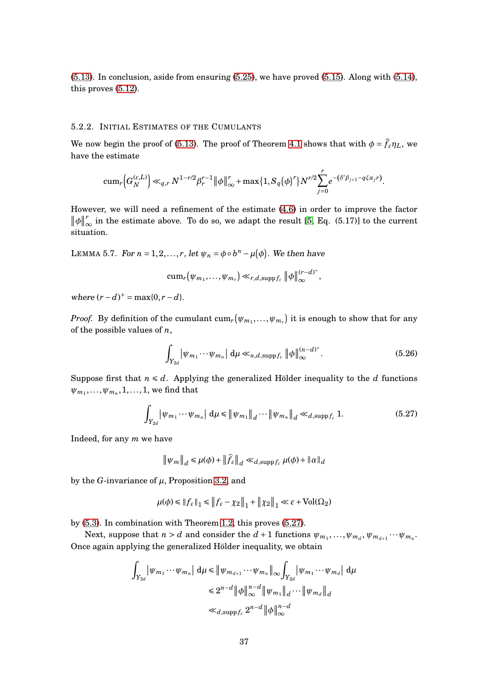[\(5.13\)](#page-29-3). In conclusion, aside from ensuring [\(5.25\)](#page-35-1), we have proved [\(5.15\)](#page-30-1). Along with [\(5.14\)](#page-30-0), this proves [\(5.12\)](#page-29-2).

#### 5.2.2. INITIAL ESTIMATES OF THE CUMULANTS

We now begin the proof of [\(5.13\)](#page-29-3). The proof of Theorem [4.1](#page-21-0) shows that with  $\phi = \hat{f_{\varepsilon}} \eta_L$ , we have the estimate

$$
\operatorname{cum}_r\Big(G_N^{(\varepsilon,L)}\Big)\ll_{q,r} N^{1-r/2}\beta_r^{r-1}\|\phi\|_{\infty}^r+\max\{1,S_q(\phi)^r\}N^{r/2}\sum_{j=0}^r e^{-(\delta'\beta_{j+1}-q\xi\alpha_jr)}.
$$

However, we will need a refinement of the estimate [\(4.6\)](#page-23-3) in order to improve the factor  $\|\phi\|_{\infty}^r$  in the estimate above. To do so, we adapt the result [\[5,](#page-41-1) Eq. (5.17)] to the current situation.

<span id="page-36-2"></span>LEMMA 5.7. For  $n = 1, 2, ..., r$ , let  $\psi_n = \phi \circ b^n - \mu(\phi)$ . We then have

$$
\operatorname{cum}_r(\psi_{m_1},\ldots,\psi_{m_r})\ll_{r,d,\operatorname{supp} f_{\varepsilon}}\|\phi\|_{\infty}^{(r-d)^+},
$$

 $where (r - d)^+ = max\{0, r - d\}.$ 

*Proof.* By definition of the cumulant  $\mathrm{cum}_r\big(\psi_{m_1},\ldots,\psi_{m_r}\big)$  it is enough to show that for any of the possible values of *n*,

<span id="page-36-1"></span>
$$
\int_{Y_{2d}} \left| \psi_{m_1} \cdots \psi_{m_n} \right| d\mu \ll_{n,d,\text{supp} f_{\varepsilon}} \left\| \phi \right\|_{\infty}^{(n-d)^{+}}.
$$
\n(5.26)

Suppose first that  $n \le d$ . Applying the generalized Hölder inequality to the *d* functions  $\psi_{m_1}, \ldots, \psi_{m_n}, 1, \ldots, 1$ , we find that

$$
\int_{Y_{2d}} \left| \psi_{m_1} \cdots \psi_{m_n} \right| d\mu \leq \left\| \psi_{m_1} \right\|_d \cdots \left\| \psi_{m_n} \right\|_d \ll_{d, \text{supp} f_{\varepsilon}} 1. \tag{5.27}
$$

Indeed, for any *m* we have

<span id="page-36-0"></span>
$$
\|\psi_m\|_d \leq \mu(\phi) + \|\widehat{f}_{\varepsilon}\|_d \ll_{d, \mathrm{supp} f_{\varepsilon}} \mu(\phi) + \|\alpha\|_d
$$

by the *G*-invariance of *µ*, Proposition [3.2,](#page-9-0) and

$$
\mu(\phi) \leq \|f_\varepsilon\|_1 \leq \|f_\varepsilon - \chi_2\|_1 + \|\chi_2\|_1 \ll \varepsilon + \text{Vol}(\Omega_2)
$$

by [\(5.3\)](#page-27-0). In combination with Theorem [1.2,](#page-3-0) this proves [\(5.27\)](#page-36-0).

Next, suppose that  $n > d$  and consider the  $d + 1$  functions  $\psi_{m_1}, \ldots, \psi_{m_d}, \psi_{m_{d+1}} \cdots \psi_{m_n}$ . Once again applying the generalized Hölder inequality, we obtain

$$
\int_{Y_{2d}} |\psi_{m_1} \cdots \psi_{m_n}| d\mu \leq |\psi_{m_{d+1}} \cdots \psi_{m_n}|_{\infty} \int_{Y_{2d}} |\psi_{m_1} \cdots \psi_{m_d}| d\mu
$$
  

$$
\leq 2^{n-d} |\phi|_{\infty}^{n-d} |\psi_{m_1}|_{d} \cdots |\psi_{m_d}|_{d}
$$
  

$$
\ll_{d, \text{supp} f_{\varepsilon}} 2^{n-d} |\phi|_{\infty}^{n-d}
$$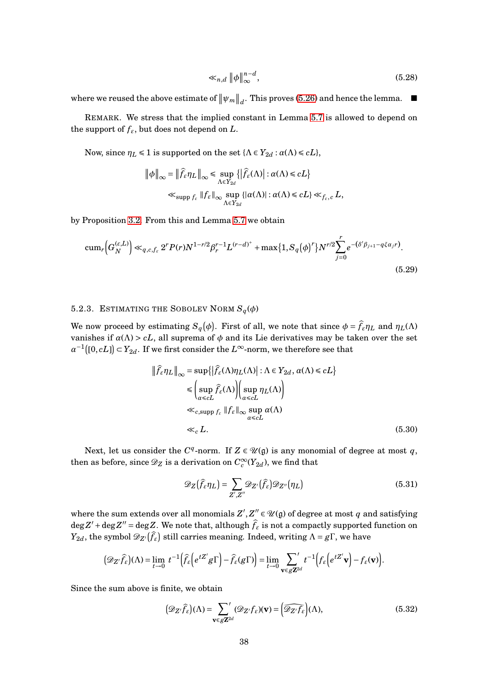$$
\ll_{n,d} \|\phi\|_{\infty}^{n-d},\tag{5.28}
$$

where we reused the above estimate of  $\|\psi_m\|_d$ . This proves [\(5.26\)](#page-36-1) and hence the lemma.  $\blacksquare$ 

REMARK. We stress that the implied constant in Lemma [5.7](#page-36-2) is allowed to depend on the support of  $f_{\varepsilon}$ , but does not depend on *L*.

Now, since  $\eta_L \leq 1$  is supported on the set  $\{\Lambda \in Y_{2d} : \alpha(\Lambda) \leq cL\}$ ,

$$
\|\phi\|_{\infty} = \|\widehat{f}_{\varepsilon}\eta_L\|_{\infty} \le \sup_{\Lambda \in Y_{2d}} \{|\widehat{f}_{\varepsilon}(\Lambda)| : \alpha(\Lambda) \le cL\}
$$
  

$$
\ll_{\text{supp } f_{\varepsilon}} \|f_{\varepsilon}\|_{\infty} \sup_{\Lambda \in Y_{2d}} \{|\alpha(\Lambda)| : \alpha(\Lambda) \le cL\} \ll_{f_{\varepsilon}, c} L,
$$

by Proposition [3.2.](#page-9-0) From this and Lemma [5.7](#page-36-2) we obtain

$$
\operatorname{cum}_r\Big(G_N^{(\varepsilon,L)}\Big) \ll_{q,c,f_{\varepsilon}} 2^r P(r) N^{1-r/2} \beta_r^{r-1} L^{(r-d)^+} + \max\{1, S_q(\phi)^r\} N^{r/2} \sum_{j=0}^r e^{-(\delta' \beta_{j+1} - q \xi \alpha_j r)}.
$$
\n(5.29)

# 5.2.3. ESTIMATING THE SOBOLEV NORM  $S_q(\phi)$

We now proceed by estimating  $S_q(\phi)$ . First of all, we note that since  $\phi = \hat{f}_{\varepsilon} \eta_L$  and  $\eta_L(\Lambda)$ vanishes if  $\alpha(\Lambda) > cL$ , all suprema of  $\phi$  and its Lie derivatives may be taken over the set  $a^{-1}([0, cL]) \subset Y_{2d}$ . If we first consider the  $L^{\infty}$ -norm, we therefore see that

<span id="page-37-3"></span>
$$
\|\hat{f}_{\varepsilon}\eta_L\|_{\infty} = \sup\{\left|\hat{f}_{\varepsilon}(\Lambda)\eta_L(\Lambda)\right| : \Lambda \in Y_{2d}, \alpha(\Lambda) \leq cL\}
$$
  

$$
\leq \left(\sup_{\alpha \leq cL} \hat{f}_{\varepsilon}(\Lambda)\right) \left(\sup_{\alpha \leq cL} \eta_L(\Lambda)\right)
$$
  

$$
\ll_{c, \text{supp } f_{\varepsilon}} \|f_{\varepsilon}\|_{\infty} \sup_{\alpha \leq cL} \alpha(\Lambda)
$$
  

$$
\ll_c L.
$$
 (5.30)

Next, let us consider the  $C^q$ -norm. If  $Z \in \mathcal{U}(\mathfrak{g})$  is any monomial of degree at most  $q$ , then as before, since  $\mathscr{D}_Z$  is a derivation on  $C_c^\infty(Y_{2d})$ , we find that

<span id="page-37-2"></span><span id="page-37-1"></span>
$$
\mathscr{D}_{Z}(\widehat{f}_{\varepsilon}\eta_{L}) = \sum_{Z',Z''}\mathscr{D}_{Z'}(\widehat{f}_{\varepsilon})\mathscr{D}_{Z''}(\eta_{L})
$$
\n(5.31)

where the sum extends over all monomials  $Z', Z'' \in \mathcal{U}(\mathfrak{g})$  of degree at most  $q$  and satisfying  $\deg Z' + \deg Z'' = \deg Z$ . We note that, although  $f_{\varepsilon}$  is not a compactly supported function on *Y*<sub>2*d*</sub>, the symbol  $\mathscr{D}_{Z'}(\widehat{f}_{\varepsilon})$  still carries meaning. Indeed, writing  $\Lambda = g\Gamma$ , we have

$$
(\mathscr{D}_{Z'}\widehat{f}_{\varepsilon})(\Lambda) = \lim_{t \to 0} t^{-1} \Big( \widehat{f}_{\varepsilon} \Big( e^{tZ'} g \Gamma \Big) - \widehat{f}_{\varepsilon}(g \Gamma) \Big) = \lim_{t \to 0} \sum_{\mathbf{v} \in g\mathbb{Z}^{2d}} t^{-1} \Big( f_{\varepsilon} \Big( e^{tZ'} \mathbf{v} \Big) - f_{\varepsilon}(\mathbf{v}) \Big).
$$

Since the sum above is finite, we obtain

<span id="page-37-0"></span>
$$
(\mathcal{D}_{Z'}\widehat{f}_{\varepsilon})(\Lambda) = \sum_{\mathbf{v} \in g\mathbf{Z}^{2d}} (\mathcal{D}_{Z'}f_{\varepsilon})(\mathbf{v}) = (\widehat{\mathcal{D}_{Z'}f_{\varepsilon}})(\Lambda),
$$
(5.32)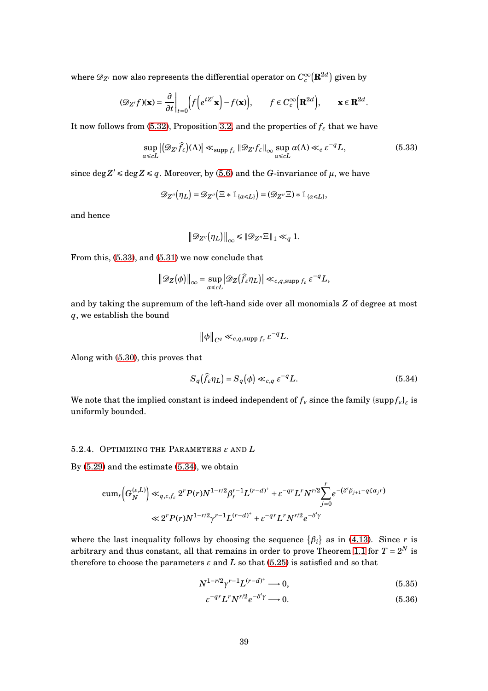where  $\mathscr{D}_{Z'}$  now also represents the differential operator on  $C_c^\infty(\mathbf{R}^{2d})$  given by

$$
(\mathscr{D}_{Z'}f)(\mathbf{x}) = \frac{\partial}{\partial t}\bigg|_{t=0} \Big(f\Big(e^{tZ'}\mathbf{x}\Big) - f(\mathbf{x})\Big), \qquad f \in C_c^{\infty}\Big(\mathbf{R}^{2d}\Big), \qquad \mathbf{x} \in \mathbf{R}^{2d}
$$

It now follows from [\(5.32\)](#page-37-0), Proposition [3.2,](#page-9-0) and the properties of  $f_{\varepsilon}$  that we have

$$
\sup_{\alpha \leq c} |(\mathcal{D}_{Z'}\widehat{f}_{\varepsilon})(\Lambda)| \ll_{\text{supp } f_{\varepsilon}} |\mathcal{D}_{Z'}f_{\varepsilon}| \log \sup_{\alpha \leq c} \alpha(\Lambda) \ll_{c} \varepsilon^{-q} L,
$$
\n(5.33)

<span id="page-38-0"></span>.

since  $\deg Z' \leq \deg Z \leq q$ . Moreover, by [\(5.6\)](#page-28-2) and the *G*-invariance of  $\mu$ , we have

$$
\mathcal D_{Z''}\big(\eta_L\big)=\mathcal D_{Z''}\big(\Xi\ast \mathbb 1_{\{\alpha\leq L\}}\big)=(\mathcal D_{Z''}\Xi)\ast \mathbb 1_{\{\alpha\leq L\}},
$$

and hence

$$
\big\|\mathscr{D}_{Z''}\big(\eta_L\big)\big\|_{\infty} \leq \|\mathscr{D}_{Z''}\Xi\|_1 \ll_q 1.
$$

From this, [\(5.33\)](#page-38-0), and [\(5.31\)](#page-37-1) we now conclude that

$$
\|\mathscr{D}_Z(\phi)\|_{\infty} = \sup_{\alpha \leq cL} |\mathscr{D}_Z(\widehat{f}_{\varepsilon}\eta_L)| \ll_{c,q,\text{supp } f_{\varepsilon}} \varepsilon^{-q}L,
$$

and by taking the supremum of the left-hand side over all monomials *Z* of degree at most *q*, we establish the bound

<span id="page-38-1"></span>
$$
\|\phi\|_{C^q}\ll_{c,q,\mathrm{supp}\, f_{\varepsilon}}\varepsilon^{-q}L.
$$

Along with [\(5.30\)](#page-37-2), this proves that

$$
S_q(\hat{f}_{\varepsilon}\eta_L) = S_q(\phi) \ll_{c,q} \varepsilon^{-q}L. \tag{5.34}
$$

We note that the implied constant is indeed independent of  $f_{\varepsilon}$  since the family { $\mathrm{supp} f_{\varepsilon}$ }*<sub>ε</sub>* is uniformly bounded.

#### 5.2.4. OPTIMIZING THE PARAMETERS *ε* AND *L*

By [\(5.29\)](#page-37-3) and the estimate [\(5.34\)](#page-38-1), we obtain

$$
\begin{split} \operatorname{cum}_r\!\!\left(G_N^{(\varepsilon,L)}\right) \ll_{q,c,f_{\varepsilon}} 2^r P(r) N^{1-r/2} \beta_r^{r-1} L^{(r-d)^+} + \varepsilon^{-q} L^r N^{r/2} \!\!\sum_{j=0}^r e^{-(\delta' \beta_{j+1} - q \xi \alpha_j r)} \\ \ll 2^r P(r) N^{1-r/2} \gamma^{r-1} L^{(r-d)^+} + \varepsilon^{-q} L^r N^{r/2} e^{-\delta' \gamma} \end{split}
$$

where the last inequality follows by choosing the sequence  $\{\beta_i\}$  as in [\(4.13\)](#page-26-1). Since *r* is arbitrary and thus constant, all that remains in order to prove Theorem [1.1](#page-2-0) for  $T = 2^N$  is therefore to choose the parameters  $\varepsilon$  and  $L$  so that [\(5.25\)](#page-35-1) is satisfied and so that

$$
N^{1-r/2} \gamma^{r-1} L^{(r-d)^+} \longrightarrow 0,
$$
\n
$$
(5.35)
$$

<span id="page-38-3"></span><span id="page-38-2"></span>
$$
\varepsilon^{-qr} L^r N^{r/2} e^{-\delta'\gamma} \longrightarrow 0. \tag{5.36}
$$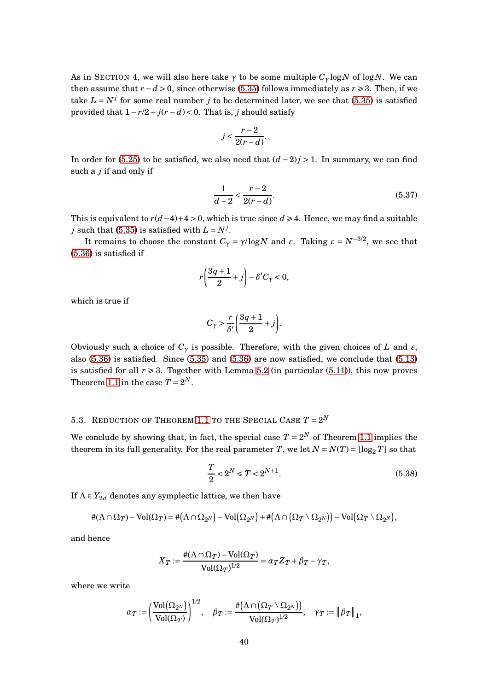As in SECTION 4, we will also here take  $\gamma$  to be some multiple  $C_{\gamma} \log N$  of  $\log N$ . We can then assume that  $r - d > 0$ , since otherwise [\(5.35\)](#page-38-2) follows immediately as  $r \ge 3$ . Then, if we take  $L = N^j$  for some real number *j* to be determined later, we see that [\(5.35\)](#page-38-2) is satisfied provided that  $1 - r/2 + j(r - d) < 0$ . That is, *j* should satisfy

$$
j < \frac{r-2}{2(r-d)}.
$$

In order for [\(5.25\)](#page-35-1) to be satisfied, we also need that (*d* −2)*j* > 1. In summary, we can find such a *j* if and only if

$$
\frac{1}{d-2} < \frac{r-2}{2(r-d)}.\tag{5.37}
$$

This is equivalent to  $r(d-4)+4 > 0$ , which is true since  $d \geq 4$ . Hence, we may find a suitable *j* such that [\(5.35\)](#page-38-2) is satisfied with  $L = N^j$ .

It remains to choose the constant  $C_{\gamma} = \gamma/\log N$  and  $\varepsilon$ . Taking  $\varepsilon = N^{-3/2}$ , we see that [\(5.36\)](#page-38-3) is satisfied if

$$
r\left(\frac{3q+1}{2}+j\right)-\delta'C_{\gamma}<0,
$$

which is true if

$$
C_{\gamma} > \frac{r}{\delta'} \bigg( \frac{3q+1}{2} + j \bigg).
$$

Obviously such a choice of  $C_\gamma$  is possible. Therefore, with the given choices of *L* and  $\varepsilon$ , also [\(5.36\)](#page-38-3) is satisfied. Since [\(5.35\)](#page-38-2) and [\(5.36\)](#page-38-3) are now satisfied, we conclude that [\(5.13\)](#page-29-3) is satisfied for all  $r \geq 3$ . Together with Lemma [5.2](#page-28-1) (in particular [\(5.11\)](#page-29-4)), this now proves Theorem [1.1](#page-2-0) in the case  $T = 2^N$ .

# 5.3. REDUCTION OF THEOREM [1.1](#page-2-0) TO THE SPECIAL CASE  $T = 2^N$

We conclude by showing that, in fact, the special case  $T = 2^N$  of Theorem [1.1](#page-2-0) implies the theorem in its full generality. For the real parameter *T*, we let  $N = N(T) = \lfloor \log_2 T \rfloor$  so that

<span id="page-39-0"></span>
$$
\frac{T}{2} < 2^N \le T < 2^{N+1}.\tag{5.38}
$$

If  $\Lambda \in Y_{2d}$  denotes any symplectic lattice, we then have

$$
\#(\Lambda\cap\Omega_T)-\text{Vol}(\Omega_T)=\#\big(\Lambda\cap\Omega_{2^N}\big)-\text{Vol}\big(\Omega_{2^N}\big)+\#\big(\Lambda\cap\big(\Omega_T\setminus\Omega_{2^N}\big)\big)-\text{Vol}\big(\Omega_T\setminus\Omega_{2^N}\big),
$$

and hence

$$
X_T := \frac{\#(\Lambda \cap \Omega_T) - \text{Vol}(\Omega_T)}{\text{Vol}(\Omega_T)^{1/2}} = \alpha_T Z_T + \beta_T - \gamma_T,
$$

where we write

$$
\alpha_T:=\left(\frac{\text{Vol}(\Omega_{2^N})}{\text{Vol}(\Omega_T)}\right)^{1/2},\quad \beta_T:=\frac{\# \big(\Lambda\cap \big(\Omega_T\setminus\Omega_{2^N})\big)}{\text{Vol}(\Omega_T)^{1/2}},\quad \gamma_T:=\big\|\beta_T\big\|_1,
$$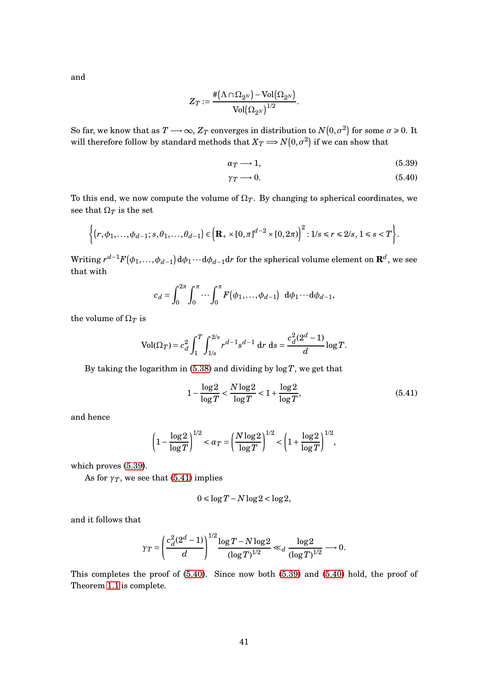and

$$
Z_T:=\frac{\# \big( \Lambda \cap \Omega_{2^N} \big) - \text{Vol} \big( \Omega_{2^N} \big)}{\text{Vol} \big( \Omega_{2^N} \big)^{1/2}}.
$$

So far, we know that as  $T \longrightarrow \infty$ ,  $Z_T$  converges in distribution to  $N(0, \sigma^2)$  for some  $\sigma \ge 0$ . It will therefore follow by standard methods that  $X_T$   $\Longrightarrow$   $N\big(0,\sigma^2\big)$  if we can show that

<span id="page-40-0"></span>
$$
\alpha_T \longrightarrow 1,\tag{5.39}
$$

<span id="page-40-2"></span>
$$
\gamma_T \longrightarrow 0. \tag{5.40}
$$

To this end, we now compute the volume of  $\Omega_T$ . By changing to spherical coordinates, we see that  $\Omega_T$  is the set

$$
\left\{(r,\phi_1,\ldots,\phi_{d-1};s,\theta_1,\ldots,\theta_{d-1})\in\left(\mathbf{R}_+\times[0,\pi]^{d-2}\times[0,2\pi)\right)^2:1/s\leq r\leq 2/s,1\leq s\leq T\right\}.
$$

 $\text{Writing } r^{d-1}F(\phi_1,...,\phi_{d-1})\,\mathrm{d}\phi_1\cdots\mathrm{d}\phi_{d-1}\mathrm{d}r \text{ for the spherical volume element on } \mathbf{R}^d, \text{ we see}$ that with

$$
c_d = \int_0^{2\pi} \int_0^{\pi} \cdots \int_0^{\pi} F(\phi_1, \ldots, \phi_{d-1}) \ d\phi_1 \cdots d\phi_{d-1},
$$

the volume of  $\Omega_T$  is

$$
Vol(\Omega_T) = c_d^2 \int_1^T \int_{1/s}^{2/s} r^{d-1} s^{d-1} dr ds = \frac{c_d^2 (2^d - 1)}{d} \log T.
$$

By taking the logarithm in [\(5.38\)](#page-39-0) and dividing by log*T*, we get that

<span id="page-40-1"></span>
$$
1 - \frac{\log 2}{\log T} < \frac{N \log 2}{\log T} < 1 + \frac{\log 2}{\log T},\tag{5.41}
$$

and hence

$$
\left(1 - \frac{\log 2}{\log T}\right)^{1/2} < \alpha_T = \left(\frac{N \log 2}{\log T}\right)^{1/2} < \left(1 + \frac{\log 2}{\log T}\right)^{1/2},
$$

which proves [\(5.39\)](#page-40-0).

As for  $\gamma_T$ , we see that [\(5.41\)](#page-40-1) implies

$$
0 \le \log T - N \log 2 < \log 2,
$$

and it follows that

$$
\gamma_T = \left(\frac{c_d^2(2^d-1)}{d}\right)^{1/2} \frac{\log T - N \log 2}{(\log T)^{1/2}} \ll_d \frac{\log 2}{(\log T)^{1/2}} \longrightarrow 0.
$$

This completes the proof of [\(5.40\)](#page-40-2). Since now both [\(5.39\)](#page-40-0) and [\(5.40\)](#page-40-2) hold, the proof of Theorem [1.1](#page-2-0) is complete.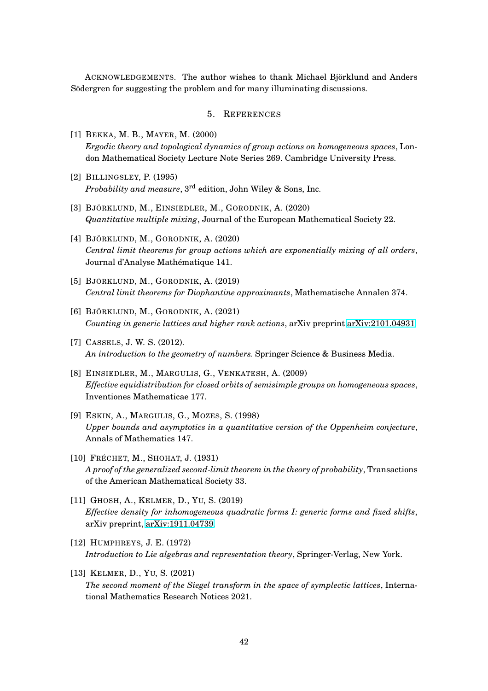ACKNOWLEDGEMENTS. The author wishes to thank Michael Björklund and Anders Södergren for suggesting the problem and for many illuminating discussions.

### 5. REFERENCES

- <span id="page-41-8"></span>[1] BEKKA, M. B., MAYER, M. (2000) *Ergodic theory and topological dynamics of group actions on homogeneous spaces*, London Mathematical Society Lecture Note Series 269. Cambridge University Press.
- <span id="page-41-4"></span>[2] BILLINGSLEY, P. (1995) *Probability and measure*, 3rd edition, John Wiley & Sons, Inc.
- <span id="page-41-5"></span>[3] BJÖRKLUND, M., EINSIEDLER, M., GORODNIK, A. (2020) *Quantitative multiple mixing*, Journal of the European Mathematical Society 22.
- [4] BJÖRKLUND, M., GORODNIK, A. (2020) *Central limit theorems for group actions which are exponentially mixing of all orders*, Journal d'Analyse Mathématique 141.
- <span id="page-41-2"></span><span id="page-41-1"></span>[5] BJÖRKLUND, M., GORODNIK, A. (2019) *Central limit theorems for Diophantine approximants*, Mathematische Annalen 374.
- <span id="page-41-0"></span>[6] BJÖRKLUND, M., GORODNIK, A. (2021) *Counting in generic lattices and higher rank actions*, arXiv preprint [arXiv:2101.04931](http://arxiv.org/abs/2101.04931)
- [7] CASSELS, J. W. S. (2012). *An introduction to the geometry of numbers.* Springer Science & Business Media.
- [8] EINSIEDLER, M., MARGULIS, G., VENKATESH, A. (2009) *Effective equidistribution for closed orbits of semisimple groups on homogeneous spaces*, Inventiones Mathematicae 177.
- <span id="page-41-7"></span>[9] ESKIN, A., MARGULIS, G., MOZES, S. (1998) *Upper bounds and asymptotics in a quantitative version of the Oppenheim conjecture*, Annals of Mathematics 147.
- <span id="page-41-6"></span>[10] FRÉCHET, M., SHOHAT, J. (1931) *A proof of the generalized second-limit theorem in the theory of probability*, Transactions of the American Mathematical Society 33.
- [11] GHOSH, A., KELMER, D., YU, S. (2019) *Effective density for inhomogeneous quadratic forms I: generic forms and fixed shifts*, arXiv preprint, [arXiv:1911.04739.](http://arxiv.org/abs/1911.04739)
- <span id="page-41-3"></span>[12] HUMPHREYS, J. E. (1972) *Introduction to Lie algebras and representation theory*, Springer-Verlag, New York.
- [13] KELMER, D., YU, S. (2021) *The second moment of the Siegel transform in the space of symplectic lattices*, International Mathematics Research Notices 2021.